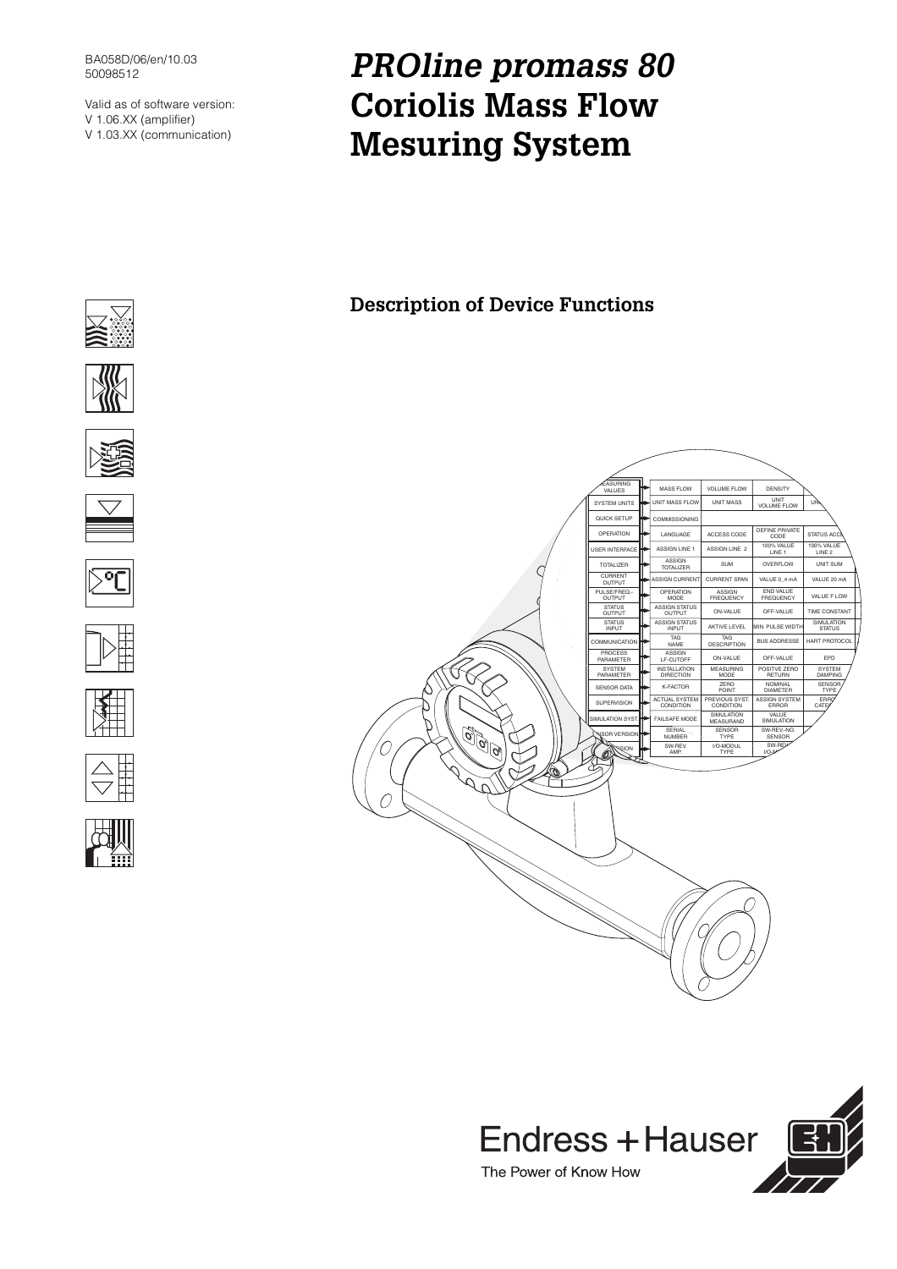BA058D/06/en/10.03 50098512

Valid as of software version: V 1.06.XX (amplifier) V 1.03.XX (communication)

# *PROline promass 80* **Coriolis Mass Flow Mesuring System**

#### **Description of Device Functions**





















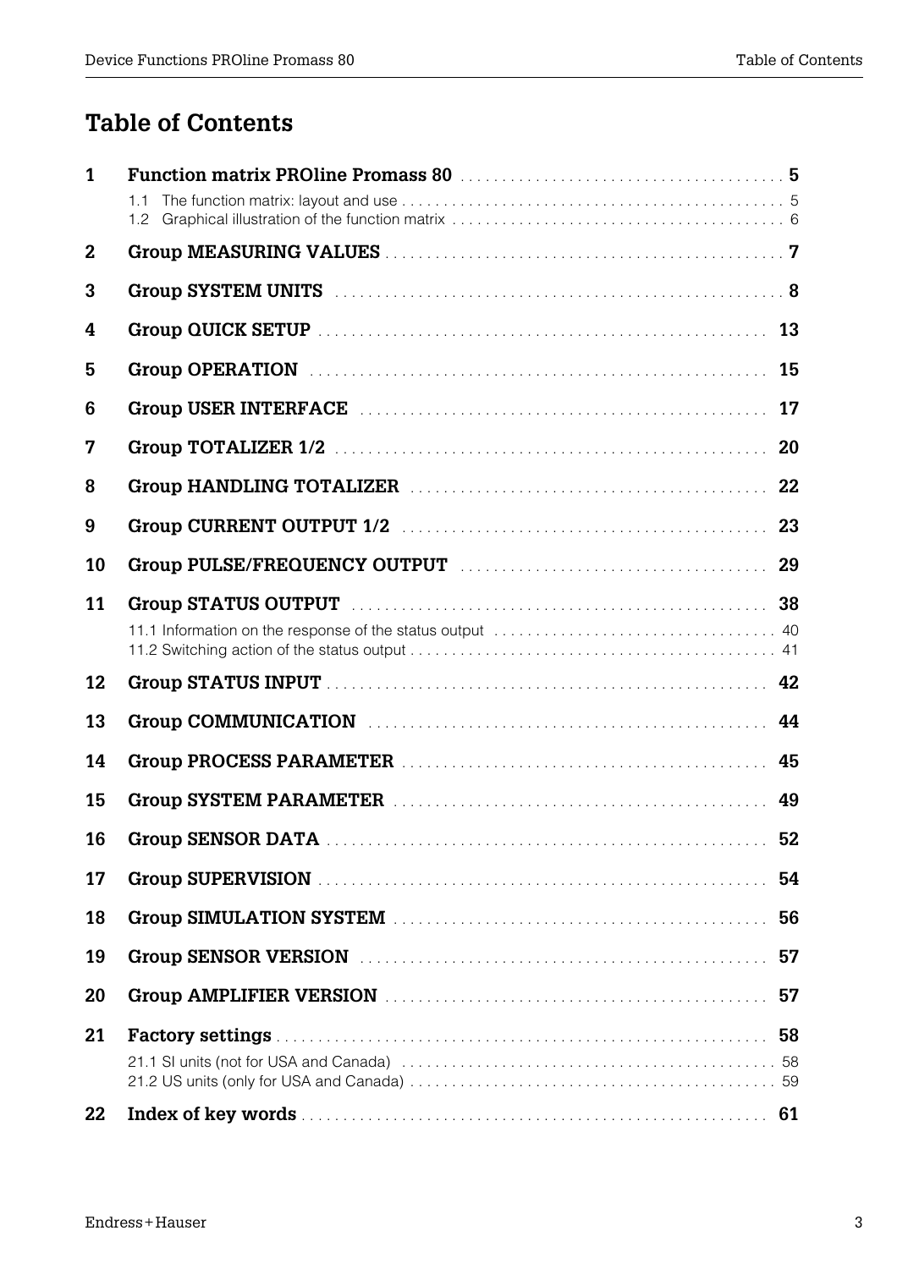## <span id="page-2-0"></span>**Table of Contents**

| $\mathbf{1}$ | <b>Function matrix PROline Promass 80</b> matrices and solution of 5                                                                                                                                                           |
|--------------|--------------------------------------------------------------------------------------------------------------------------------------------------------------------------------------------------------------------------------|
|              | 1.1                                                                                                                                                                                                                            |
| $\mathbf{2}$ |                                                                                                                                                                                                                                |
| 3            | Group SYSTEM UNITS And All Anti-All Anti-All Anti-All Anti-All Anti-All Anti-All Anti-All Anti-All A                                                                                                                           |
| 4            | 13                                                                                                                                                                                                                             |
| 5            | 15                                                                                                                                                                                                                             |
| 6            | Group USER INTERFACE Manual Communications of the USER INTERFACE Manual Communications of the USER ST<br>17                                                                                                                    |
| 7            |                                                                                                                                                                                                                                |
| 8            | Group HANDLING TOTALIZER MALALLA CONTROLL CONTROLL 22                                                                                                                                                                          |
| 9            | 23                                                                                                                                                                                                                             |
| 10           | Group PULSE/FREQUENCY OUTPUT And all and all and all and all and all and all and all and all and all and all a<br>29                                                                                                           |
| 11           | Group STATUS OUTPUT And the Community of Croup STATUS OUTPUT And the community of the Community of Croup of St                                                                                                                 |
| 12           |                                                                                                                                                                                                                                |
| 13           | Group COMMUNICATION And Constitution of the Communication of the Communication of the Communication of the Communication of the Communication of the Communication of the Communication of the Communication of the Communicat |
| 14           | 45                                                                                                                                                                                                                             |
| 15           | 49                                                                                                                                                                                                                             |
| 16           | 52                                                                                                                                                                                                                             |
| 17           | 54                                                                                                                                                                                                                             |
| 18           | 56                                                                                                                                                                                                                             |
| 19           | Group SENSOR VERSION Manual Communications of the SENSOR VERSION<br>57                                                                                                                                                         |
| 20           | 57                                                                                                                                                                                                                             |
| 21           |                                                                                                                                                                                                                                |
| 22           |                                                                                                                                                                                                                                |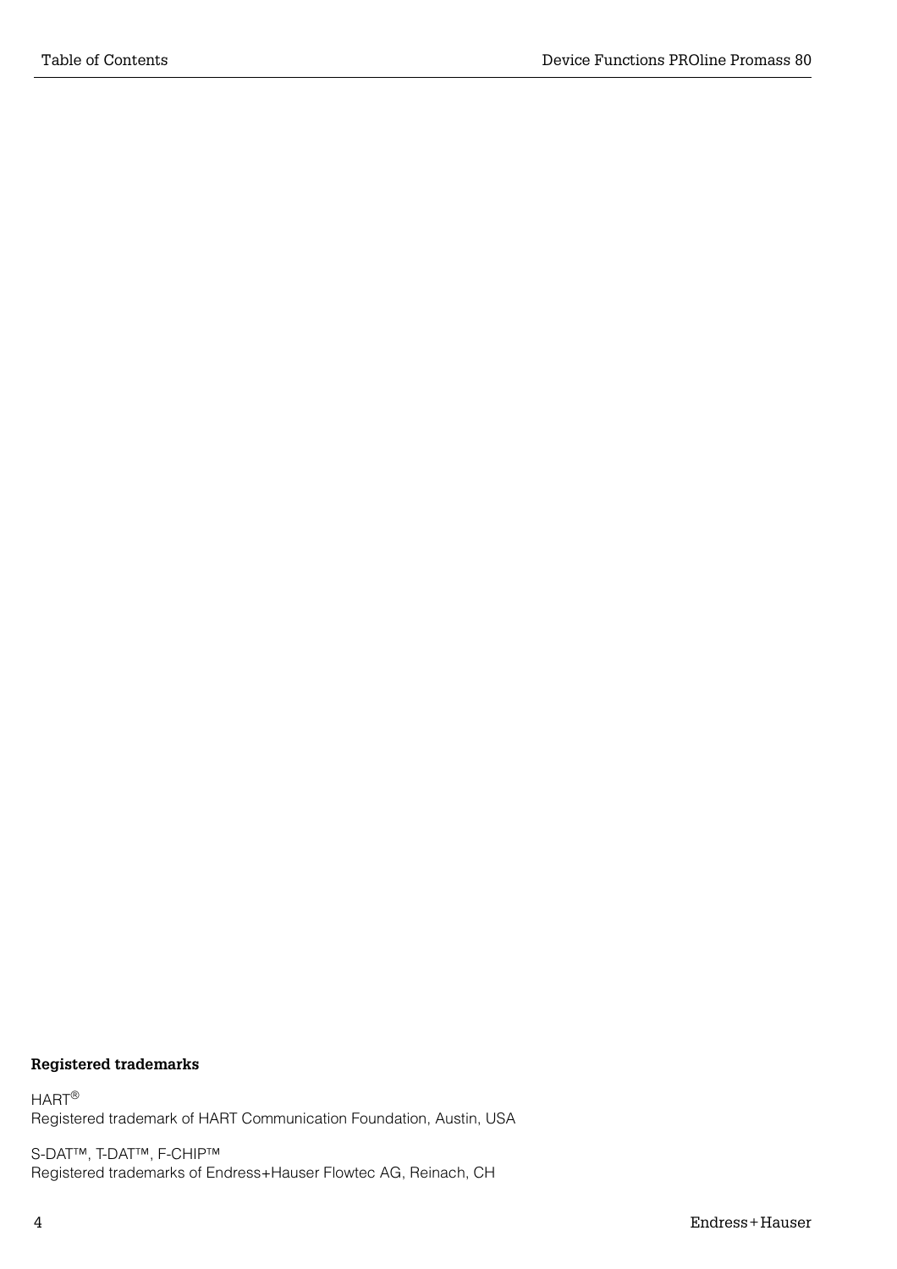#### **Registered trademarks**

HART<sup>®</sup> Registered trademark of HART Communication Foundation, Austin, USA

S-DAT™, T-DAT™, F-CHIP™ Registered trademarks of Endress+Hauser Flowtec AG, Reinach, CH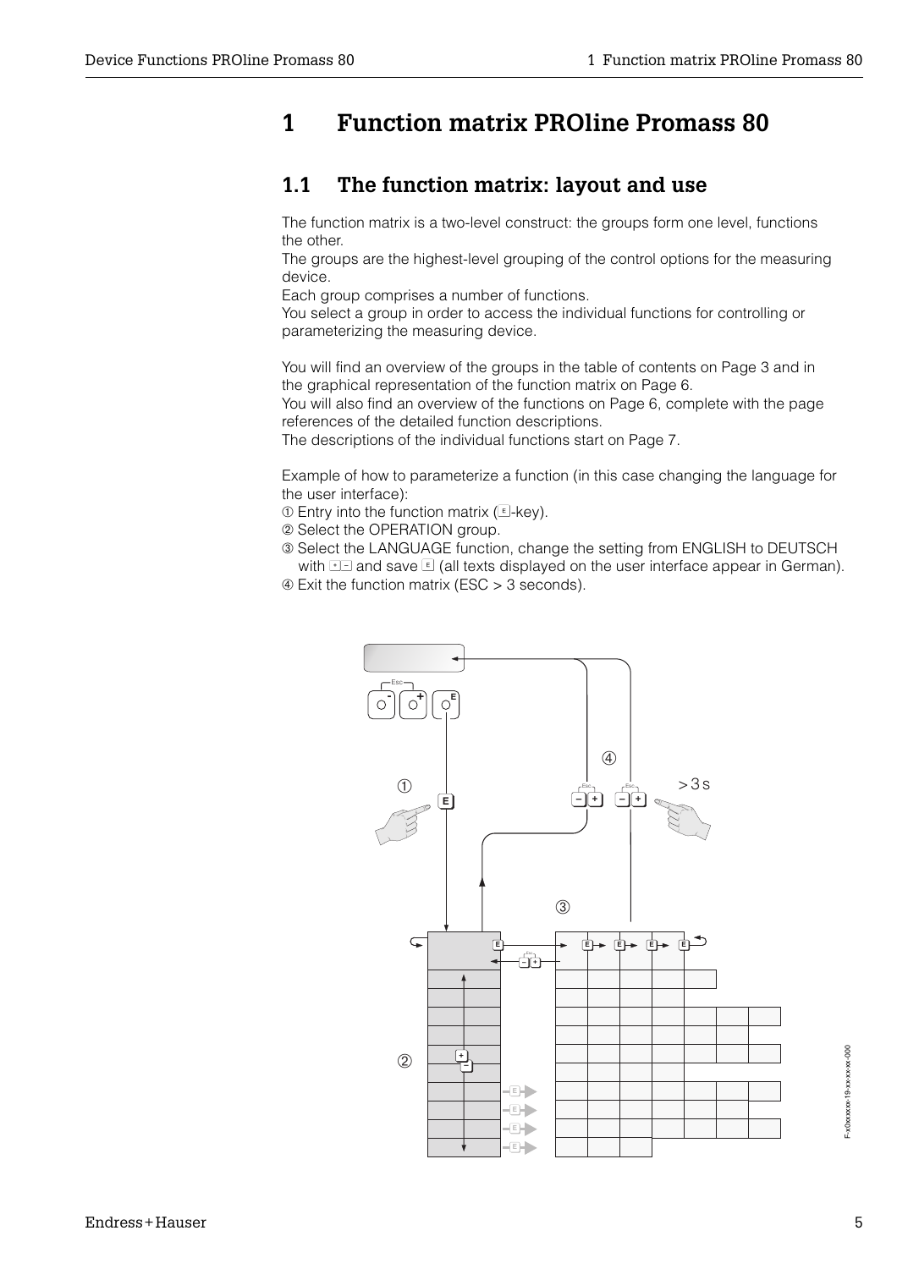### <span id="page-4-0"></span>**1 Function matrix PROline Promass 80**

### <span id="page-4-2"></span><span id="page-4-1"></span>**1.1 The function matrix: layout and use**

The function matrix is a two-level construct: the groups form one level, functions the other.

The groups are the highest-level grouping of the control options for the measuring device.

Each group comprises a number of functions.

You select a group in order to access the individual functions for controlling or parameterizing the measuring device.

You will find an overview of the groups in the table of contents on [Page 3](#page-2-0) and in the graphical representation of the function matrix on [Page 6](#page-5-0).

You will also find an overview of the functions on [Page 6](#page-5-0), complete with the page references of the detailed function descriptions.

The descriptions of the individual functions start on [Page 7.](#page-6-0)

Example of how to parameterize a function (in this case changing the language for the user interface):

 $\circled{1}$  Entry into the function matrix ( $\circled{1}$ -key).

➁ Select the OPERATION group.

➂ Select the LANGUAGE function, change the setting from ENGLISH to DEUTSCH with  $\exists \exists$  and save  $\blacksquare$  (all texts displayed on the user interface appear in German).

➃ Exit the function matrix (ESC > 3 seconds).

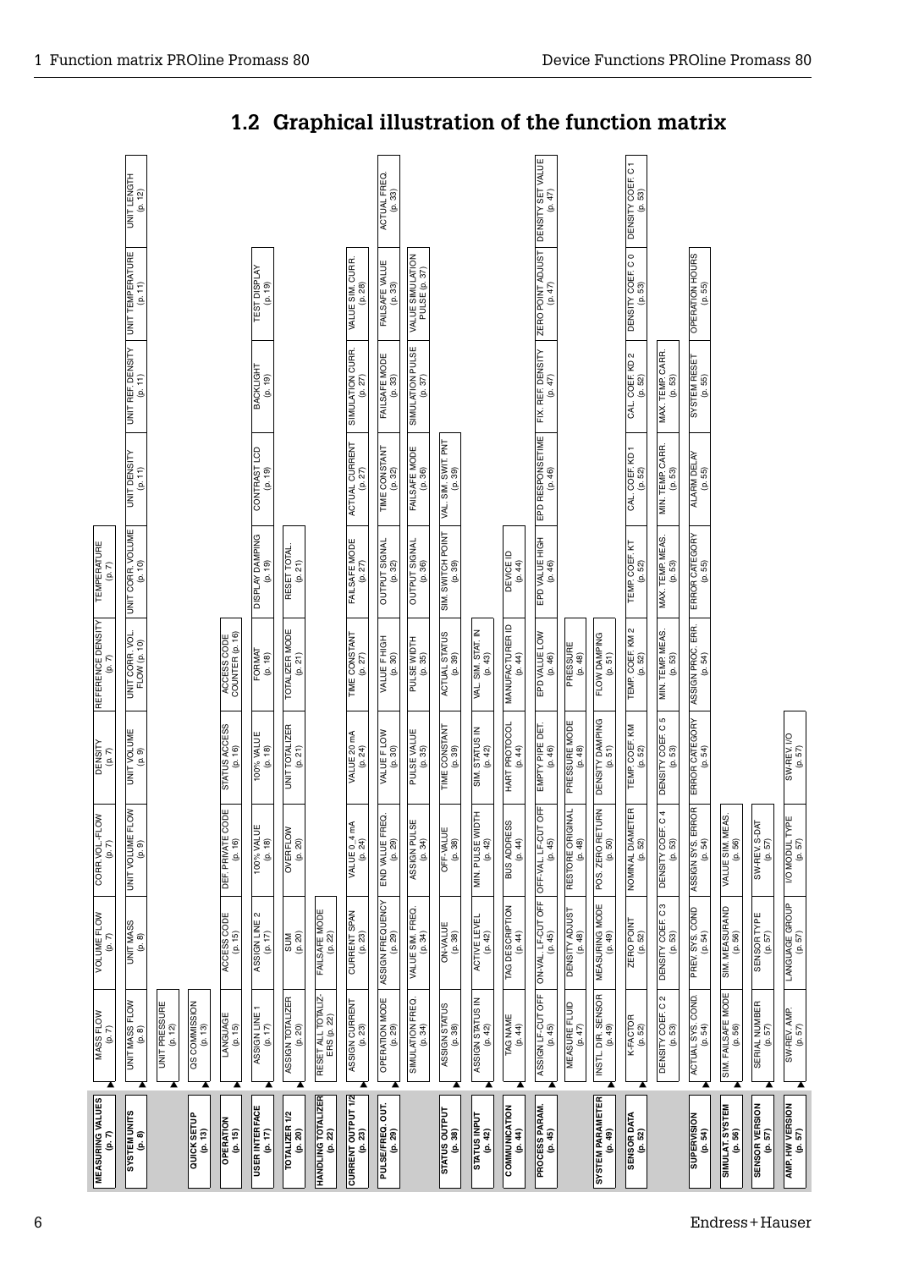| <b>MEASURING VALUES</b><br>(p. 7)    | MASS FLOW<br>(p. 7)                                                            | VOLUME FLOW<br>(p. 7)           | CORR.VOL.-FLOW<br>(p. 7)                 | DENSITY<br>(p. 7)           | REFERENCE DENSITY<br>(p. 7)     | TEMPERATURE<br>(p. 7)          |                                |                                |                                            |                              |
|--------------------------------------|--------------------------------------------------------------------------------|---------------------------------|------------------------------------------|-----------------------------|---------------------------------|--------------------------------|--------------------------------|--------------------------------|--------------------------------------------|------------------------------|
| SYSTEM UNITS<br>(p. 8)               | UNIT MASS FLOW<br>(p. 8)<br>▲<br>$\blacktriangle$                              | UNIT MASS<br>(p. 8)             | UNIT VOLUME FLOW<br>(p. 9)               | UNIT VOLUME<br>(p. 9)       | UNIT CORR. VOL.<br>FLOW (p. 10) | UNIT CORR. VOLUME<br>(p. 10)   | UNIT DENSITY<br>(p. 11)        | UNIT REF. DENSITY<br>(p. 11)   | UNIT TEMPERATURE<br>(p. 11)                | UNIT LENGTH<br>(p. 12)       |
|                                      | UNIT PRESSURE<br>(p. 12)<br>$\blacktriangle$                                   |                                 |                                          |                             |                                 |                                |                                |                                |                                            |                              |
| (p. 13)<br>QUICK SETUP               | QS COMMISSION<br>(p. 13)<br>Δ                                                  |                                 |                                          |                             |                                 |                                |                                |                                |                                            |                              |
| OPERATION<br>(p. 15)                 | LANGUAGE<br>(p. 15)<br>$\blacktriangle$                                        | ACCESS CODE<br>(p. 15)          | DEF. PRIVATE CODE<br>(p. 16)             | (b. 16)<br>SIATUS ACCESS    | ACCESS CODE<br>COUNTER (p. 16)  |                                |                                |                                |                                            |                              |
| <b>USER INTERFACE</b><br>(p. 17)     | $\begin{array}{c} \textsf{ASSIGN LINE 1} \\ \textsf{(p. 17)} \end{array}$<br>Δ | N<br>ASSIGN LINE 2<br>(p. 17)   | 100% VALUE<br>(p. 18)                    | 100% VALUE<br>(p. 18)       | FORMAT<br>(p. 18)               | DISPLAY DAMPING<br>(p. 19)     | CONTRAST LCD<br>(p. 19)        | BACKLIGHT<br>(p. 19)           | TEST DISPLAY<br>(p. 19)                    |                              |
| TOTALIZER 1/2<br>(p. 20)             | ASSIGN TOTALIZER<br>(p. 20)<br>Δ                                               | (b. 20)                         | OVERFLOW<br>(p. 20)                      | UNIT TOTALIZER<br>(p. 21)   | TOTALIZER MODE<br>(p. 21)       | RESET TOTAL.<br>(p. 21)        |                                |                                |                                            |                              |
| <b>HANDLING TOTALIZER</b><br>(p. 22) | RESET ALL TOTALIZ-<br>ERS (p. 22)                                              | FAILSAFE MODE<br>(p. 22)        |                                          |                             |                                 |                                |                                |                                |                                            |                              |
| <b>CURRENT OUTPUT 1/2</b><br>(p. 23) | ASSIGN CURRENT<br>(p. 23)                                                      | CURRENT SPAN<br>(p. 23)         | VALUE $\overline{0}$ 4 mA<br>(p. 24)     | VALUE 20 mA<br>(p. 24)      | TIME CONSTANT)<br>TIME CONSTANT | FAILSAFE MODE<br>FAILSAFE MODE | (p. 27)<br>ACTUAL CURRENT      | (p. 27)<br>SIMULATION CURR.    | VALUE SIM. CURR.<br>(p. 28)                |                              |
| PULSE/FREQ. OUT.<br>(p. 29)          | (p. 29)<br>OPERATION MODE<br>Δ                                                 | (67 (67 d)<br>AONENCA FREQUENCY | END VALUE FREQ.<br>END VALUE FREQ.       | (b. 30)<br>WOT E FOW        | (b. 30)<br>VALUE FHIGH          | (p. 32)<br>OUTPUT SIGNAL       | TIME CONSTANT<br>(p. 32)       | FAILSAFE MODE<br>FAILSAFE MODE | FAILSAFE VALUE<br>(p. 33)                  | ACTUAL FREQ.<br>(p. 33)      |
|                                      | SIMULATION FREQ.<br>(p. 34)                                                    | VALUE SIM. FREQ.<br>(p. 34)     | щ<br>ASSIGN PULSI<br>(p. 34)             | PULSE VALUE<br>(p. 35)      | PULSE WIDTH<br>(p. 35)          | (b. 36)<br>OUTPUT SIGNAL       | FAILSAFE MODE<br>(p. 36)       | SIMULATION PULSE<br>(p. 37)    | <b>ANDE SIMULATION</b><br>PULALIONIS ENTER |                              |
| STATUS OUTPUT<br>(p. 38)             | ASSIGN STATUS<br>(p. 38)<br>Δ                                                  | ON-VALUE<br>(p. 38)             | OFF-VALUE<br>(p. 38)                     | TIME CONSTANT<br>(p. 39)    | ACTUAL STATUS<br>(p. 39)        | SIM. SWITCH POINT<br>(p. 39)   | VAL. SIM. SWIT. PNT<br>(p. 39) |                                |                                            |                              |
| $\frac{1}{2}$ STATUS INPUT           | ASSIGN STATUS IN<br>(p. 42)<br>Δ                                               | ACTIVE LEVEL<br>(p. 42)         | H<br>MIN. PULSE WID<br>(p. 42)           | SIM. STATUS IN<br>(p. 42)   | VAL. SIM. STAT. IN<br>(p. 43)   |                                |                                |                                |                                            |                              |
| <b>COMMUNICATION</b><br>(p. 44)      | TAG NAME<br>(p. 44)<br>Δ                                                       | TAG DESCRIPTION<br>(p. 44)      | BUS ADDRESS<br>(p. 44)                   | HART PROTOCOL<br>(p. 44)    | MANUFACTURER ID<br>(p. 44)      | DEVICE ID<br>(p. 44)           |                                |                                |                                            |                              |
| <b>PROCESS PARAM.</b><br>(p. 45)     | ASSIGN LF-CUT OFF<br>(p. 45)                                                   | ON-VAL. LF-CUT OFF<br>(p. 45)   | <b>UFF</b><br>OFF-VAL. LF-CUT<br>(p. 45) | EMPTY PIPE DET.<br>(p. 46)  | EPD VALUE LOW<br>(p. 46)        | EPD VALUE HIGH<br>(p. 46)      | EPD RESPONSETIME<br>(p. 46)    | FIX. REF. DENSITY<br>(p. 47)   | ZERO POINT ADJUST<br>(p. 47)               | DENSITY SET VALUE<br>(p. 47) |
|                                      | MEASURE FLUID<br>(p. 47)                                                       | DENSITY ADJUST<br>(p. 48)       | lar<br>I<br>RESTORE ORIGI<br>(p. 48)     | PRESSURE MODE<br>(p. 48)    | PRESSURE<br>(p. 48)             |                                |                                |                                |                                            |                              |
| SYSTEM PARAMETER<br>(p. 49)          | INSTL. DIR. SENSOR<br>(p. 49)<br>Α                                             | MEASURING MODE<br>(p. 49)       | <b>MED</b><br>POS. ZERO RETU<br>(p. 50)  | DENSITY DAMPING<br>(p. 51)  | FLOW DAMPING<br>(p. 51)         |                                |                                |                                |                                            |                              |
| <b>SENSOR DATA</b><br>(p. 52)        | K-FACTOR<br>(p. 52)<br>Δ                                                       | ZERO POINT<br>(p. 52)           | NOMINAL DIAMETER<br>(p. 52)              | TEMP. COEF. KM<br>(p. 52)   | TEMP. COEF. KM 2<br>(p. 52)     | TEMP. COEF. KT<br>(p. 52)      | CAL. COEF. KD 1<br>(p. 52)     | CAL. COEF. KD 2<br>(p. 52)     | DENSITY COEF. C 0<br>(p. 53)               | DENSITY COEF. C 1<br>(p. 53) |
|                                      | DENSITY COEF. C 2<br>(p. 53)                                                   | DENSITY COEF. C 3<br>(p. 53)    | $\overline{C}$<br>DENSITY COEF.          | DENSITY COEF. C5<br>(p. 53) | MIN. TEMP. MEAS.<br>(p. 53)     | MAX. TEMP. MEAS.<br>(p. 53)    | MIN. TEMP. CARR.<br>(p. 53)    | MAX. TEMP. CARR.<br>(p. 53)    |                                            |                              |
| <b>SUPERVISION</b><br>(p. 54)        | ACTUAL SYS. COND.<br>(p. 54)                                                   | PREV. SYS. COND<br>(p. 54)      | <b>ROR</b><br>ASSIGN SYS. ER<br>(p. 54)  | ERROR CATEGORY<br>(p. 54)   | ASSIGN PROC. ERR.<br>(p. 54)    | ERROR CATEGORY<br>(p. 55)      | ALARM DELAY<br>(p. 55)         | SYSTEM RESET<br>(p. 55)        | OPERATION HOURS<br>(p. 55)                 |                              |
| SIMULAT. SYSTEM<br>(p. 56)           | SIM. FAILSAFE MODE<br>$\blacktriangle$                                         | SIM. MEASURAND<br>(p. 56)       | VALUE SIM. MEAS.<br>(p. 56)              |                             |                                 |                                |                                |                                |                                            |                              |
| <b>SENSOR VERSION</b><br>(p. 57)     | SERIAL NUMBER<br>(p. 57)<br>▲                                                  | SENSOR TYPE<br>(p. 57)          | SW-REV. S-DAT<br>(p. 57)                 |                             |                                 |                                |                                |                                |                                            |                              |
| AMP. HW VERSION<br>(p. 57)           | SW-REV. AMP.<br>(p. 57)<br>Δ                                                   | LANGUAGE GROUP<br>(p. 57)       | I/O MODUL TYPE                           | SW-REV. I/O<br>(p. 57)      |                                 |                                |                                |                                |                                            |                              |

### <span id="page-5-1"></span><span id="page-5-0"></span>**1.2 Graphical illustration of the function matrix**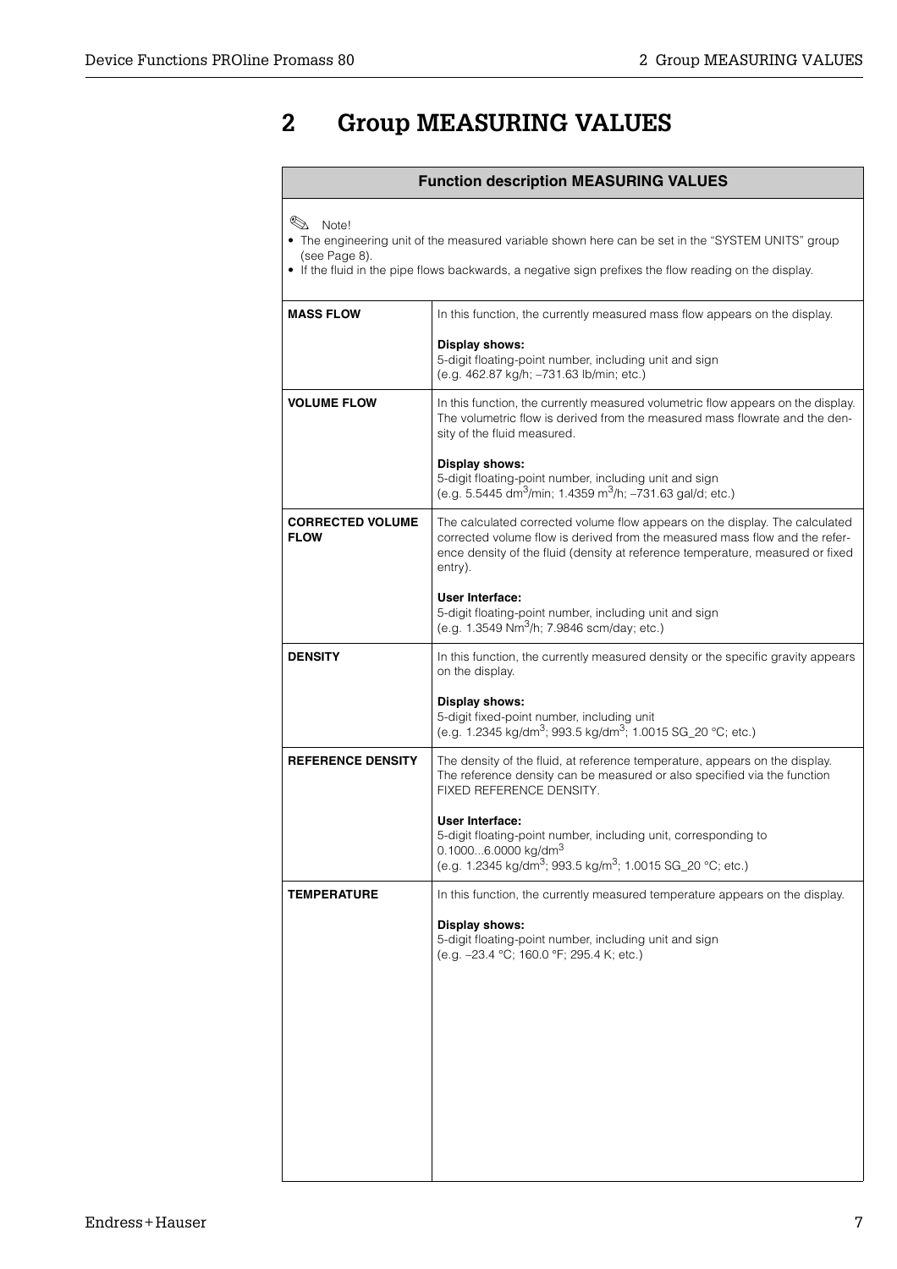### <span id="page-6-0"></span>**2 Group MEASURING VALUES**

#### <span id="page-6-8"></span>**Function description MEASURING VALUES**

**&** Note!

- The engineering unit of the measured variable shown here can be set in the "SYSTEM UNITS" group (see [Page 8\)](#page-7-0).
- <span id="page-6-9"></span>• If the fluid in the pipe flows backwards, a negative sign prefixes the flow reading on the display.

<span id="page-6-11"></span><span id="page-6-10"></span><span id="page-6-7"></span><span id="page-6-6"></span><span id="page-6-5"></span><span id="page-6-4"></span><span id="page-6-3"></span><span id="page-6-2"></span><span id="page-6-1"></span>

| <b>MASS FLOW</b>                       | In this function, the currently measured mass flow appears on the display.                                                                                                                                                                              |
|----------------------------------------|---------------------------------------------------------------------------------------------------------------------------------------------------------------------------------------------------------------------------------------------------------|
|                                        | Display shows:<br>5-digit floating-point number, including unit and sign<br>(e.g. 462.87 kg/h; -731.63 lb/min; etc.)                                                                                                                                    |
| <b>VOLUME FLOW</b>                     | In this function, the currently measured volumetric flow appears on the display.<br>The volumetric flow is derived from the measured mass flowrate and the den-<br>sity of the fluid measured.                                                          |
|                                        | Display shows:<br>5-digit floating-point number, including unit and sign<br>(e.g. 5.5445 dm <sup>3</sup> /min; 1.4359 m <sup>3</sup> /h; -731.63 gal/d; etc.)                                                                                           |
| <b>CORRECTED VOLUME</b><br><b>FLOW</b> | The calculated corrected volume flow appears on the display. The calculated<br>corrected volume flow is derived from the measured mass flow and the refer-<br>ence density of the fluid (density at reference temperature, measured or fixed<br>entry). |
|                                        | User Interface:<br>5-digit floating-point number, including unit and sign<br>(e.g. 1.3549 Nm <sup>3</sup> /h; 7.9846 scm/day; etc.)                                                                                                                     |
| <b>DENSITY</b>                         | In this function, the currently measured density or the specific gravity appears<br>on the display.                                                                                                                                                     |
|                                        | <b>Display shows:</b><br>5-digit fixed-point number, including unit<br>(e.g. 1.2345 kg/dm <sup>3</sup> ; 993.5 kg/dm <sup>3</sup> ; 1.0015 SG_20 °C; etc.)                                                                                              |
| <b>REFERENCE DENSITY</b>               | The density of the fluid, at reference temperature, appears on the display.<br>The reference density can be measured or also specified via the function<br>FIXED REFERENCE DENSITY.                                                                     |
|                                        | User Interface:<br>5-digit floating-point number, including unit, corresponding to<br>0.10006.0000 kg/dm <sup>3</sup><br>(e.g. 1.2345 kg/dm <sup>3</sup> ; 993.5 kg/m <sup>3</sup> ; 1.0015 SG_20 °C; etc.)                                             |
| <b>TEMPERATURE</b>                     | In this function, the currently measured temperature appears on the display.                                                                                                                                                                            |
|                                        | <b>Display shows:</b><br>5-digit floating-point number, including unit and sign<br>(e.g. -23.4 °C; 160.0 °F; 295.4 K; etc.)                                                                                                                             |
|                                        |                                                                                                                                                                                                                                                         |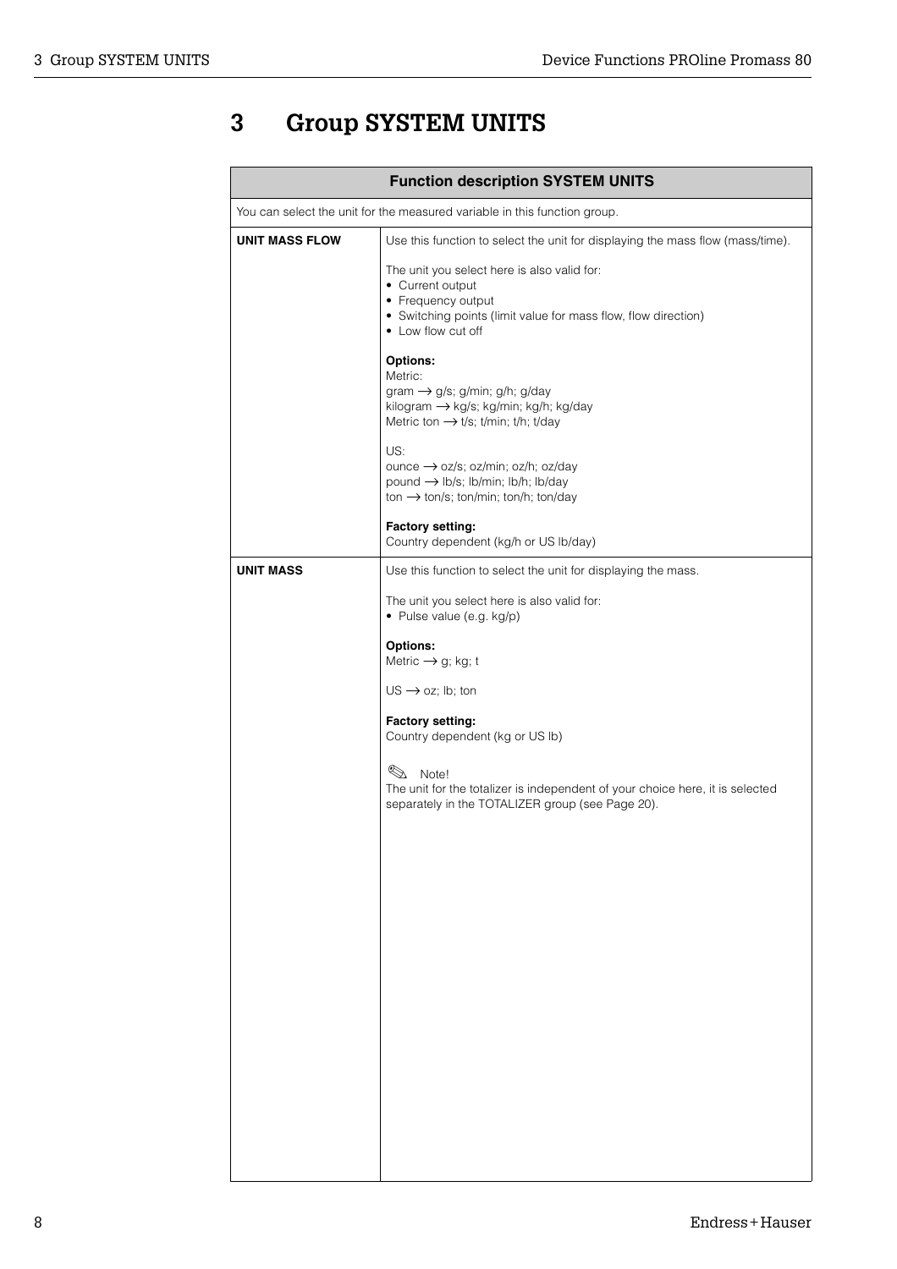## <span id="page-7-3"></span><span id="page-7-0"></span>**3 Group SYSTEM UNITS**

<span id="page-7-5"></span><span id="page-7-4"></span><span id="page-7-2"></span><span id="page-7-1"></span>

| You can select the unit for the measured variable in this function group.                                                                                                                                                                                                                                                                                                                                                                                                                                                                                                                              |  |  |
|--------------------------------------------------------------------------------------------------------------------------------------------------------------------------------------------------------------------------------------------------------------------------------------------------------------------------------------------------------------------------------------------------------------------------------------------------------------------------------------------------------------------------------------------------------------------------------------------------------|--|--|
| Use this function to select the unit for displaying the mass flow (mass/time).<br>The unit you select here is also valid for:<br>• Current output<br>• Frequency output<br>• Switching points (limit value for mass flow, flow direction)<br>• Low flow cut off<br><b>Options:</b><br>Metric:<br>gram $\rightarrow$ g/s; g/min; g/h; g/day<br>kilogram → kg/s; kg/min; kg/h; kg/day<br>Metric ton $\rightarrow$ t/s; t/min; t/h; t/day<br>ounce → oz/s; oz/min; oz/h; oz/day<br>pound $\rightarrow$ lb/s; lb/min; lb/h; lb/day<br>ton $\rightarrow$ ton/s; ton/min; ton/h; ton/day<br>Factory setting: |  |  |
| Country dependent (kg/h or US lb/day)<br>Use this function to select the unit for displaying the mass.<br>The unit you select here is also valid for:<br>• Pulse value (e.g. kg/p)<br><b>Options:</b><br>Metric $\rightarrow$ g; kg; t<br>$US \rightarrow oz$ ; lb; ton<br><b>Factory setting:</b><br>Country dependent (kg or US lb)<br>Note!<br>The unit for the totalizer is independent of your choice here, it is selected<br>separately in the TOTALIZER group (see Page 20).                                                                                                                    |  |  |
|                                                                                                                                                                                                                                                                                                                                                                                                                                                                                                                                                                                                        |  |  |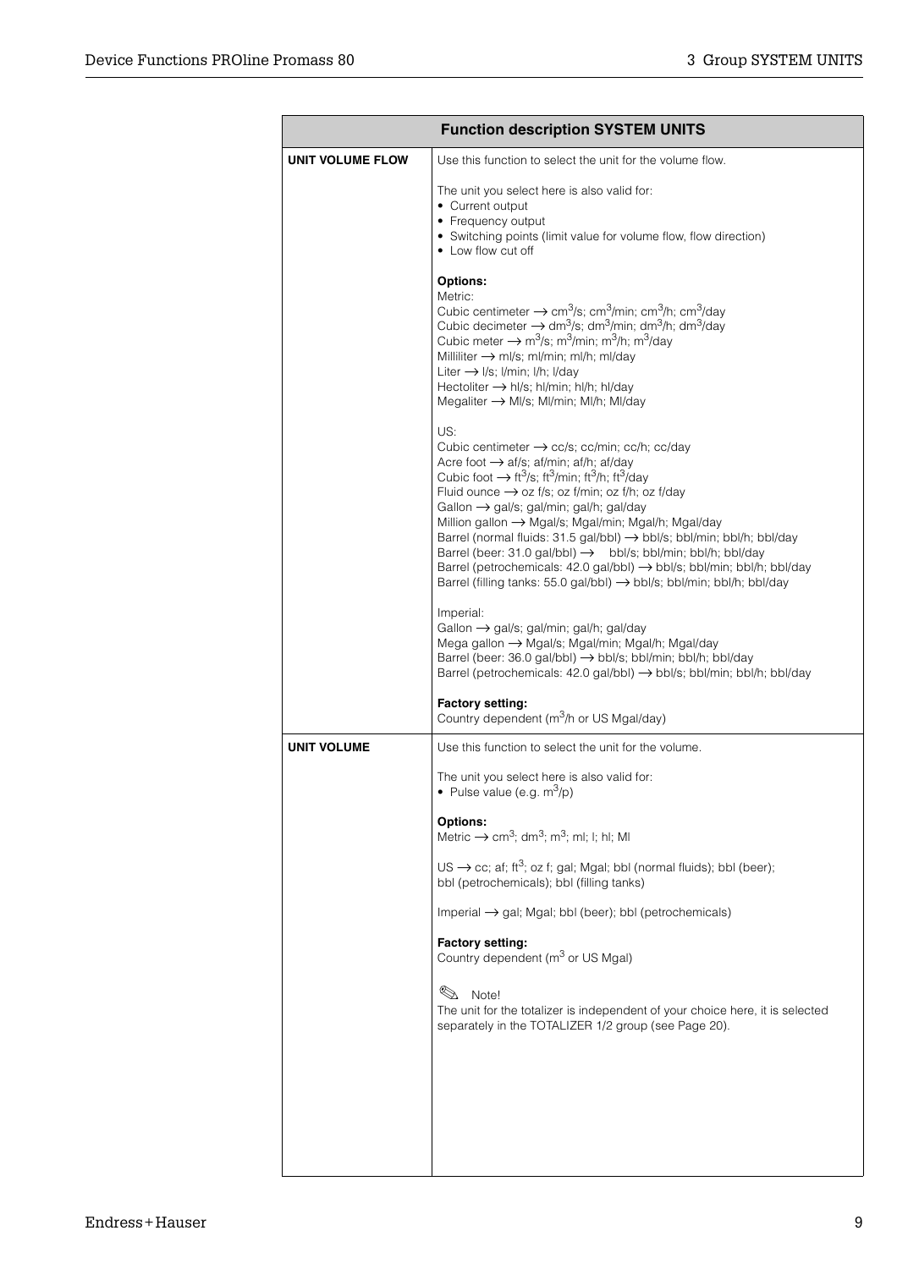<span id="page-8-3"></span><span id="page-8-2"></span><span id="page-8-1"></span><span id="page-8-0"></span>

|                    | <b>Function description SYSTEM UNITS</b>                                                                                                                                                                                                                                                                                                                                                                                                                                                                                                                                                                                                                                                                                                                                                                                                                                                                                                                                                                                                                                                                                                                                                                                                                                                                                                                                                                                                                                                                                                                                                                                                |
|--------------------|-----------------------------------------------------------------------------------------------------------------------------------------------------------------------------------------------------------------------------------------------------------------------------------------------------------------------------------------------------------------------------------------------------------------------------------------------------------------------------------------------------------------------------------------------------------------------------------------------------------------------------------------------------------------------------------------------------------------------------------------------------------------------------------------------------------------------------------------------------------------------------------------------------------------------------------------------------------------------------------------------------------------------------------------------------------------------------------------------------------------------------------------------------------------------------------------------------------------------------------------------------------------------------------------------------------------------------------------------------------------------------------------------------------------------------------------------------------------------------------------------------------------------------------------------------------------------------------------------------------------------------------------|
| UNIT VOLUME FLOW   | Use this function to select the unit for the volume flow.                                                                                                                                                                                                                                                                                                                                                                                                                                                                                                                                                                                                                                                                                                                                                                                                                                                                                                                                                                                                                                                                                                                                                                                                                                                                                                                                                                                                                                                                                                                                                                               |
|                    | The unit you select here is also valid for:<br>• Current output<br>• Frequency output<br>• Switching points (limit value for volume flow, flow direction)<br>• Low flow cut off                                                                                                                                                                                                                                                                                                                                                                                                                                                                                                                                                                                                                                                                                                                                                                                                                                                                                                                                                                                                                                                                                                                                                                                                                                                                                                                                                                                                                                                         |
|                    | <b>Options:</b><br>Metric:<br>Cubic centimeter $\rightarrow$ cm <sup>3</sup> /s; cm <sup>3</sup> /min; cm <sup>3</sup> /h; cm <sup>3</sup> /day<br>Cubic decimeter $\rightarrow$ dm <sup>3</sup> /s; dm <sup>3</sup> /min; dm <sup>3</sup> /h; dm <sup>3</sup> /day<br>Cubic meter $\rightarrow$ m <sup>3</sup> /s; m <sup>3</sup> /min; m <sup>3</sup> /h; m <sup>3</sup> /day<br>Milliliter $\rightarrow$ ml/s; ml/min; ml/h; ml/day<br>Liter $\rightarrow$ I/s; I/min; I/h; I/day<br>Hectoliter $\rightarrow$ hl/s; hl/min; hl/h; hl/day<br>Megaliter -> MI/s; MI/min; MI/h; MI/day<br>US:<br>Cubic centimeter $\rightarrow$ cc/s; cc/min; cc/h; cc/day<br>Acre foot → af/s; af/min; af/h; af/day<br>Cubic foot $\rightarrow$ ft <sup>3</sup> /s; ft <sup>3</sup> /min; ft <sup>3</sup> /h; ft <sup>3</sup> /day<br>Fluid ounce $\rightarrow$ oz f/s; oz f/min; oz f/h; oz f/day<br>Gallon → gal/s; gal/min; gal/h; gal/day<br>Million gallon $\rightarrow$ Mgal/s; Mgal/min; Mgal/h; Mgal/day<br>Barrel (normal fluids: 31.5 gal/bbl) $\rightarrow$ bbl/s; bbl/min; bbl/h; bbl/day<br>Barrel (beer: 31.0 gal/bbl) $\rightarrow$ bbl/s; bbl/min; bbl/h; bbl/day<br>Barrel (petrochemicals: 42.0 gal/bbl) $\rightarrow$ bbl/s; bbl/min; bbl/h; bbl/day<br>Barrel (filling tanks: 55.0 gal/bbl) $\rightarrow$ bbl/s; bbl/min; bbl/h; bbl/day<br>Imperial:<br>Gallon → gal/s; gal/min; gal/h; gal/day<br>Mega gallon $\rightarrow$ Mgal/s; Mgal/min; Mgal/h; Mgal/day<br>Barrel (beer: 36.0 gal/bbl) $\rightarrow$ bbl/s; bbl/min; bbl/h; bbl/day<br>Barrel (petrochemicals: 42.0 gal/bbl) $\rightarrow$ bbl/s; bbl/min; bbl/h; bbl/day |
|                    | Factory setting:<br>Country dependent (m <sup>3</sup> /h or US Mgal/day)                                                                                                                                                                                                                                                                                                                                                                                                                                                                                                                                                                                                                                                                                                                                                                                                                                                                                                                                                                                                                                                                                                                                                                                                                                                                                                                                                                                                                                                                                                                                                                |
| <b>UNIT VOLUME</b> | Use this function to select the unit for the volume.                                                                                                                                                                                                                                                                                                                                                                                                                                                                                                                                                                                                                                                                                                                                                                                                                                                                                                                                                                                                                                                                                                                                                                                                                                                                                                                                                                                                                                                                                                                                                                                    |
|                    | The unit you select here is also valid for:<br>• Pulse value (e.g. $m^3/p$ )                                                                                                                                                                                                                                                                                                                                                                                                                                                                                                                                                                                                                                                                                                                                                                                                                                                                                                                                                                                                                                                                                                                                                                                                                                                                                                                                                                                                                                                                                                                                                            |
|                    | Options:<br>Metric $\rightarrow$ cm <sup>3</sup> ; dm <sup>3</sup> ; m <sup>3</sup> ; ml; l; hl; Ml                                                                                                                                                                                                                                                                                                                                                                                                                                                                                                                                                                                                                                                                                                                                                                                                                                                                                                                                                                                                                                                                                                                                                                                                                                                                                                                                                                                                                                                                                                                                     |
|                    | $US \rightarrow cc$ ; af; ft <sup>3</sup> ; oz f; gal; Mgal; bbl (normal fluids); bbl (beer);<br>bbl (petrochemicals); bbl (filling tanks)                                                                                                                                                                                                                                                                                                                                                                                                                                                                                                                                                                                                                                                                                                                                                                                                                                                                                                                                                                                                                                                                                                                                                                                                                                                                                                                                                                                                                                                                                              |
|                    | Imperial $\rightarrow$ gal; Mgal; bbl (beer); bbl (petrochemicals)                                                                                                                                                                                                                                                                                                                                                                                                                                                                                                                                                                                                                                                                                                                                                                                                                                                                                                                                                                                                                                                                                                                                                                                                                                                                                                                                                                                                                                                                                                                                                                      |
|                    | Factory setting:<br>Country dependent (m <sup>3</sup> or US Mgal)                                                                                                                                                                                                                                                                                                                                                                                                                                                                                                                                                                                                                                                                                                                                                                                                                                                                                                                                                                                                                                                                                                                                                                                                                                                                                                                                                                                                                                                                                                                                                                       |
|                    | $\mathbb{Z}$<br>Note!<br>The unit for the totalizer is independent of your choice here, it is selected<br>separately in the TOTALIZER 1/2 group (see Page 20).                                                                                                                                                                                                                                                                                                                                                                                                                                                                                                                                                                                                                                                                                                                                                                                                                                                                                                                                                                                                                                                                                                                                                                                                                                                                                                                                                                                                                                                                          |
|                    |                                                                                                                                                                                                                                                                                                                                                                                                                                                                                                                                                                                                                                                                                                                                                                                                                                                                                                                                                                                                                                                                                                                                                                                                                                                                                                                                                                                                                                                                                                                                                                                                                                         |
|                    |                                                                                                                                                                                                                                                                                                                                                                                                                                                                                                                                                                                                                                                                                                                                                                                                                                                                                                                                                                                                                                                                                                                                                                                                                                                                                                                                                                                                                                                                                                                                                                                                                                         |
|                    |                                                                                                                                                                                                                                                                                                                                                                                                                                                                                                                                                                                                                                                                                                                                                                                                                                                                                                                                                                                                                                                                                                                                                                                                                                                                                                                                                                                                                                                                                                                                                                                                                                         |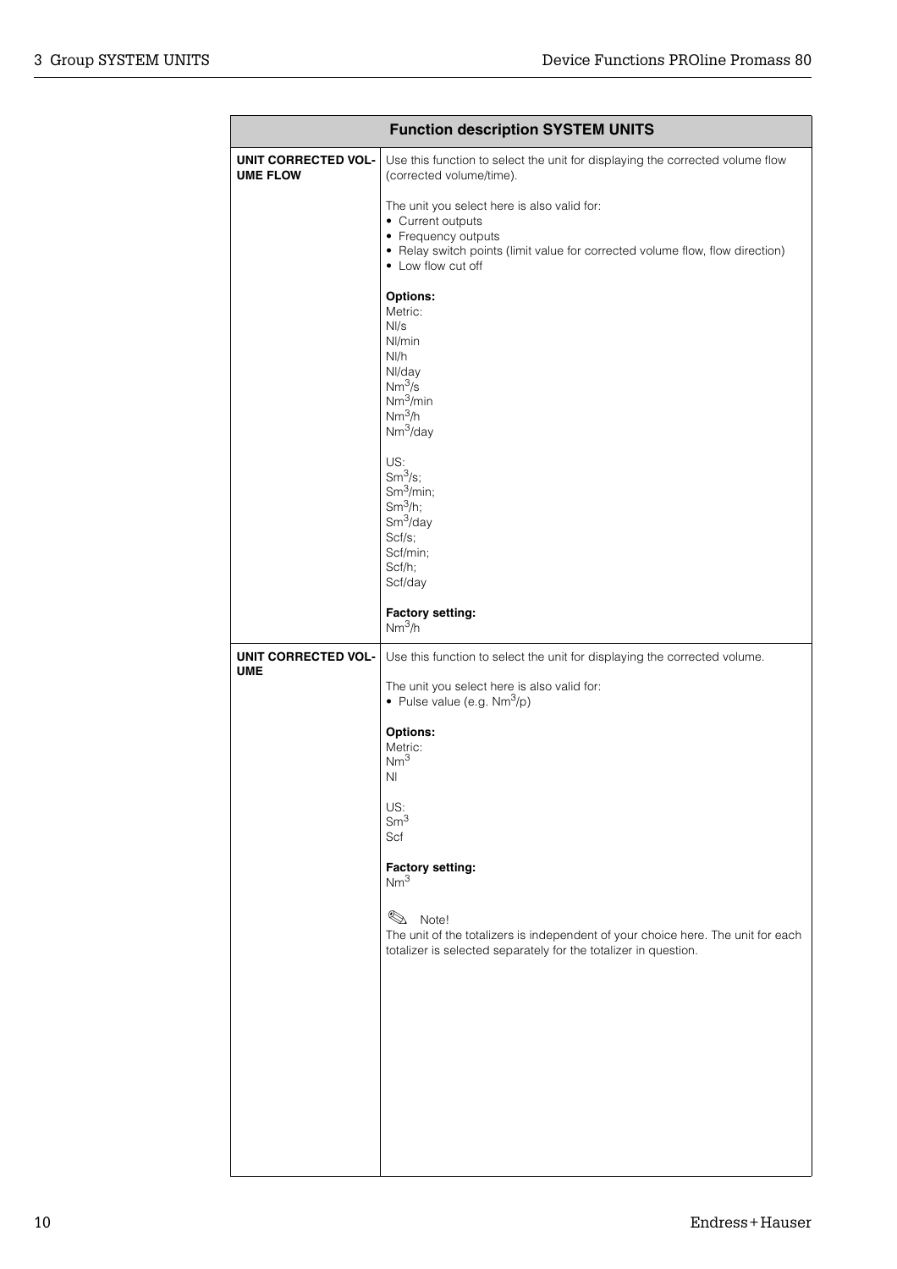<span id="page-9-1"></span><span id="page-9-0"></span>

|                                          | <b>Function description SYSTEM UNITS</b>                                                                                                                                                                                                                                                                                                                                                                                                                                                                            |
|------------------------------------------|---------------------------------------------------------------------------------------------------------------------------------------------------------------------------------------------------------------------------------------------------------------------------------------------------------------------------------------------------------------------------------------------------------------------------------------------------------------------------------------------------------------------|
| UNIT CORRECTED VOL-<br><b>UME FLOW</b>   | Use this function to select the unit for displaying the corrected volume flow<br>(corrected volume/time).                                                                                                                                                                                                                                                                                                                                                                                                           |
|                                          | The unit you select here is also valid for:<br>• Current outputs<br>• Frequency outputs<br>• Relay switch points (limit value for corrected volume flow, flow direction)<br>• Low flow cut off                                                                                                                                                                                                                                                                                                                      |
|                                          | Options:<br>Metric:<br>$N$ / $S$<br>Nl/min<br>Nl/h<br>Nl/day<br>$Nm^3/s$<br>$Nm^3/min$<br>$Nm^3/h$<br>$Nm^3$ /day                                                                                                                                                                                                                                                                                                                                                                                                   |
|                                          | US:<br>$Sm^3/s;$<br>$Sm^3/m$ in;<br>Sm <sup>3</sup> /h;<br>$Sm^3$ /day<br>Scf/s;<br>Scf/min;<br>Scf/h;<br>Scf/day                                                                                                                                                                                                                                                                                                                                                                                                   |
|                                          | Factory setting:<br>$Nm^3/h$                                                                                                                                                                                                                                                                                                                                                                                                                                                                                        |
| <b>UNIT CORRECTED VOL-</b><br><b>UME</b> | Use this function to select the unit for displaying the corrected volume.<br>The unit you select here is also valid for:<br>• Pulse value (e.g. $Nm^3/p$ )                                                                                                                                                                                                                                                                                                                                                          |
|                                          | Options:<br>Metric:<br>Nm <sup>3</sup><br>N <sub>l</sub>                                                                                                                                                                                                                                                                                                                                                                                                                                                            |
|                                          | US:<br>Sm <sup>3</sup><br>Scf                                                                                                                                                                                                                                                                                                                                                                                                                                                                                       |
|                                          | Factory setting:<br>Nm <sup>3</sup>                                                                                                                                                                                                                                                                                                                                                                                                                                                                                 |
|                                          | $\begin{picture}(20,20) \put(0,0){\line(1,0){10}} \put(15,0){\line(1,0){10}} \put(15,0){\line(1,0){10}} \put(15,0){\line(1,0){10}} \put(15,0){\line(1,0){10}} \put(15,0){\line(1,0){10}} \put(15,0){\line(1,0){10}} \put(15,0){\line(1,0){10}} \put(15,0){\line(1,0){10}} \put(15,0){\line(1,0){10}} \put(15,0){\line(1,0){10}} \put(15,0){\line(1$<br>Note!<br>The unit of the totalizers is independent of your choice here. The unit for each<br>totalizer is selected separately for the totalizer in question. |
|                                          |                                                                                                                                                                                                                                                                                                                                                                                                                                                                                                                     |
|                                          |                                                                                                                                                                                                                                                                                                                                                                                                                                                                                                                     |
|                                          |                                                                                                                                                                                                                                                                                                                                                                                                                                                                                                                     |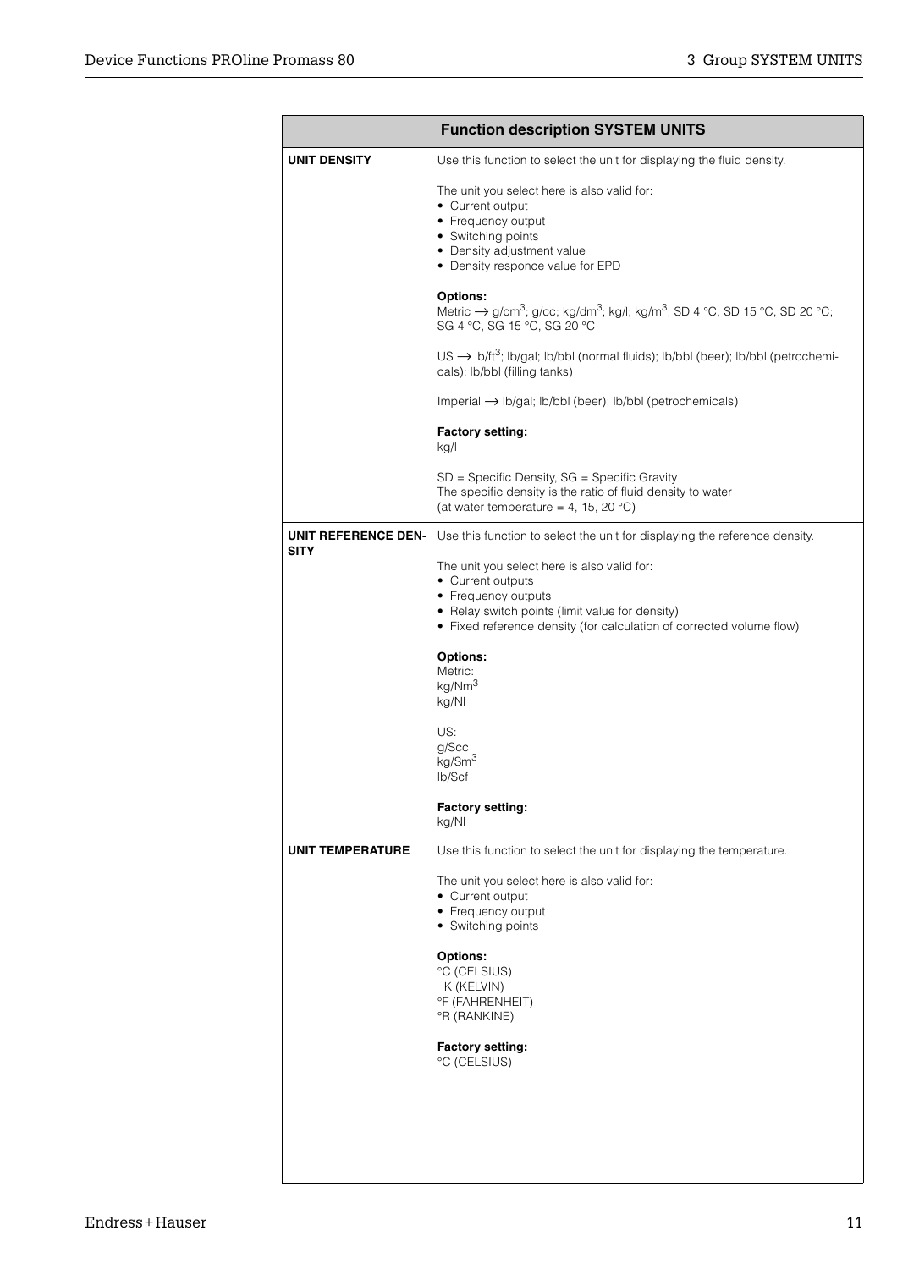<span id="page-10-3"></span><span id="page-10-2"></span><span id="page-10-1"></span><span id="page-10-0"></span>

|                                           | <b>Function description SYSTEM UNITS</b>                                                                                                                                                                           |
|-------------------------------------------|--------------------------------------------------------------------------------------------------------------------------------------------------------------------------------------------------------------------|
| UNIT DENSITY                              | Use this function to select the unit for displaying the fluid density.                                                                                                                                             |
|                                           | The unit you select here is also valid for:<br>• Current output<br>• Frequency output<br>• Switching points<br>• Density adjustment value<br>• Density responce value for EPD                                      |
|                                           | <b>Options:</b><br>Metric $\rightarrow$ g/cm <sup>3</sup> ; g/cc; kg/dm <sup>3</sup> ; kg/l; kg/m <sup>3</sup> ; SD 4 °C, SD 15 °C, SD 20 °C;<br>SG 4 °C, SG 15 °C, SG 20 °C                                       |
|                                           | US $\rightarrow$ lb/ft <sup>3</sup> ; lb/gal; lb/bbl (normal fluids); lb/bbl (beer); lb/bbl (petrochemi-<br>cals); lb/bbl (filling tanks)                                                                          |
|                                           | Imperial $\rightarrow$ lb/gal; lb/bbl (beer); lb/bbl (petrochemicals)                                                                                                                                              |
|                                           | Factory setting:<br>kg/l                                                                                                                                                                                           |
|                                           | SD = Specific Density, SG = Specific Gravity<br>The specific density is the ratio of fluid density to water<br>(at water temperature = 4, 15, 20 $^{\circ}$ C)                                                     |
| <b>UNIT REFERENCE DEN-</b><br><b>SITY</b> | Use this function to select the unit for displaying the reference density.                                                                                                                                         |
|                                           | The unit you select here is also valid for:<br>• Current outputs<br>• Frequency outputs<br>• Relay switch points (limit value for density)<br>• Fixed reference density (for calculation of corrected volume flow) |
|                                           | <b>Options:</b><br>Metric:<br>kg/Nm <sup>3</sup><br>kg/NI                                                                                                                                                          |
|                                           | US:<br>g/Scc<br>kg/Sm <sup>3</sup><br>lb/Scf                                                                                                                                                                       |
|                                           | <b>Factory setting:</b><br>kg/NI                                                                                                                                                                                   |
| <b>UNIT TEMPERATURE</b>                   | Use this function to select the unit for displaying the temperature.                                                                                                                                               |
|                                           | The unit you select here is also valid for:<br>• Current output<br>• Frequency output<br>• Switching points                                                                                                        |
|                                           | <b>Options:</b><br>°C (CELSIUS)<br>K (KELVIN)<br>°F (FAHRENHEIT)<br>°R (RANKINE)                                                                                                                                   |
|                                           | <b>Factory setting:</b><br>°C (CELSIUS)                                                                                                                                                                            |
|                                           |                                                                                                                                                                                                                    |
|                                           |                                                                                                                                                                                                                    |
|                                           |                                                                                                                                                                                                                    |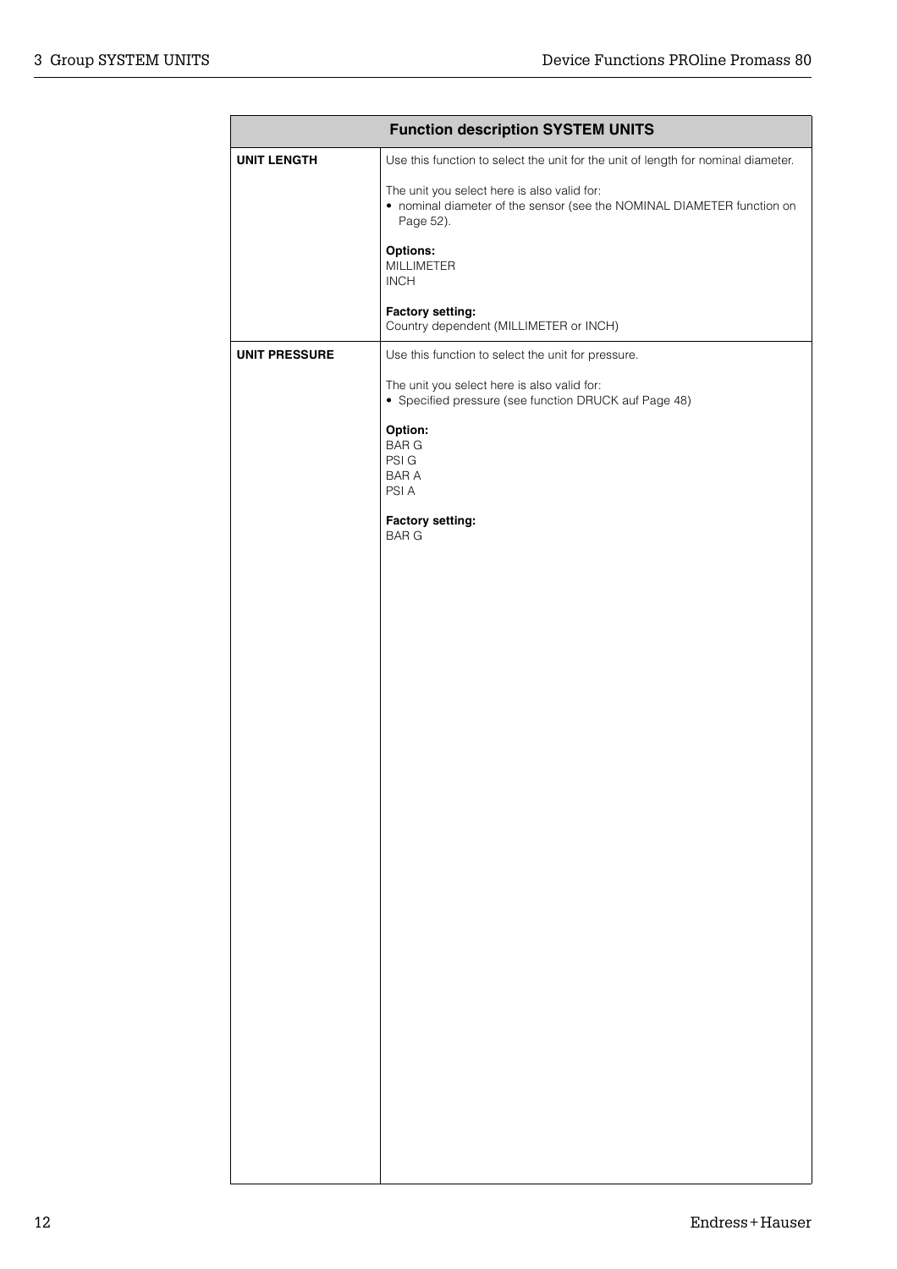<span id="page-11-3"></span><span id="page-11-2"></span><span id="page-11-1"></span><span id="page-11-0"></span>

|                      | <b>Function description SYSTEM UNITS</b>                                                                                           |
|----------------------|------------------------------------------------------------------------------------------------------------------------------------|
| <b>UNIT LENGTH</b>   | Use this function to select the unit for the unit of length for nominal diameter.                                                  |
|                      | The unit you select here is also valid for:<br>• nominal diameter of the sensor (see the NOMINAL DIAMETER function on<br>Page 52). |
|                      | Options:<br><b>MILLIMETER</b><br><b>INCH</b>                                                                                       |
|                      | Factory setting:<br>Country dependent (MILLIMETER or INCH)                                                                         |
| <b>UNIT PRESSURE</b> | Use this function to select the unit for pressure.                                                                                 |
|                      | The unit you select here is also valid for:<br>• Specified pressure (see function DRUCK auf Page 48)                               |
|                      | Option:<br><b>BAR G</b>                                                                                                            |
|                      | PSI G<br><b>BAR A</b>                                                                                                              |
|                      | PSI A                                                                                                                              |
|                      | Factory setting:<br><b>BARG</b>                                                                                                    |
|                      |                                                                                                                                    |
|                      |                                                                                                                                    |
|                      |                                                                                                                                    |
|                      |                                                                                                                                    |
|                      |                                                                                                                                    |
|                      |                                                                                                                                    |
|                      |                                                                                                                                    |
|                      |                                                                                                                                    |
|                      |                                                                                                                                    |
|                      |                                                                                                                                    |
|                      |                                                                                                                                    |
|                      |                                                                                                                                    |
|                      |                                                                                                                                    |
|                      |                                                                                                                                    |
|                      |                                                                                                                                    |
|                      |                                                                                                                                    |
|                      |                                                                                                                                    |
|                      |                                                                                                                                    |
|                      |                                                                                                                                    |
|                      |                                                                                                                                    |
|                      |                                                                                                                                    |
|                      |                                                                                                                                    |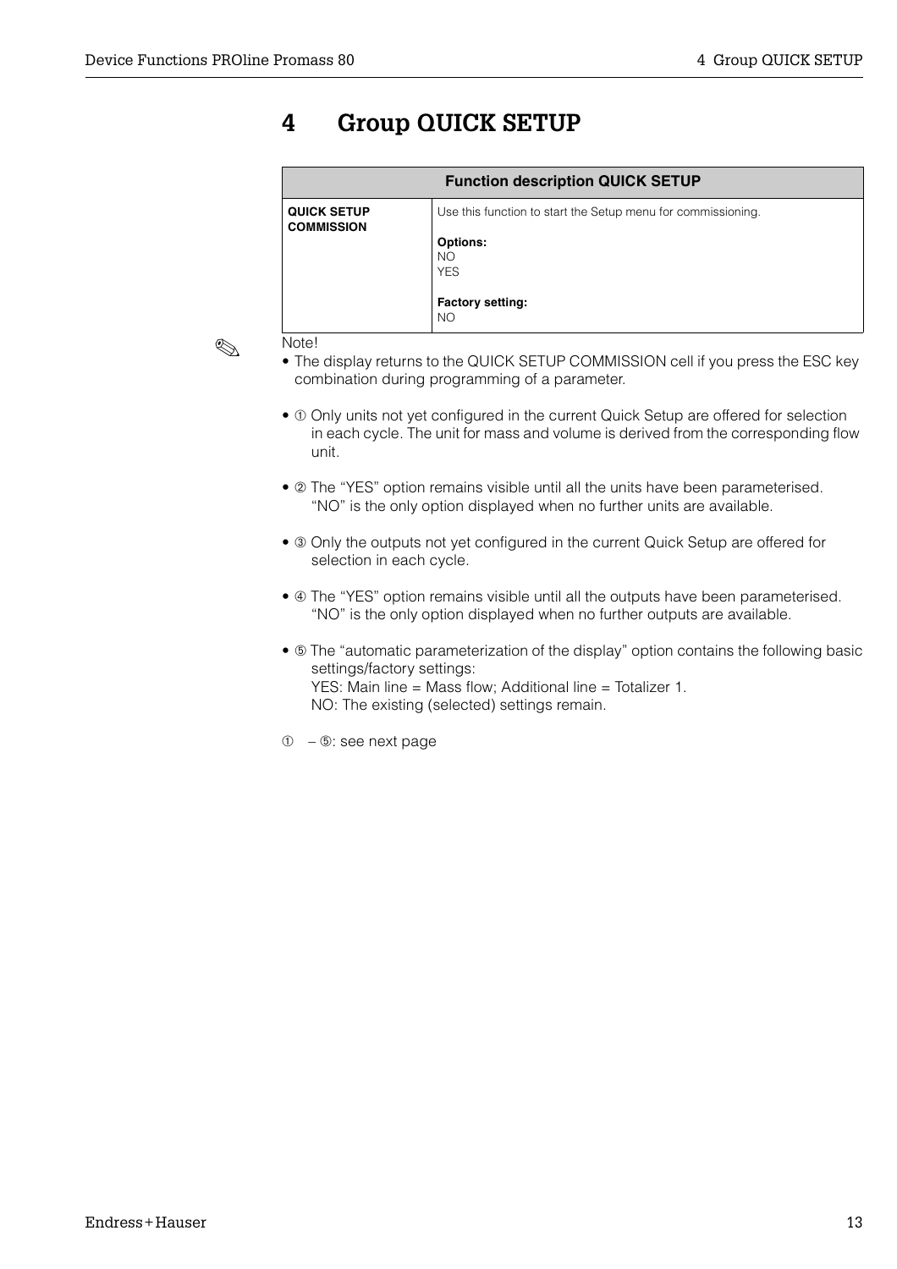### <span id="page-12-2"></span><span id="page-12-0"></span>**4 Group QUICK SETUP**

<span id="page-12-3"></span><span id="page-12-1"></span>

|                                         | <b>Function description QUICK SETUP</b>                      |
|-----------------------------------------|--------------------------------------------------------------|
| <b>QUICK SETUP</b><br><b>COMMISSION</b> | Use this function to start the Setup menu for commissioning. |
|                                         | <b>Options:</b><br>NO                                        |
|                                         | <b>YES</b>                                                   |
|                                         | <b>Factory setting:</b><br><b>NO</b>                         |



- The display returns to the QUICK SETUP COMMISSION cell if you press the ESC key combination during programming of a parameter.
- ➀ Only units not yet configured in the current Quick Setup are offered for selection in each cycle. The unit for mass and volume is derived from the corresponding flow unit.
- © The "YES" option remains visible until all the units have been parameterised. "NO" is the only option displayed when no further units are available.
- 3 Only the outputs not yet configured in the current Quick Setup are offered for selection in each cycle.
- ➃ The "YES" option remains visible until all the outputs have been parameterised. "NO" is the only option displayed when no further outputs are available.
- ➄ The "automatic parameterization of the display" option contains the following basic settings/factory settings: YES: Main line = Mass flow; Additional line = Totalizer 1. NO: The existing (selected) settings remain.
- $\Phi$   $\Phi$ : see next page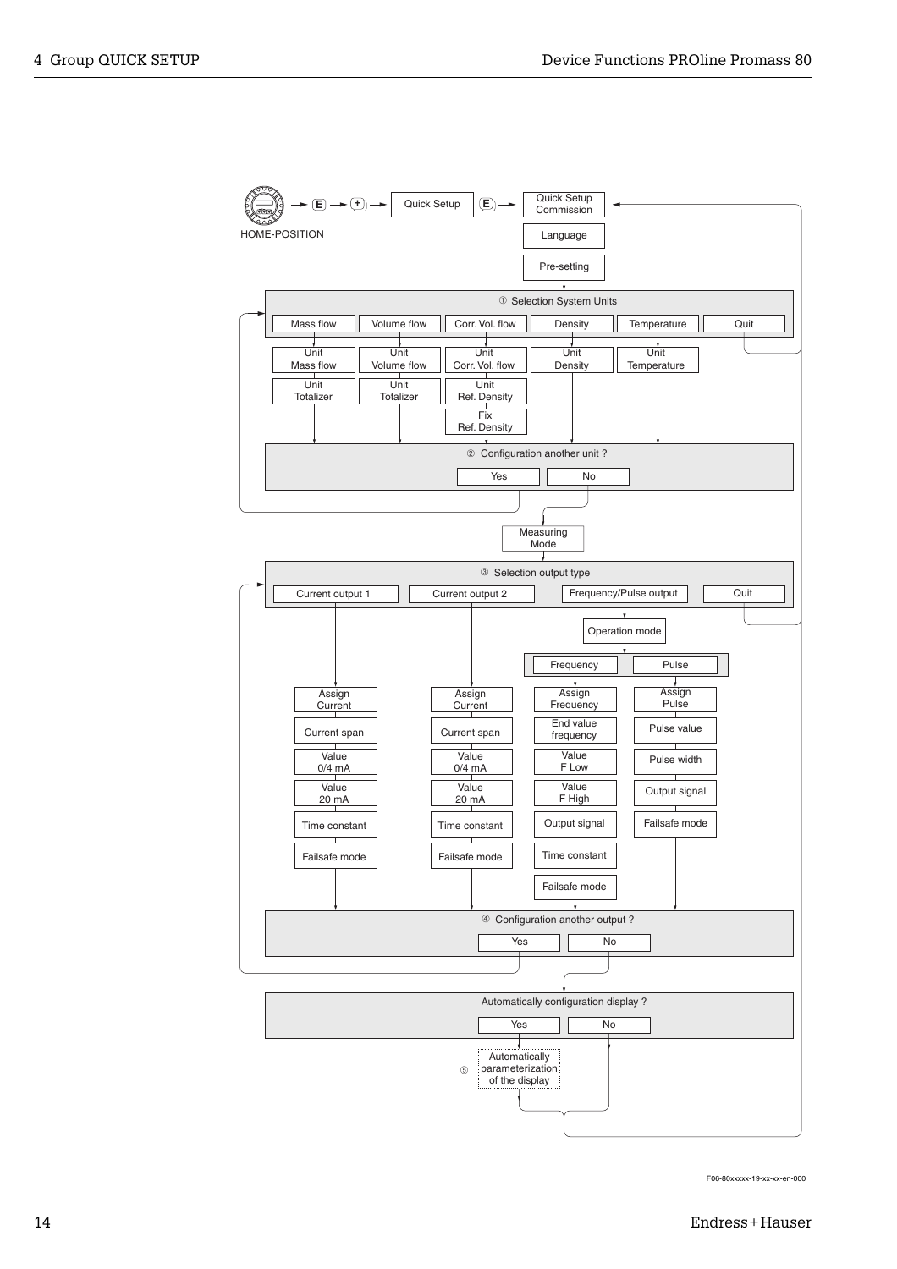<span id="page-13-0"></span>

F06-80xxxxx-19-xx-xx-en-000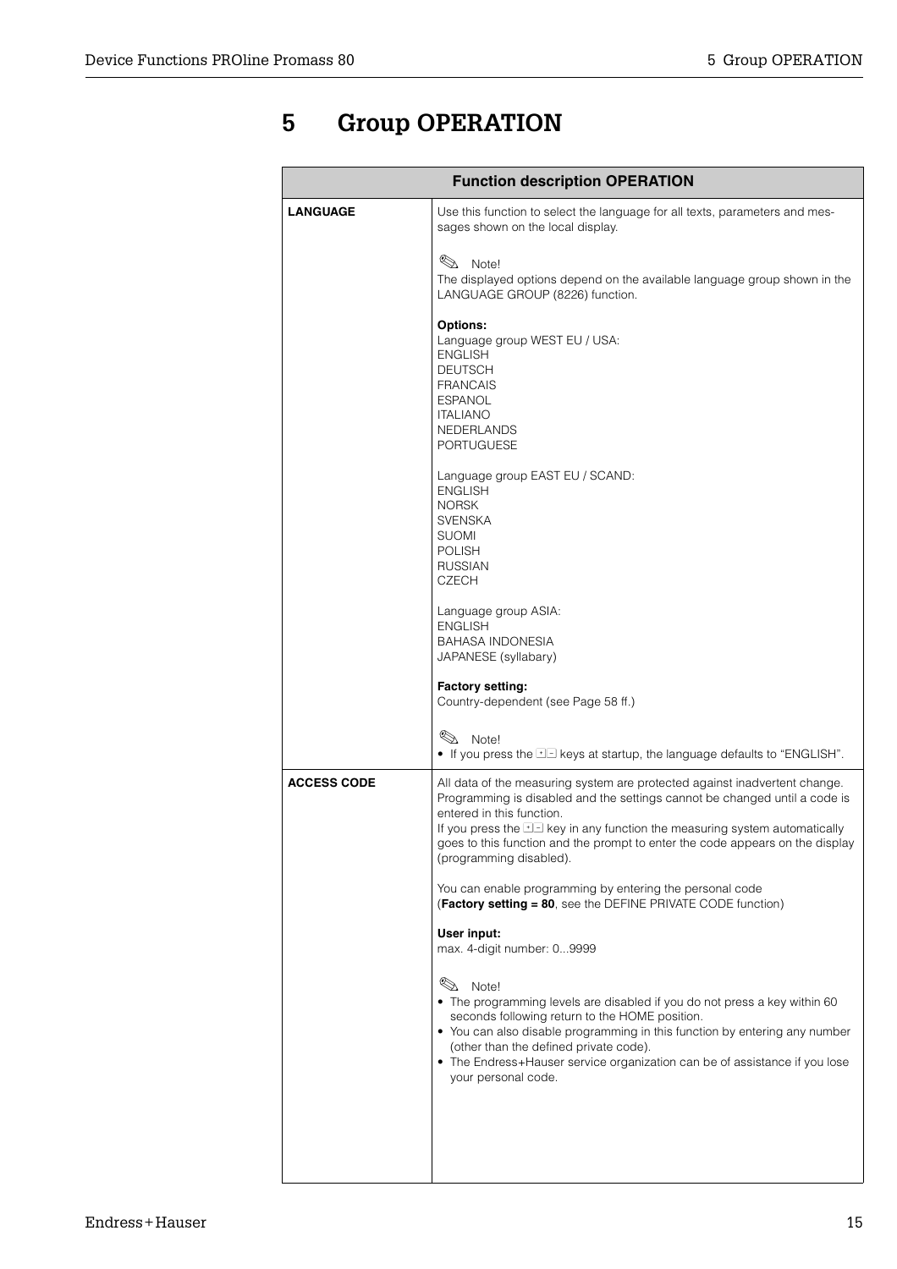# <span id="page-14-4"></span><span id="page-14-0"></span>**5 Group OPERATION**

<span id="page-14-5"></span><span id="page-14-3"></span><span id="page-14-2"></span><span id="page-14-1"></span>

|                    | <b>Function description OPERATION</b>                                                                                                                                                                                                                                                                                                                                                 |
|--------------------|---------------------------------------------------------------------------------------------------------------------------------------------------------------------------------------------------------------------------------------------------------------------------------------------------------------------------------------------------------------------------------------|
| <b>LANGUAGE</b>    | Use this function to select the language for all texts, parameters and mes-<br>sages shown on the local display.                                                                                                                                                                                                                                                                      |
|                    | $\otimes$ Note!<br>The displayed options depend on the available language group shown in the<br>LANGUAGE GROUP (8226) function.                                                                                                                                                                                                                                                       |
|                    | <b>Options:</b><br>Language group WEST EU / USA:<br><b>ENGLISH</b><br><b>DEUTSCH</b><br><b>FRANCAIS</b><br><b>ESPANOL</b><br><b>ITALIANO</b><br><b>NEDERLANDS</b><br><b>PORTUGUESE</b>                                                                                                                                                                                                |
|                    | Language group EAST EU / SCAND:<br><b>ENGLISH</b><br><b>NORSK</b><br><b>SVENSKA</b><br><b>SUOMI</b><br><b>POLISH</b><br><b>RUSSIAN</b><br><b>CZECH</b>                                                                                                                                                                                                                                |
|                    | Language group ASIA:<br><b>ENGLISH</b><br><b>BAHASA INDONESIA</b><br>JAPANESE (syllabary)                                                                                                                                                                                                                                                                                             |
|                    | <b>Factory setting:</b><br>Country-dependent (see Page 58 ff.)                                                                                                                                                                                                                                                                                                                        |
|                    | Note!<br>• If you press the $\pm\equiv$ keys at startup, the language defaults to "ENGLISH".                                                                                                                                                                                                                                                                                          |
| <b>ACCESS CODE</b> | All data of the measuring system are protected against inadvertent change.<br>Programming is disabled and the settings cannot be changed until a code is<br>entered in this function.<br>If you press the $\pm\pm$ key in any function the measuring system automatically<br>goes to this function and the prompt to enter the code appears on the display<br>(programming disabled). |
|                    | You can enable programming by entering the personal code<br>(Factory setting = 80, see the DEFINE PRIVATE CODE function)                                                                                                                                                                                                                                                              |
|                    | User input:<br>max. 4-digit number: 09999                                                                                                                                                                                                                                                                                                                                             |
|                    | Note!<br>• The programming levels are disabled if you do not press a key within 60<br>seconds following return to the HOME position.<br>• You can also disable programming in this function by entering any number<br>(other than the defined private code).<br>• The Endress+Hauser service organization can be of assistance if you lose<br>your personal code.                     |
|                    |                                                                                                                                                                                                                                                                                                                                                                                       |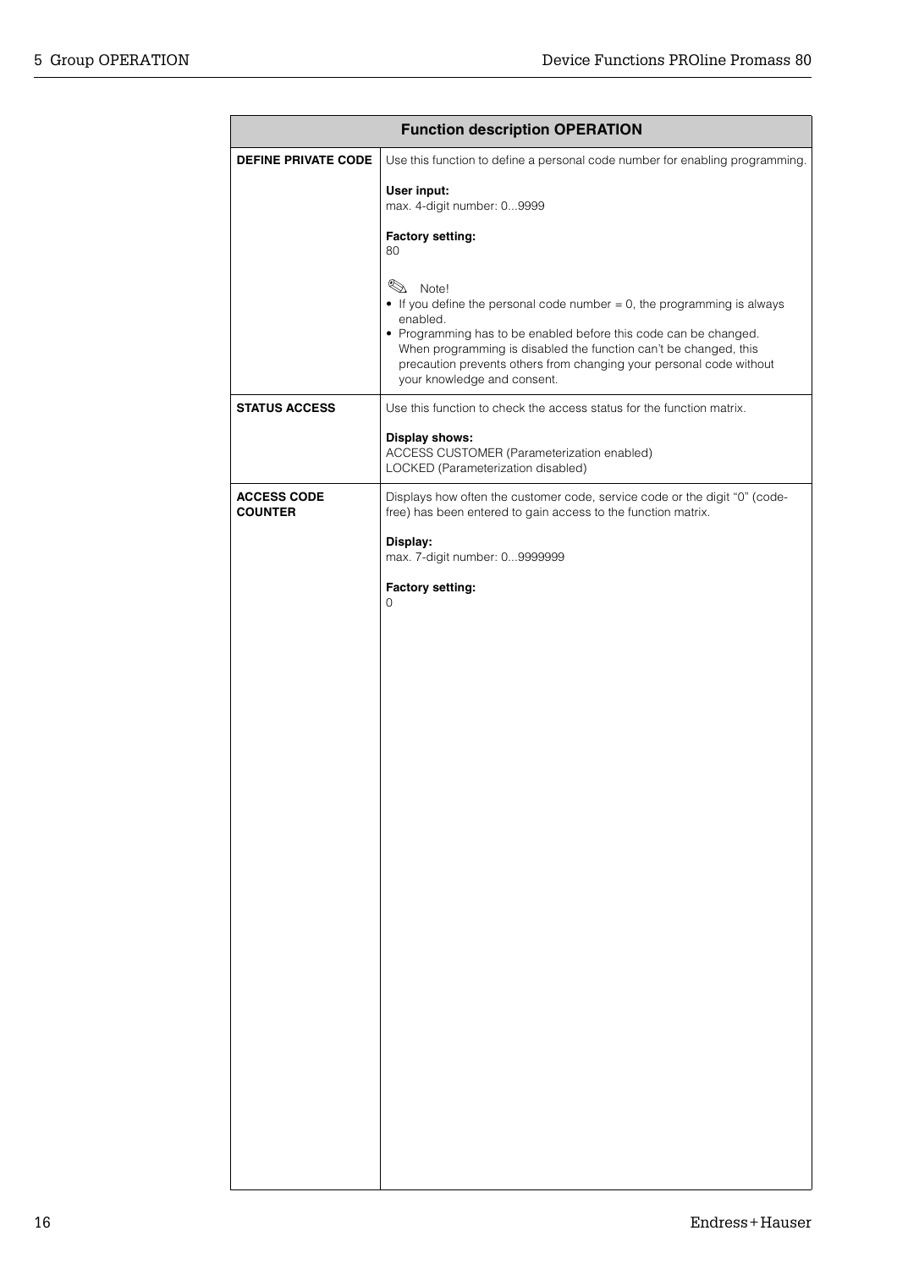<span id="page-15-5"></span><span id="page-15-4"></span><span id="page-15-3"></span><span id="page-15-2"></span><span id="page-15-1"></span><span id="page-15-0"></span>

|                                      | <b>Function description OPERATION</b>                                                                                                                                                                                                                                                                                                                               |
|--------------------------------------|---------------------------------------------------------------------------------------------------------------------------------------------------------------------------------------------------------------------------------------------------------------------------------------------------------------------------------------------------------------------|
| <b>DEFINE PRIVATE CODE</b>           | Use this function to define a personal code number for enabling programming.                                                                                                                                                                                                                                                                                        |
|                                      | User input:<br>max. 4-digit number: 09999                                                                                                                                                                                                                                                                                                                           |
|                                      | Factory setting:<br>80                                                                                                                                                                                                                                                                                                                                              |
|                                      | $\mathcal{Q}$<br>Note!<br>$\bullet$ If you define the personal code number = 0, the programming is always<br>enabled.<br>• Programming has to be enabled before this code can be changed.<br>When programming is disabled the function can't be changed, this<br>precaution prevents others from changing your personal code without<br>your knowledge and consent. |
| <b>STATUS ACCESS</b>                 | Use this function to check the access status for the function matrix.                                                                                                                                                                                                                                                                                               |
|                                      | <b>Display shows:</b><br>ACCESS CUSTOMER (Parameterization enabled)<br>LOCKED (Parameterization disabled)                                                                                                                                                                                                                                                           |
| <b>ACCESS CODE</b><br><b>COUNTER</b> | Displays how often the customer code, service code or the digit "0" (code-<br>free) has been entered to gain access to the function matrix.                                                                                                                                                                                                                         |
|                                      | Display:<br>max. 7-digit number: 09999999                                                                                                                                                                                                                                                                                                                           |
|                                      | Factory setting:<br>0                                                                                                                                                                                                                                                                                                                                               |
|                                      |                                                                                                                                                                                                                                                                                                                                                                     |
|                                      |                                                                                                                                                                                                                                                                                                                                                                     |
|                                      |                                                                                                                                                                                                                                                                                                                                                                     |
|                                      |                                                                                                                                                                                                                                                                                                                                                                     |
|                                      |                                                                                                                                                                                                                                                                                                                                                                     |
|                                      |                                                                                                                                                                                                                                                                                                                                                                     |
|                                      |                                                                                                                                                                                                                                                                                                                                                                     |
|                                      |                                                                                                                                                                                                                                                                                                                                                                     |
|                                      |                                                                                                                                                                                                                                                                                                                                                                     |
|                                      |                                                                                                                                                                                                                                                                                                                                                                     |
|                                      |                                                                                                                                                                                                                                                                                                                                                                     |
|                                      |                                                                                                                                                                                                                                                                                                                                                                     |
|                                      |                                                                                                                                                                                                                                                                                                                                                                     |
|                                      |                                                                                                                                                                                                                                                                                                                                                                     |
|                                      |                                                                                                                                                                                                                                                                                                                                                                     |
|                                      |                                                                                                                                                                                                                                                                                                                                                                     |
|                                      |                                                                                                                                                                                                                                                                                                                                                                     |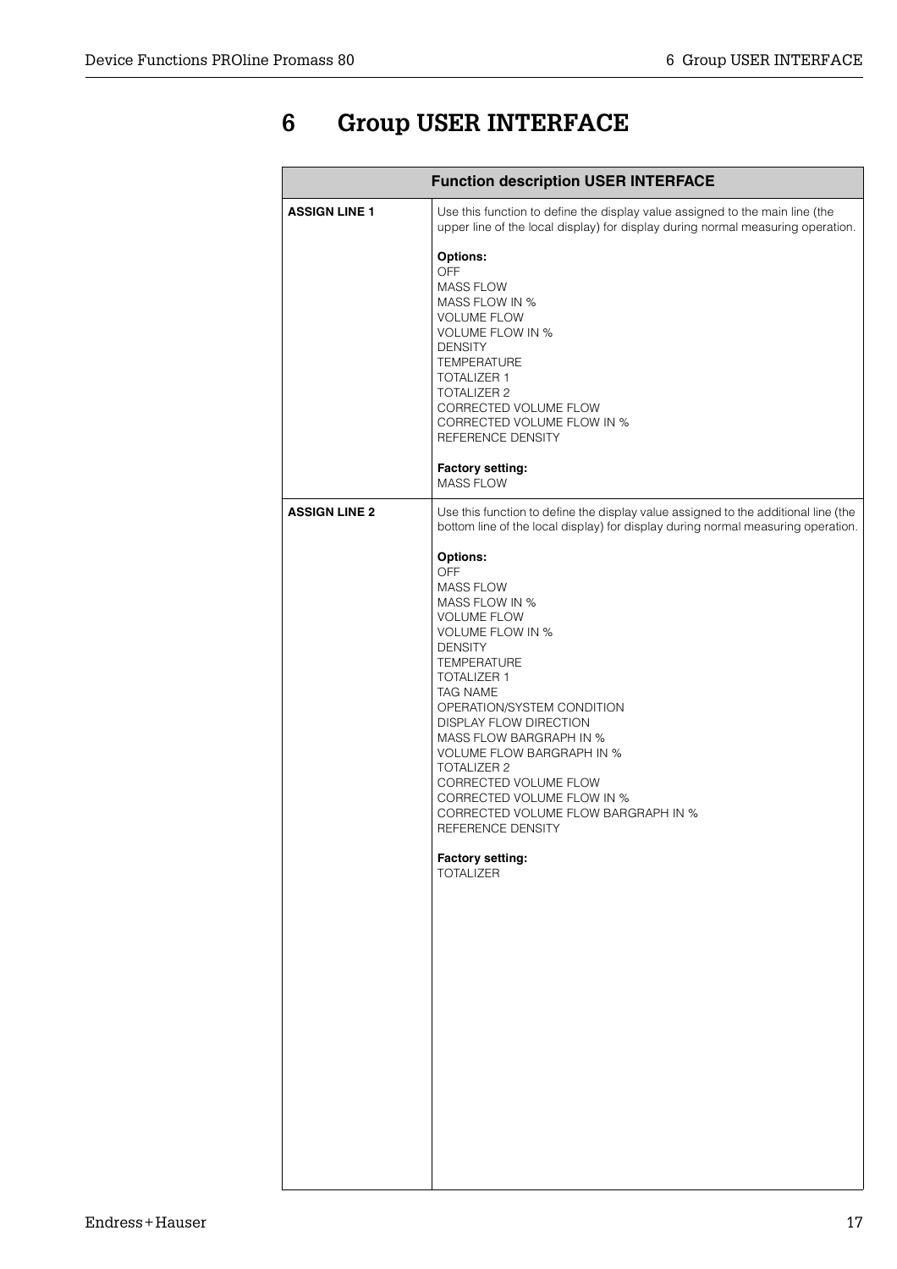# <span id="page-16-5"></span><span id="page-16-0"></span>**6 Group USER INTERFACE**

<span id="page-16-4"></span><span id="page-16-3"></span><span id="page-16-2"></span><span id="page-16-1"></span>

|                      | <b>Function description USER INTERFACE</b>                                                                                                                      |
|----------------------|-----------------------------------------------------------------------------------------------------------------------------------------------------------------|
| <b>ASSIGN LINE 1</b> | Use this function to define the display value assigned to the main line (the<br>upper line of the local display) for display during normal measuring operation. |
|                      | <b>Options:</b>                                                                                                                                                 |
|                      | OFF<br><b>MASS FLOW</b>                                                                                                                                         |
|                      | MASS FLOW IN %                                                                                                                                                  |
|                      | <b>VOLUME FLOW</b>                                                                                                                                              |
|                      | VOLUME FLOW IN %<br><b>DENSITY</b>                                                                                                                              |
|                      | <b>TEMPERATURE</b>                                                                                                                                              |
|                      | <b>TOTALIZER 1</b><br><b>TOTALIZER 2</b>                                                                                                                        |
|                      | CORRECTED VOLUME FLOW                                                                                                                                           |
|                      | CORRECTED VOLUME FLOW IN %<br>REFERENCE DENSITY                                                                                                                 |
|                      | <b>Factory setting:</b><br><b>MASS FLOW</b>                                                                                                                     |
| <b>ASSIGN LINE 2</b> | Use this function to define the display value assigned to the additional line (the                                                                              |
|                      | bottom line of the local display) for display during normal measuring operation.                                                                                |
|                      | <b>Options:</b><br>OFF                                                                                                                                          |
|                      | <b>MASS FLOW</b>                                                                                                                                                |
|                      | MASS FLOW IN %<br><b>VOLUME FLOW</b>                                                                                                                            |
|                      | VOLUME FLOW IN %                                                                                                                                                |
|                      | <b>DENSITY</b><br><b>TEMPERATURE</b>                                                                                                                            |
|                      | <b>TOTALIZER 1</b>                                                                                                                                              |
|                      | TAG NAME<br>OPERATION/SYSTEM CONDITION                                                                                                                          |
|                      | <b>DISPLAY FLOW DIRECTION</b>                                                                                                                                   |
|                      | MASS FLOW BARGRAPH IN %<br><b>VOLUME FLOW BARGRAPH IN %</b>                                                                                                     |
|                      | <b>TOTALIZER 2</b>                                                                                                                                              |
|                      | CORRECTED VOLUME FLOW<br>CORRECTED VOLUME FLOW IN %                                                                                                             |
|                      | CORRECTED VOLUME FLOW BARGRAPH IN %                                                                                                                             |
|                      | REFERENCE DENSITY                                                                                                                                               |
|                      | Factory setting:<br><b>TOTALIZER</b>                                                                                                                            |
|                      |                                                                                                                                                                 |
|                      |                                                                                                                                                                 |
|                      |                                                                                                                                                                 |
|                      |                                                                                                                                                                 |
|                      |                                                                                                                                                                 |
|                      |                                                                                                                                                                 |
|                      |                                                                                                                                                                 |
|                      |                                                                                                                                                                 |
|                      |                                                                                                                                                                 |
|                      |                                                                                                                                                                 |
|                      |                                                                                                                                                                 |
|                      |                                                                                                                                                                 |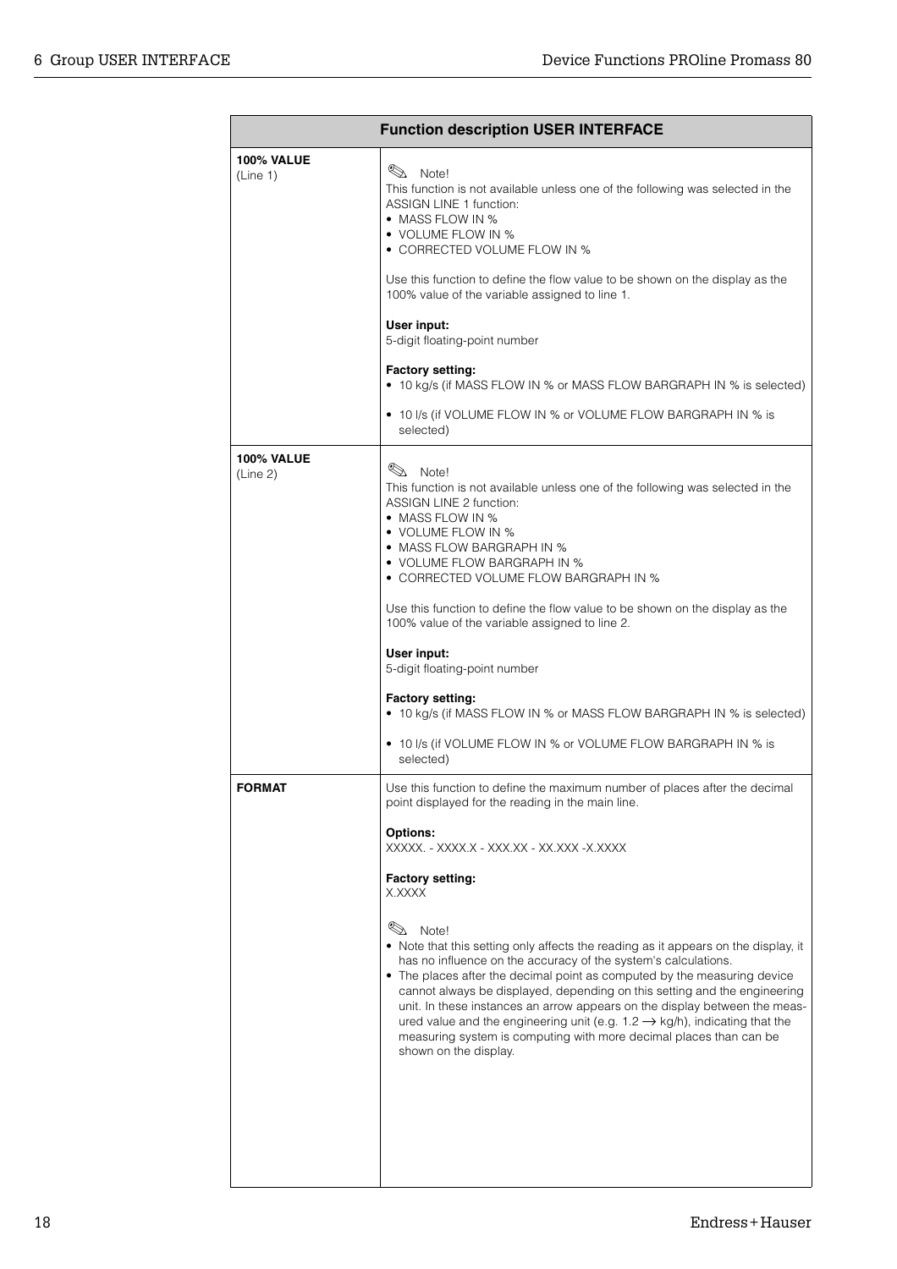<span id="page-17-5"></span><span id="page-17-4"></span><span id="page-17-3"></span><span id="page-17-2"></span><span id="page-17-1"></span><span id="page-17-0"></span>

| <b>Function description USER INTERFACE</b> |                                                                                                                                                                                                                                                                                                                                                                                                                                                                                                                                                                                                                |  |
|--------------------------------------------|----------------------------------------------------------------------------------------------------------------------------------------------------------------------------------------------------------------------------------------------------------------------------------------------------------------------------------------------------------------------------------------------------------------------------------------------------------------------------------------------------------------------------------------------------------------------------------------------------------------|--|
| <b>100% VALUE</b><br>(Line 1)              | $\mathcal{D}$<br>Note!<br>This function is not available unless one of the following was selected in the<br>ASSIGN LINE 1 function:<br>• MASS FLOW IN %<br>• VOLUME FLOW IN %<br>• CORRECTED VOLUME FLOW IN %<br>Use this function to define the flow value to be shown on the display as the<br>100% value of the variable assigned to line 1.                                                                                                                                                                                                                                                                |  |
|                                            | User input:<br>5-digit floating-point number                                                                                                                                                                                                                                                                                                                                                                                                                                                                                                                                                                   |  |
|                                            | Factory setting:<br>• 10 kg/s (if MASS FLOW IN % or MASS FLOW BARGRAPH IN % is selected)                                                                                                                                                                                                                                                                                                                                                                                                                                                                                                                       |  |
|                                            | • 10 I/s (if VOLUME FLOW IN % or VOLUME FLOW BARGRAPH IN % is<br>selected)                                                                                                                                                                                                                                                                                                                                                                                                                                                                                                                                     |  |
| <b>100% VALUE</b><br>(Line 2)              | Note!<br>This function is not available unless one of the following was selected in the<br>ASSIGN LINE 2 function:<br>• MASS FLOW IN %<br>• VOLUME FLOW IN %<br>• MASS FLOW BARGRAPH IN %<br>• VOLUME FLOW BARGRAPH IN %<br>• CORRECTED VOLUME FLOW BARGRAPH IN %                                                                                                                                                                                                                                                                                                                                              |  |
|                                            | Use this function to define the flow value to be shown on the display as the<br>100% value of the variable assigned to line 2.<br>User input:                                                                                                                                                                                                                                                                                                                                                                                                                                                                  |  |
|                                            | 5-digit floating-point number                                                                                                                                                                                                                                                                                                                                                                                                                                                                                                                                                                                  |  |
|                                            | <b>Factory setting:</b><br>• 10 kg/s (if MASS FLOW IN % or MASS FLOW BARGRAPH IN % is selected)                                                                                                                                                                                                                                                                                                                                                                                                                                                                                                                |  |
|                                            | • 10 I/s (if VOLUME FLOW IN % or VOLUME FLOW BARGRAPH IN % is<br>selected)                                                                                                                                                                                                                                                                                                                                                                                                                                                                                                                                     |  |
| <b>FORMAT</b>                              | Use this function to define the maximum number of places after the decimal<br>point displayed for the reading in the main line.                                                                                                                                                                                                                                                                                                                                                                                                                                                                                |  |
|                                            | <b>Options:</b><br>XXXXX. - XXXX.X - XXX.XX - XX.XXX -X.XXXX                                                                                                                                                                                                                                                                                                                                                                                                                                                                                                                                                   |  |
|                                            | Factory setting:<br>X.XXXX                                                                                                                                                                                                                                                                                                                                                                                                                                                                                                                                                                                     |  |
|                                            | $\bigotimes$<br>Note!<br>• Note that this setting only affects the reading as it appears on the display, it<br>has no influence on the accuracy of the system's calculations.<br>• The places after the decimal point as computed by the measuring device<br>cannot always be displayed, depending on this setting and the engineering<br>unit. In these instances an arrow appears on the display between the meas-<br>ured value and the engineering unit (e.g. $1.2 \rightarrow kg/h$ ), indicating that the<br>measuring system is computing with more decimal places than can be<br>shown on the display. |  |
|                                            |                                                                                                                                                                                                                                                                                                                                                                                                                                                                                                                                                                                                                |  |
|                                            |                                                                                                                                                                                                                                                                                                                                                                                                                                                                                                                                                                                                                |  |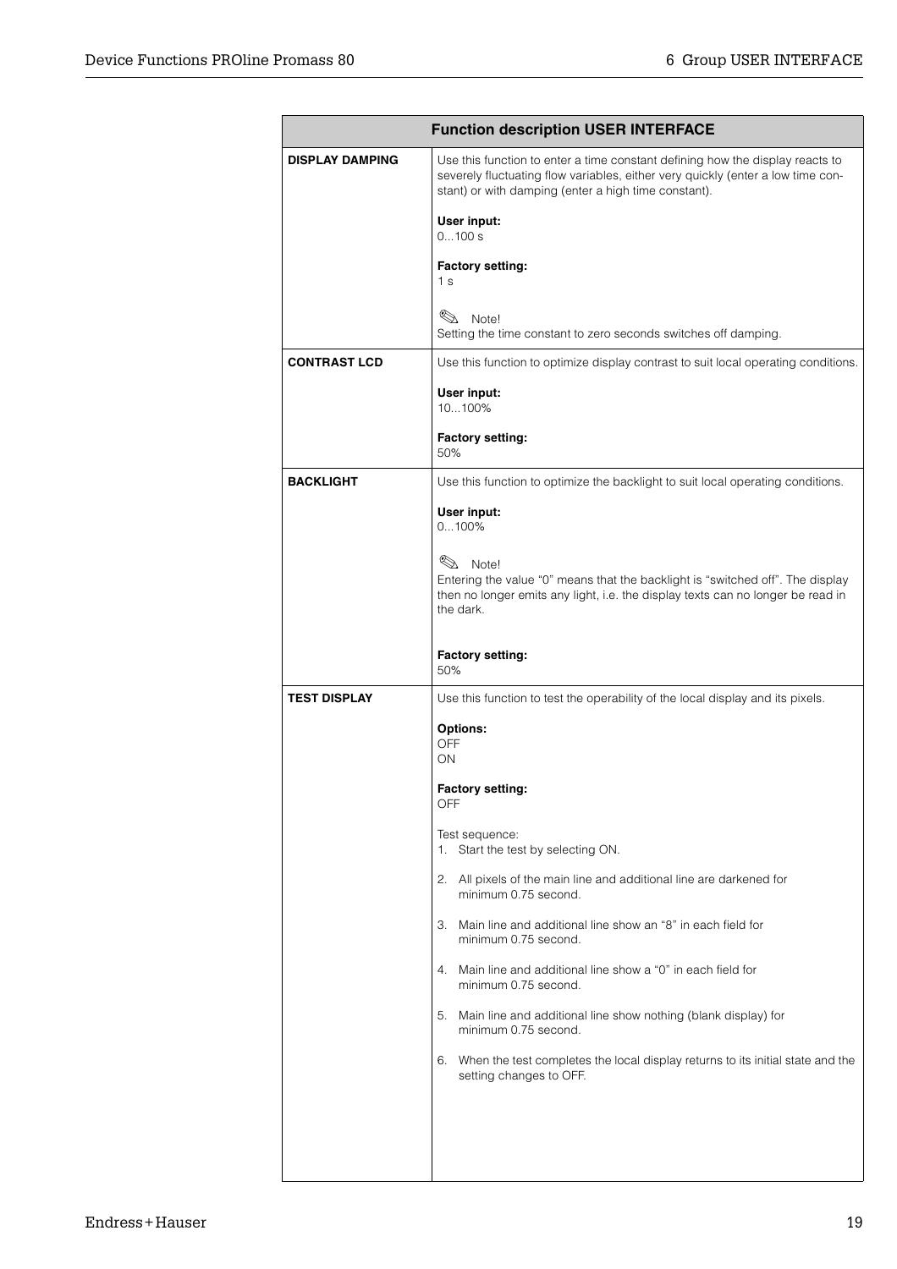<span id="page-18-6"></span><span id="page-18-5"></span><span id="page-18-4"></span><span id="page-18-3"></span><span id="page-18-2"></span><span id="page-18-1"></span><span id="page-18-0"></span>

| <b>Function description USER INTERFACE</b> |                                                                                                                                                                                                                          |  |
|--------------------------------------------|--------------------------------------------------------------------------------------------------------------------------------------------------------------------------------------------------------------------------|--|
| <b>DISPLAY DAMPING</b>                     | Use this function to enter a time constant defining how the display reacts to<br>severely fluctuating flow variables, either very quickly (enter a low time con-<br>stant) or with damping (enter a high time constant). |  |
|                                            | User input:<br>0100 s                                                                                                                                                                                                    |  |
|                                            | Factory setting:<br>1 <sub>s</sub>                                                                                                                                                                                       |  |
|                                            | Note!<br>Setting the time constant to zero seconds switches off damping.                                                                                                                                                 |  |
| <b>CONTRAST LCD</b>                        | Use this function to optimize display contrast to suit local operating conditions.                                                                                                                                       |  |
|                                            | User input:<br>10100%                                                                                                                                                                                                    |  |
|                                            | <b>Factory setting:</b><br>50%                                                                                                                                                                                           |  |
| <b>BACKLIGHT</b>                           | Use this function to optimize the backlight to suit local operating conditions.                                                                                                                                          |  |
|                                            | User input:<br>$0100\%$                                                                                                                                                                                                  |  |
|                                            | $\mathbb{Z}$<br>Note!<br>Entering the value "0" means that the backlight is "switched off". The display<br>then no longer emits any light, i.e. the display texts can no longer be read in<br>the dark.                  |  |
|                                            | <b>Factory setting:</b><br>50%                                                                                                                                                                                           |  |
| <b>TEST DISPLAY</b>                        | Use this function to test the operability of the local display and its pixels.                                                                                                                                           |  |
|                                            | <b>Options:</b><br>OFF<br>ON                                                                                                                                                                                             |  |
|                                            | <b>Factory setting:</b><br>OFF                                                                                                                                                                                           |  |
|                                            | Test sequence:<br>1. Start the test by selecting ON.                                                                                                                                                                     |  |
|                                            | 2. All pixels of the main line and additional line are darkened for<br>minimum 0.75 second.                                                                                                                              |  |
|                                            | 3. Main line and additional line show an "8" in each field for<br>minimum 0.75 second.                                                                                                                                   |  |
|                                            | 4. Main line and additional line show a "0" in each field for<br>minimum 0.75 second.                                                                                                                                    |  |
|                                            | 5. Main line and additional line show nothing (blank display) for<br>minimum 0.75 second.                                                                                                                                |  |
|                                            | 6. When the test completes the local display returns to its initial state and the<br>setting changes to OFF.                                                                                                             |  |
|                                            |                                                                                                                                                                                                                          |  |
|                                            |                                                                                                                                                                                                                          |  |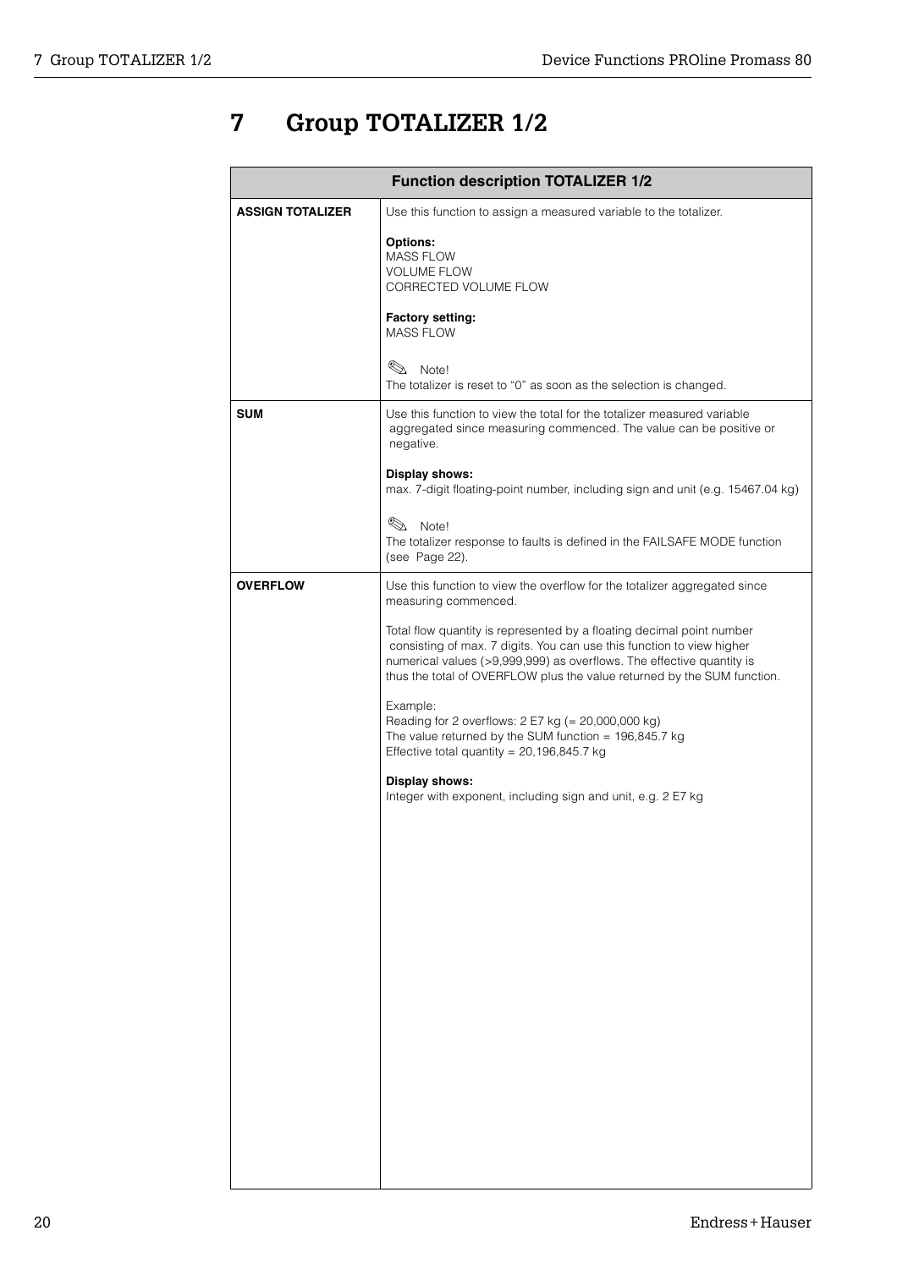# <span id="page-19-5"></span><span id="page-19-0"></span>**7 Group TOTALIZER 1/2**

<span id="page-19-7"></span><span id="page-19-6"></span><span id="page-19-4"></span><span id="page-19-3"></span><span id="page-19-2"></span><span id="page-19-1"></span>

| <b>Function description TOTALIZER 1/2</b> |                                                                                                                                                                                                                                                                                                                                                                                                                                    |  |
|-------------------------------------------|------------------------------------------------------------------------------------------------------------------------------------------------------------------------------------------------------------------------------------------------------------------------------------------------------------------------------------------------------------------------------------------------------------------------------------|--|
| <b>ASSIGN TOTALIZER</b>                   | Use this function to assign a measured variable to the totalizer.                                                                                                                                                                                                                                                                                                                                                                  |  |
|                                           | <b>Options:</b><br><b>MASS FLOW</b><br><b>VOLUME FLOW</b><br>CORRECTED VOLUME FLOW                                                                                                                                                                                                                                                                                                                                                 |  |
|                                           | <b>Factory setting:</b><br>MASS FLOW                                                                                                                                                                                                                                                                                                                                                                                               |  |
|                                           | $\begin{picture}(20,20) \put(0,0){\line(1,0){10}} \put(15,0){\line(1,0){10}} \put(15,0){\line(1,0){10}} \put(15,0){\line(1,0){10}} \put(15,0){\line(1,0){10}} \put(15,0){\line(1,0){10}} \put(15,0){\line(1,0){10}} \put(15,0){\line(1,0){10}} \put(15,0){\line(1,0){10}} \put(15,0){\line(1,0){10}} \put(15,0){\line(1,0){10}} \put(15,0){\line(1$<br>Note!<br>The totalizer is reset to "0" as soon as the selection is changed. |  |
| <b>SUM</b>                                | Use this function to view the total for the totalizer measured variable<br>aggregated since measuring commenced. The value can be positive or<br>negative.                                                                                                                                                                                                                                                                         |  |
|                                           | Display shows:<br>max. 7-digit floating-point number, including sign and unit (e.g. 15467.04 kg)                                                                                                                                                                                                                                                                                                                                   |  |
|                                           | Note!<br>The totalizer response to faults is defined in the FAILSAFE MODE function<br>(see Page 22).                                                                                                                                                                                                                                                                                                                               |  |
| <b>OVERFLOW</b>                           | Use this function to view the overflow for the totalizer aggregated since<br>measuring commenced.                                                                                                                                                                                                                                                                                                                                  |  |
|                                           | Total flow quantity is represented by a floating decimal point number<br>consisting of max. 7 digits. You can use this function to view higher<br>numerical values (>9,999,999) as overflows. The effective quantity is<br>thus the total of OVERFLOW plus the value returned by the SUM function.                                                                                                                                 |  |
|                                           | Example:<br>Reading for 2 overflows: 2 E7 kg (= 20,000,000 kg)<br>The value returned by the SUM function = $196,845.7$ kg<br>Effective total quantity = $20,196,845.7$ kg                                                                                                                                                                                                                                                          |  |
|                                           | Display shows:<br>Integer with exponent, including sign and unit, e.g. 2 E7 kg                                                                                                                                                                                                                                                                                                                                                     |  |
|                                           |                                                                                                                                                                                                                                                                                                                                                                                                                                    |  |
|                                           |                                                                                                                                                                                                                                                                                                                                                                                                                                    |  |
|                                           |                                                                                                                                                                                                                                                                                                                                                                                                                                    |  |
|                                           |                                                                                                                                                                                                                                                                                                                                                                                                                                    |  |
|                                           |                                                                                                                                                                                                                                                                                                                                                                                                                                    |  |
|                                           |                                                                                                                                                                                                                                                                                                                                                                                                                                    |  |
|                                           |                                                                                                                                                                                                                                                                                                                                                                                                                                    |  |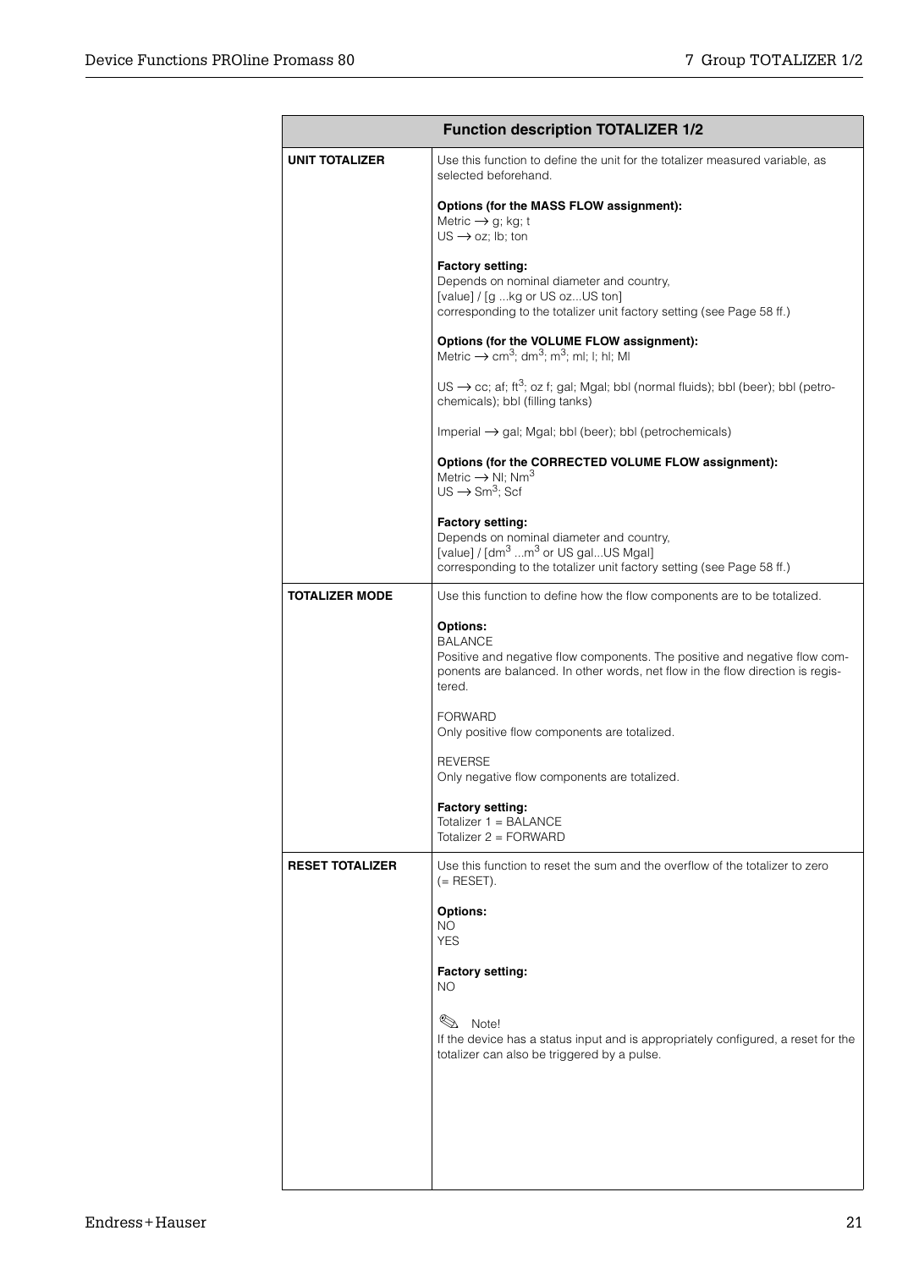<span id="page-20-4"></span><span id="page-20-3"></span><span id="page-20-2"></span><span id="page-20-1"></span><span id="page-20-0"></span>

| <b>Function description TOTALIZER 1/2</b> |                                                                                                                                                                                                                                                                                                                                                                                                                                                                                                  |  |
|-------------------------------------------|--------------------------------------------------------------------------------------------------------------------------------------------------------------------------------------------------------------------------------------------------------------------------------------------------------------------------------------------------------------------------------------------------------------------------------------------------------------------------------------------------|--|
| UNIT TOTALIZER                            | Use this function to define the unit for the totalizer measured variable, as<br>selected beforehand.                                                                                                                                                                                                                                                                                                                                                                                             |  |
|                                           | Options (for the MASS FLOW assignment):<br>Metric $\rightarrow$ g; kg; t<br>$US \rightarrow oz$ ; lb; ton                                                                                                                                                                                                                                                                                                                                                                                        |  |
|                                           | Factory setting:<br>Depends on nominal diameter and country,<br>[value] / [g kg or US ozUS ton]<br>corresponding to the totalizer unit factory setting (see Page 58 ff.)                                                                                                                                                                                                                                                                                                                         |  |
|                                           | Options (for the VOLUME FLOW assignment):<br>Metric $\rightarrow$ cm <sup>3</sup> ; dm <sup>3</sup> ; m <sup>3</sup> ; ml; l; hl; Ml                                                                                                                                                                                                                                                                                                                                                             |  |
|                                           | $US \rightarrow cc$ ; af; ft <sup>3</sup> ; oz f; gal; Mgal; bbl (normal fluids); bbl (beer); bbl (petro-<br>chemicals); bbl (filling tanks)                                                                                                                                                                                                                                                                                                                                                     |  |
|                                           | Imperial $\rightarrow$ gal; Mgal; bbl (beer); bbl (petrochemicals)                                                                                                                                                                                                                                                                                                                                                                                                                               |  |
|                                           | Options (for the CORRECTED VOLUME FLOW assignment):<br>Metric $\rightarrow$ NI; Nm <sup>3</sup><br>$US \rightarrow Sm^3$ ; Scf                                                                                                                                                                                                                                                                                                                                                                   |  |
|                                           | Factory setting:<br>Depends on nominal diameter and country,<br>[value] / $\lceil \text{dm}^3 \dots m^3 \rceil$ or US galUS Mgal]<br>corresponding to the totalizer unit factory setting (see Page 58 ff.)                                                                                                                                                                                                                                                                                       |  |
| <b>TOTALIZER MODE</b>                     | Use this function to define how the flow components are to be totalized.                                                                                                                                                                                                                                                                                                                                                                                                                         |  |
|                                           | <b>Options:</b><br><b>BALANCE</b><br>Positive and negative flow components. The positive and negative flow com-<br>ponents are balanced. In other words, net flow in the flow direction is regis-<br>tered.                                                                                                                                                                                                                                                                                      |  |
|                                           | <b>FORWARD</b><br>Only positive flow components are totalized.                                                                                                                                                                                                                                                                                                                                                                                                                                   |  |
|                                           | <b>REVERSE</b><br>Only negative flow components are totalized.                                                                                                                                                                                                                                                                                                                                                                                                                                   |  |
|                                           | <b>Factory setting:</b><br>Totalizer $1 = BALANCE$<br>Totalizer $2 = FORMARD$                                                                                                                                                                                                                                                                                                                                                                                                                    |  |
| <b>RESET TOTALIZER</b>                    | Use this function to reset the sum and the overflow of the totalizer to zero<br>$(=$ RESET).                                                                                                                                                                                                                                                                                                                                                                                                     |  |
|                                           | <b>Options:</b><br>NO.<br><b>YES</b>                                                                                                                                                                                                                                                                                                                                                                                                                                                             |  |
|                                           | <b>Factory setting:</b><br>ΝO                                                                                                                                                                                                                                                                                                                                                                                                                                                                    |  |
|                                           | $\begin{picture}(20,20) \put(0,0){\line(1,0){10}} \put(15,0){\line(1,0){10}} \put(15,0){\line(1,0){10}} \put(15,0){\line(1,0){10}} \put(15,0){\line(1,0){10}} \put(15,0){\line(1,0){10}} \put(15,0){\line(1,0){10}} \put(15,0){\line(1,0){10}} \put(15,0){\line(1,0){10}} \put(15,0){\line(1,0){10}} \put(15,0){\line(1,0){10}} \put(15,0){\line(1$<br>Note!<br>If the device has a status input and is appropriately configured, a reset for the<br>totalizer can also be triggered by a pulse. |  |
|                                           |                                                                                                                                                                                                                                                                                                                                                                                                                                                                                                  |  |
|                                           |                                                                                                                                                                                                                                                                                                                                                                                                                                                                                                  |  |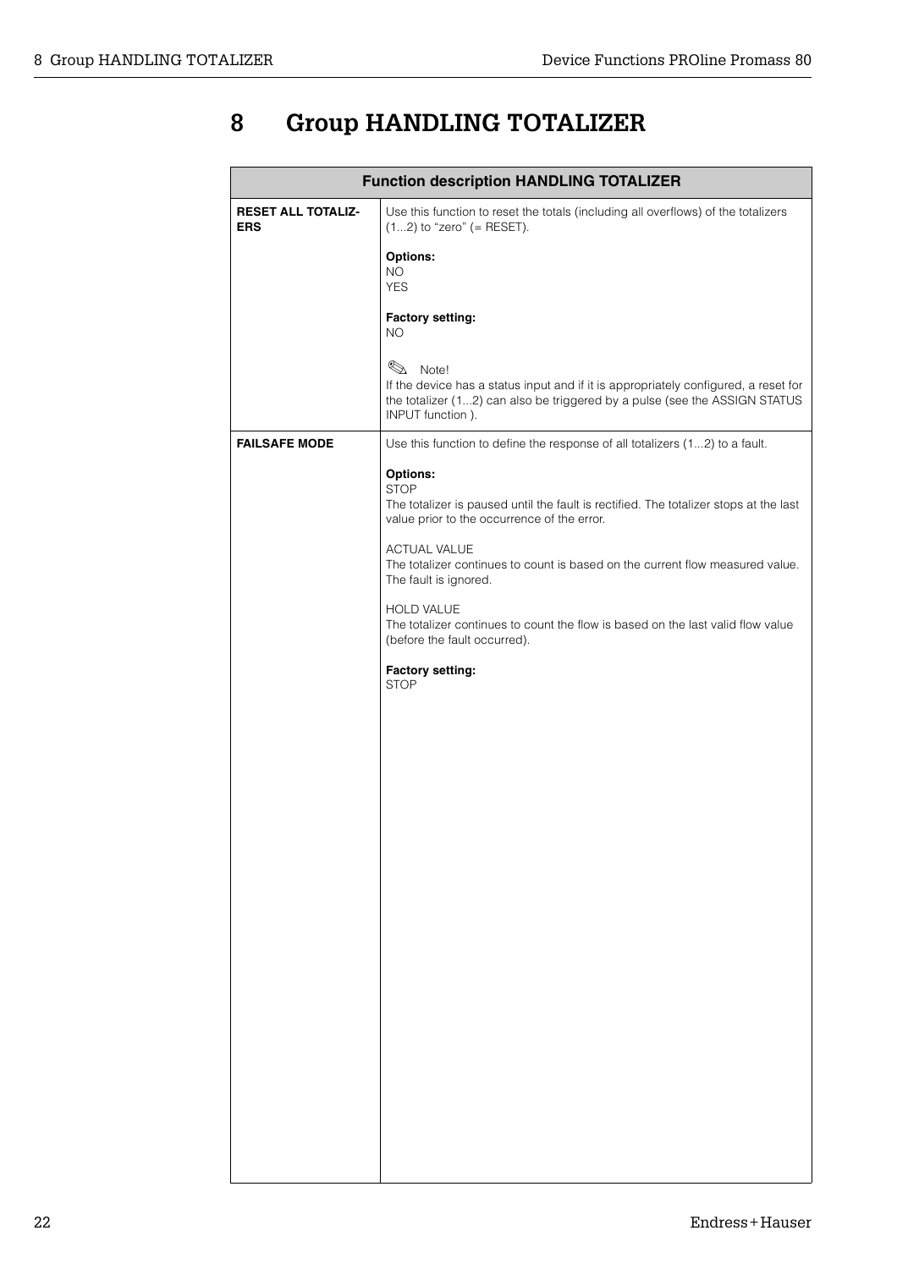# <span id="page-21-0"></span>**8 Group HANDLING TOTALIZER**

<span id="page-21-3"></span><span id="page-21-2"></span><span id="page-21-1"></span>

| <b>Function description HANDLING TOTALIZER</b> |                                                                                                                                                                                                                                                                                                                                                                                                                                                                                                                                                        |  |
|------------------------------------------------|--------------------------------------------------------------------------------------------------------------------------------------------------------------------------------------------------------------------------------------------------------------------------------------------------------------------------------------------------------------------------------------------------------------------------------------------------------------------------------------------------------------------------------------------------------|--|
| <b>RESET ALL TOTALIZ-</b><br><b>ERS</b>        | Use this function to reset the totals (including all overflows) of the totalizers<br>$(12)$ to "zero" (= RESET).                                                                                                                                                                                                                                                                                                                                                                                                                                       |  |
|                                                | Options:<br><b>NO</b><br><b>YES</b>                                                                                                                                                                                                                                                                                                                                                                                                                                                                                                                    |  |
|                                                | Factory setting:<br><b>NO</b>                                                                                                                                                                                                                                                                                                                                                                                                                                                                                                                          |  |
|                                                | $\begin{picture}(20,20) \put(0,0){\line(1,0){10}} \put(15,0){\line(1,0){10}} \put(15,0){\line(1,0){10}} \put(15,0){\line(1,0){10}} \put(15,0){\line(1,0){10}} \put(15,0){\line(1,0){10}} \put(15,0){\line(1,0){10}} \put(15,0){\line(1,0){10}} \put(15,0){\line(1,0){10}} \put(15,0){\line(1,0){10}} \put(15,0){\line(1,0){10}} \put(15,0){\line(1$<br>Note!<br>If the device has a status input and if it is appropriately configured, a reset for<br>the totalizer (12) can also be triggered by a pulse (see the ASSIGN STATUS<br>INPUT function ). |  |
| <b>FAILSAFE MODE</b>                           | Use this function to define the response of all totalizers (12) to a fault.                                                                                                                                                                                                                                                                                                                                                                                                                                                                            |  |
|                                                | Options:<br><b>STOP</b><br>The totalizer is paused until the fault is rectified. The totalizer stops at the last<br>value prior to the occurrence of the error.                                                                                                                                                                                                                                                                                                                                                                                        |  |
|                                                | <b>ACTUAL VALUE</b><br>The totalizer continues to count is based on the current flow measured value.<br>The fault is ignored.                                                                                                                                                                                                                                                                                                                                                                                                                          |  |
|                                                | <b>HOLD VALUE</b><br>The totalizer continues to count the flow is based on the last valid flow value<br>(before the fault occurred).                                                                                                                                                                                                                                                                                                                                                                                                                   |  |
|                                                | Factory setting:<br><b>STOP</b>                                                                                                                                                                                                                                                                                                                                                                                                                                                                                                                        |  |
|                                                |                                                                                                                                                                                                                                                                                                                                                                                                                                                                                                                                                        |  |
|                                                |                                                                                                                                                                                                                                                                                                                                                                                                                                                                                                                                                        |  |
|                                                |                                                                                                                                                                                                                                                                                                                                                                                                                                                                                                                                                        |  |
|                                                |                                                                                                                                                                                                                                                                                                                                                                                                                                                                                                                                                        |  |
|                                                |                                                                                                                                                                                                                                                                                                                                                                                                                                                                                                                                                        |  |
|                                                |                                                                                                                                                                                                                                                                                                                                                                                                                                                                                                                                                        |  |
|                                                |                                                                                                                                                                                                                                                                                                                                                                                                                                                                                                                                                        |  |
|                                                |                                                                                                                                                                                                                                                                                                                                                                                                                                                                                                                                                        |  |
|                                                |                                                                                                                                                                                                                                                                                                                                                                                                                                                                                                                                                        |  |
|                                                |                                                                                                                                                                                                                                                                                                                                                                                                                                                                                                                                                        |  |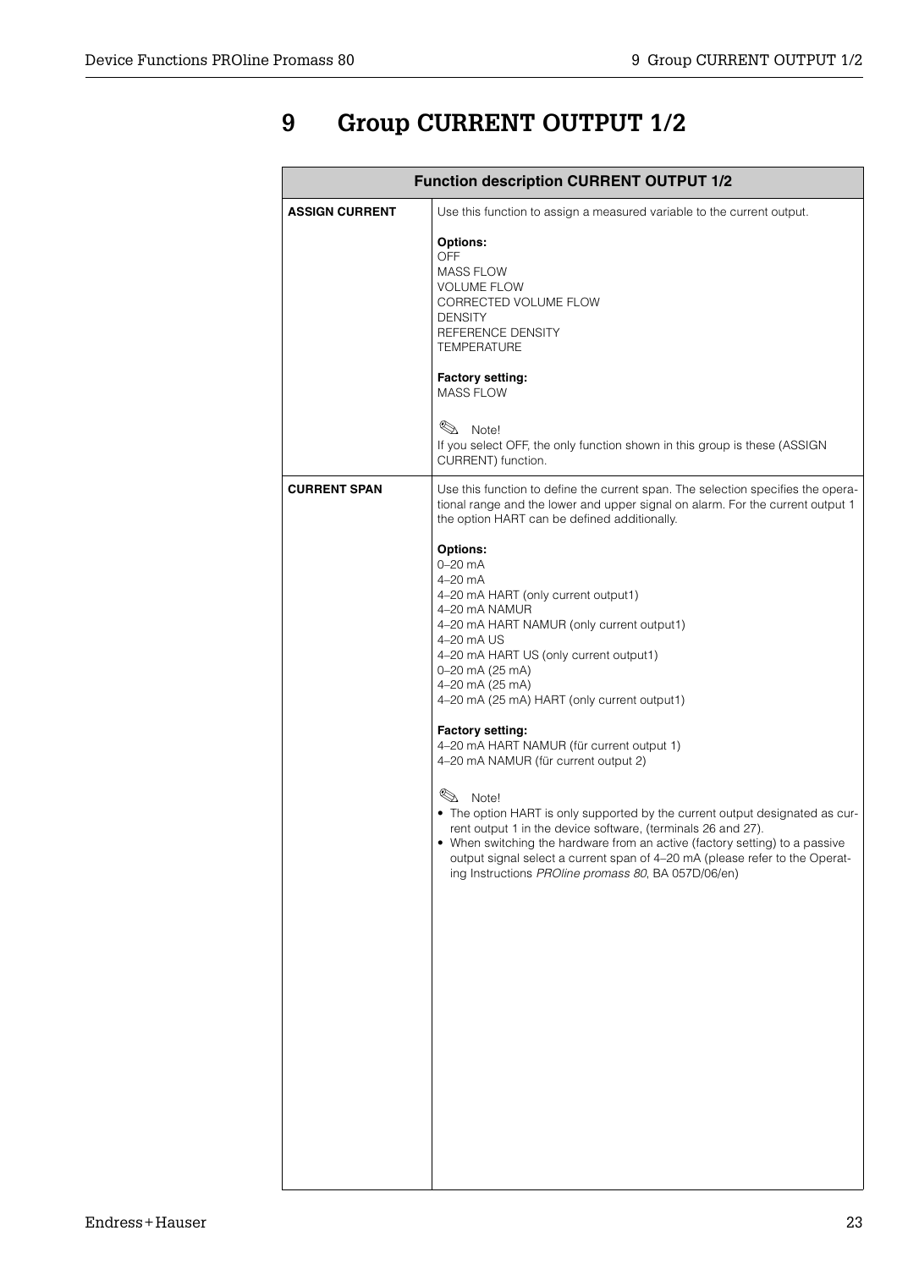# <span id="page-22-5"></span><span id="page-22-0"></span>**9 Group CURRENT OUTPUT 1/2**

<span id="page-22-4"></span><span id="page-22-3"></span><span id="page-22-2"></span><span id="page-22-1"></span>

| <b>Function description CURRENT OUTPUT 1/2</b> |                                                                                                                                                                                                                                                                                                                                                                                                                                                                                                                                                                                                                                                                                                                                                                                       |  |
|------------------------------------------------|---------------------------------------------------------------------------------------------------------------------------------------------------------------------------------------------------------------------------------------------------------------------------------------------------------------------------------------------------------------------------------------------------------------------------------------------------------------------------------------------------------------------------------------------------------------------------------------------------------------------------------------------------------------------------------------------------------------------------------------------------------------------------------------|--|
| <b>ASSIGN CURRENT</b>                          | Use this function to assign a measured variable to the current output.                                                                                                                                                                                                                                                                                                                                                                                                                                                                                                                                                                                                                                                                                                                |  |
|                                                | <b>Options:</b><br>OFF<br><b>MASS FLOW</b><br><b>VOLUME FLOW</b><br>CORRECTED VOLUME FLOW<br><b>DENSITY</b><br>REFERENCE DENSITY<br><b>TEMPERATURE</b><br><b>Factory setting:</b><br><b>MASS FLOW</b><br>⇖<br>Note!                                                                                                                                                                                                                                                                                                                                                                                                                                                                                                                                                                   |  |
|                                                | If you select OFF, the only function shown in this group is these (ASSIGN<br>CURRENT) function.                                                                                                                                                                                                                                                                                                                                                                                                                                                                                                                                                                                                                                                                                       |  |
| <b>CURRENT SPAN</b>                            | Use this function to define the current span. The selection specifies the opera-<br>tional range and the lower and upper signal on alarm. For the current output 1<br>the option HART can be defined additionally.                                                                                                                                                                                                                                                                                                                                                                                                                                                                                                                                                                    |  |
|                                                | <b>Options:</b><br>$0 - 20$ mA<br>4-20 mA<br>4-20 mA HART (only current output1)<br>4-20 mA NAMUR<br>4-20 mA HART NAMUR (only current output1)<br>4-20 mA US<br>4-20 mA HART US (only current output1)<br>0-20 mA (25 mA)<br>4-20 mA (25 mA)<br>4-20 mA (25 mA) HART (only current output1)<br>Factory setting:<br>4-20 mA HART NAMUR (für current output 1)<br>4-20 mA NAMUR (für current output 2)<br>⇖<br>Note!<br>• The option HART is only supported by the current output designated as cur-<br>rent output 1 in the device software, (terminals 26 and 27).<br>When switching the hardware from an active (factory setting) to a passive<br>output signal select a current span of 4-20 mA (please refer to the Operat-<br>ing Instructions PROline promass 80, BA 057D/06/en) |  |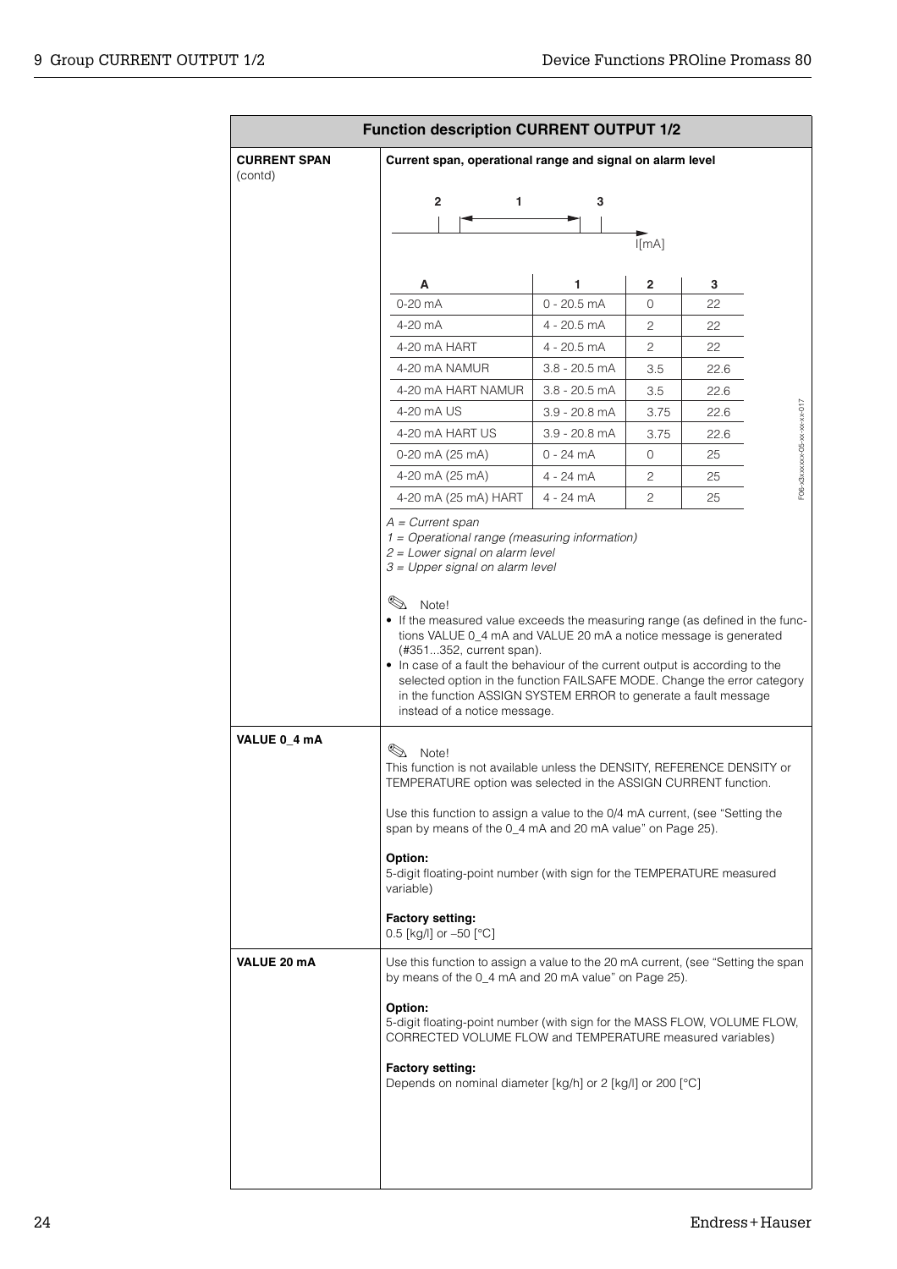<span id="page-23-7"></span><span id="page-23-6"></span><span id="page-23-5"></span><span id="page-23-4"></span><span id="page-23-3"></span><span id="page-23-2"></span><span id="page-23-1"></span><span id="page-23-0"></span>

| <b>Function description CURRENT OUTPUT 1/2</b> |                                                                                                                                                                                                                                                                                                                                                             |                                                           |       |      |                              |
|------------------------------------------------|-------------------------------------------------------------------------------------------------------------------------------------------------------------------------------------------------------------------------------------------------------------------------------------------------------------------------------------------------------------|-----------------------------------------------------------|-------|------|------------------------------|
| <b>CURRENT SPAN</b><br>(contd)                 |                                                                                                                                                                                                                                                                                                                                                             | Current span, operational range and signal on alarm level |       |      |                              |
|                                                | $\mathbf{2}$<br>1                                                                                                                                                                                                                                                                                                                                           | 3                                                         |       |      |                              |
|                                                |                                                                                                                                                                                                                                                                                                                                                             |                                                           |       |      |                              |
|                                                |                                                                                                                                                                                                                                                                                                                                                             |                                                           | I[mA] |      |                              |
|                                                | A                                                                                                                                                                                                                                                                                                                                                           | 1                                                         | 2     | 3    |                              |
|                                                | $0-20$ mA                                                                                                                                                                                                                                                                                                                                                   | $0 - 20.5$ mA                                             | 0     | 22   |                              |
|                                                | 4-20 mA                                                                                                                                                                                                                                                                                                                                                     | 4 - 20.5 mA                                               | 2     | 22   |                              |
|                                                | 4-20 mA HART                                                                                                                                                                                                                                                                                                                                                | 4 - 20.5 mA                                               | 2     | 22   |                              |
|                                                | 4-20 mA NAMUR                                                                                                                                                                                                                                                                                                                                               | $3.8 - 20.5$ mA                                           | 3.5   | 22.6 |                              |
|                                                | 4-20 mA HART NAMUR                                                                                                                                                                                                                                                                                                                                          | $3.8 - 20.5$ mA                                           | 3.5   | 22.6 |                              |
|                                                | 4-20 mA US                                                                                                                                                                                                                                                                                                                                                  | $3.9 - 20.8$ mA                                           | 3.75  | 22.6 |                              |
|                                                | 4-20 mA HART US                                                                                                                                                                                                                                                                                                                                             | $3.9 - 20.8$ mA                                           | 3.75  | 22.6 |                              |
|                                                | 0-20 mA (25 mA)                                                                                                                                                                                                                                                                                                                                             | $0 - 24$ mA                                               | 0     | 25   |                              |
|                                                | 4-20 mA (25 mA)                                                                                                                                                                                                                                                                                                                                             | 4 - 24 mA                                                 | 2     | 25   | F06-x3xxxxxx-05-xx-xx-xx-017 |
|                                                | 4-20 mA (25 mA) HART                                                                                                                                                                                                                                                                                                                                        | 4 - 24 mA                                                 | 2     | 25   |                              |
|                                                | $A = Current span$<br>1 = Operational range (measuring information)<br>2 = Lower signal on alarm level<br>3 = Upper signal on alarm level                                                                                                                                                                                                                   |                                                           |       |      |                              |
|                                                | tions VALUE 0_4 mA and VALUE 20 mA a notice message is generated<br>(#351352, current span).<br>• In case of a fault the behaviour of the current output is according to the<br>selected option in the function FAILSAFE MODE. Change the error category<br>in the function ASSIGN SYSTEM ERROR to generate a fault message<br>instead of a notice message. |                                                           |       |      |                              |
| VALUE 0_4 mA                                   | $\mathcal{Q}$<br>Note!<br>This function is not available unless the DENSITY, REFERENCE DENSITY or<br>TEMPERATURE option was selected in the ASSIGN CURRENT function.<br>Use this function to assign a value to the 0/4 mA current, (see "Setting the<br>span by means of the 0_4 mA and 20 mA value" on Page 25).                                           |                                                           |       |      |                              |
|                                                | Option:<br>5-digit floating-point number (with sign for the TEMPERATURE measured<br>variable)                                                                                                                                                                                                                                                               |                                                           |       |      |                              |
|                                                | <b>Factory setting:</b><br>0.5 [kg/l] or -50 [°C]                                                                                                                                                                                                                                                                                                           |                                                           |       |      |                              |
| <b>VALUE 20 mA</b>                             | Use this function to assign a value to the 20 mA current, (see "Setting the span<br>by means of the 0_4 mA and 20 mA value" on Page 25).                                                                                                                                                                                                                    |                                                           |       |      |                              |
|                                                | Option:<br>5-digit floating-point number (with sign for the MASS FLOW, VOLUME FLOW,<br>CORRECTED VOLUME FLOW and TEMPERATURE measured variables)                                                                                                                                                                                                            |                                                           |       |      |                              |
|                                                | <b>Factory setting:</b><br>Depends on nominal diameter [kg/h] or 2 [kg/l] or 200 [°C]                                                                                                                                                                                                                                                                       |                                                           |       |      |                              |
|                                                |                                                                                                                                                                                                                                                                                                                                                             |                                                           |       |      |                              |
|                                                |                                                                                                                                                                                                                                                                                                                                                             |                                                           |       |      |                              |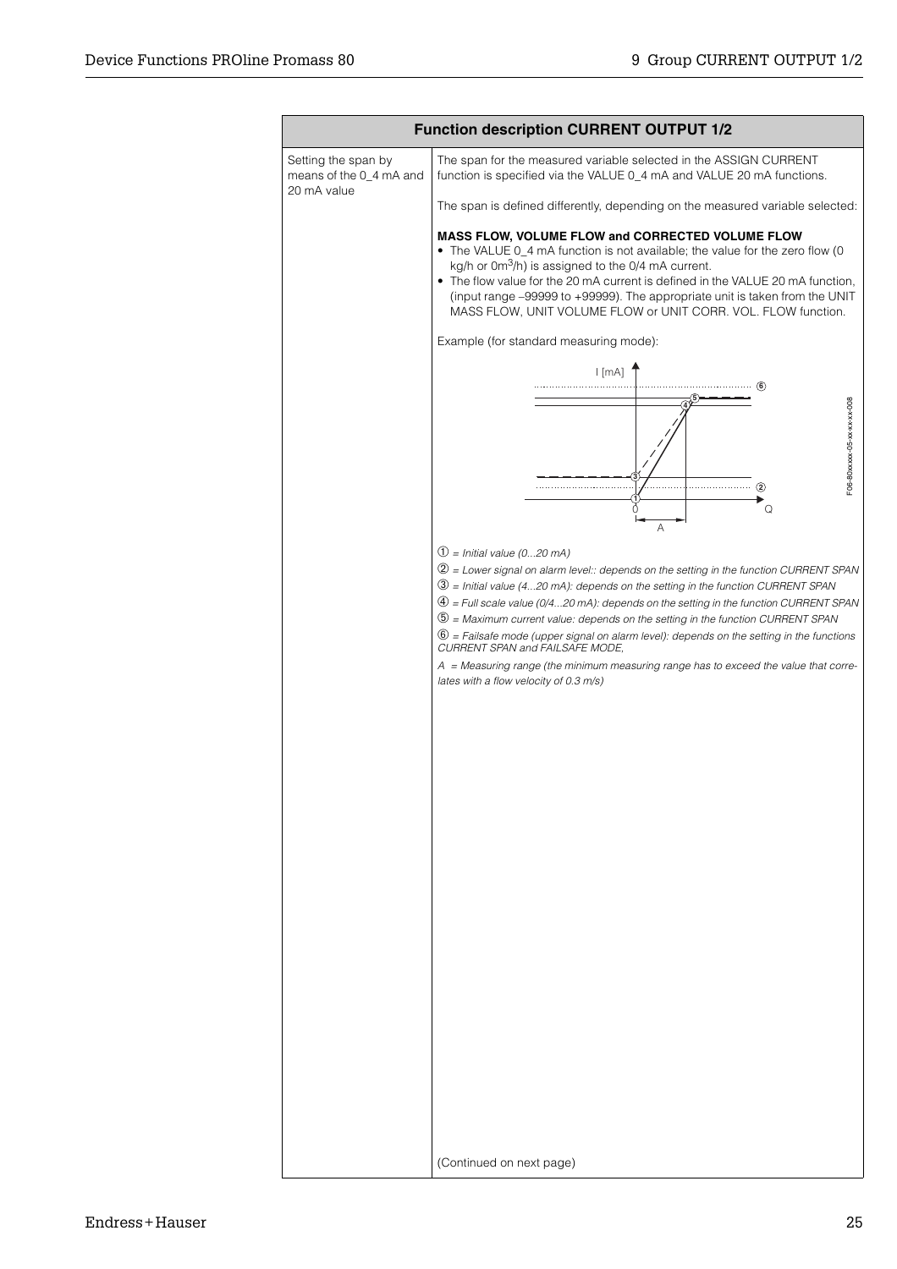<span id="page-24-0"></span>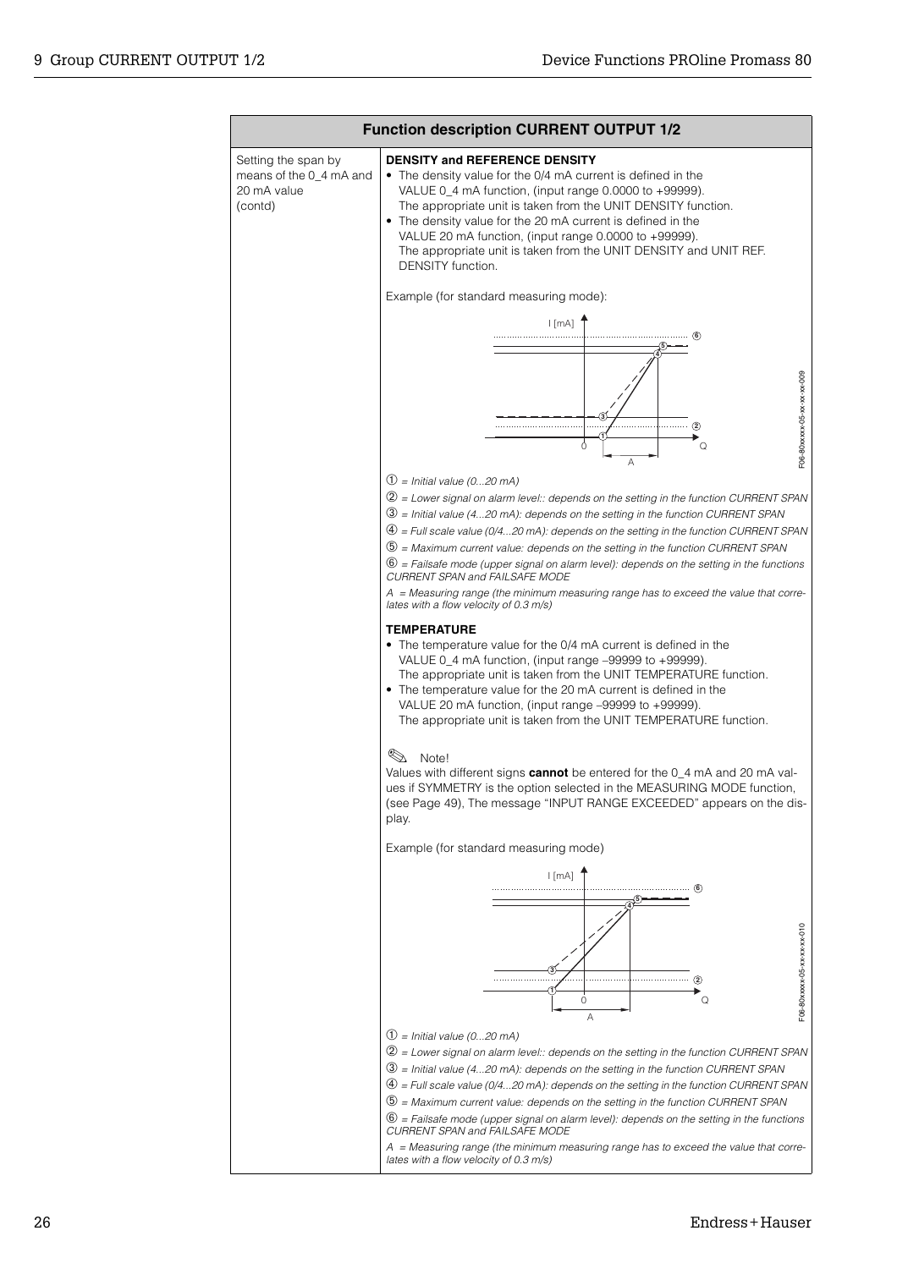|                                                                          | <b>Function description CURRENT OUTPUT 1/2</b>                                                                                                                                                                                                                                                                                                                                                                                                                                                                                                                                                                                                                                                                    |
|--------------------------------------------------------------------------|-------------------------------------------------------------------------------------------------------------------------------------------------------------------------------------------------------------------------------------------------------------------------------------------------------------------------------------------------------------------------------------------------------------------------------------------------------------------------------------------------------------------------------------------------------------------------------------------------------------------------------------------------------------------------------------------------------------------|
| Setting the span by<br>means of the 0_4 mA and<br>20 mA value<br>(contd) | <b>DENSITY and REFERENCE DENSITY</b><br>• The density value for the 0/4 mA current is defined in the<br>VALUE 0_4 mA function, (input range 0.0000 to +99999).<br>The appropriate unit is taken from the UNIT DENSITY function.<br>• The density value for the 20 mA current is defined in the<br>VALUE 20 mA function, (input range 0.0000 to +99999).<br>The appropriate unit is taken from the UNIT DENSITY and UNIT REF.<br>DENSITY function.                                                                                                                                                                                                                                                                 |
|                                                                          | Example (for standard measuring mode):                                                                                                                                                                                                                                                                                                                                                                                                                                                                                                                                                                                                                                                                            |
|                                                                          | I [mA]<br>$6$<br>=06-80xxxxx-05-xx-xx-xx-009<br>➁                                                                                                                                                                                                                                                                                                                                                                                                                                                                                                                                                                                                                                                                 |
|                                                                          | Q<br>Α                                                                                                                                                                                                                                                                                                                                                                                                                                                                                                                                                                                                                                                                                                            |
|                                                                          | $\mathcal{D}$ = Initial value (020 mA)<br>$\mathcal{Q}$ = Lower signal on alarm level:: depends on the setting in the function CURRENT SPAN<br>$\mathcal{F}$ = Initial value (420 mA): depends on the setting in the function CURRENT SPAN<br>$\Phi$ = Full scale value (0/420 mA): depends on the setting in the function CURRENT SPAN<br>$\mathcal{D}$ = Maximum current value: depends on the setting in the function CURRENT SPAN<br>$\circled{6}$ = Failsafe mode (upper signal on alarm level): depends on the setting in the functions<br>CURRENT SPAN and FAILSAFE MODE<br>A = Measuring range (the minimum measuring range has to exceed the value that corre-<br>lates with a flow velocity of 0.3 m/s) |
|                                                                          | <b>TEMPERATURE</b><br>• The temperature value for the 0/4 mA current is defined in the<br>VALUE 0_4 mA function, (input range -99999 to +99999).<br>The appropriate unit is taken from the UNIT TEMPERATURE function.<br>• The temperature value for the 20 mA current is defined in the<br>VALUE 20 mA function, (input range -99999 to +99999).<br>The appropriate unit is taken from the UNIT TEMPERATURE function.                                                                                                                                                                                                                                                                                            |
|                                                                          | Note!<br>Values with different signs cannot be entered for the 0_4 mA and 20 mA val-<br>ues if SYMMETRY is the option selected in the MEASURING MODE function,<br>(see Page 49), The message "INPUT RANGE EXCEEDED" appears on the dis-<br>play.<br>Example (for standard measuring mode)                                                                                                                                                                                                                                                                                                                                                                                                                         |
|                                                                          | [mA]                                                                                                                                                                                                                                                                                                                                                                                                                                                                                                                                                                                                                                                                                                              |
|                                                                          | (6)<br>F06-80xxxx-05-xx-xx-xx-010<br>$\scriptstyle{(2)}$<br>0<br>Q<br>A                                                                                                                                                                                                                                                                                                                                                                                                                                                                                                                                                                                                                                           |
|                                                                          | $\mathbb{O}$ = Initial value (020 mA)<br>2 = Lower signal on alarm level:: depends on the setting in the function CURRENT SPAN<br>$\mathcal{F}(3)$ = Initial value (420 mA): depends on the setting in the function CURRENT SPAN<br>$\Phi =$ Full scale value (0/420 mA): depends on the setting in the function CURRENT SPAN<br>$\mathcal{D}$ = Maximum current value: depends on the setting in the function CURRENT SPAN<br>$\circledcirc$ = Failsafe mode (upper signal on alarm level): depends on the setting in the functions<br>CURRENT SPAN and FAILSAFE MODE<br>A = Measuring range (the minimum measuring range has to exceed the value that corre-<br>lates with a flow velocity of 0.3 m/s)          |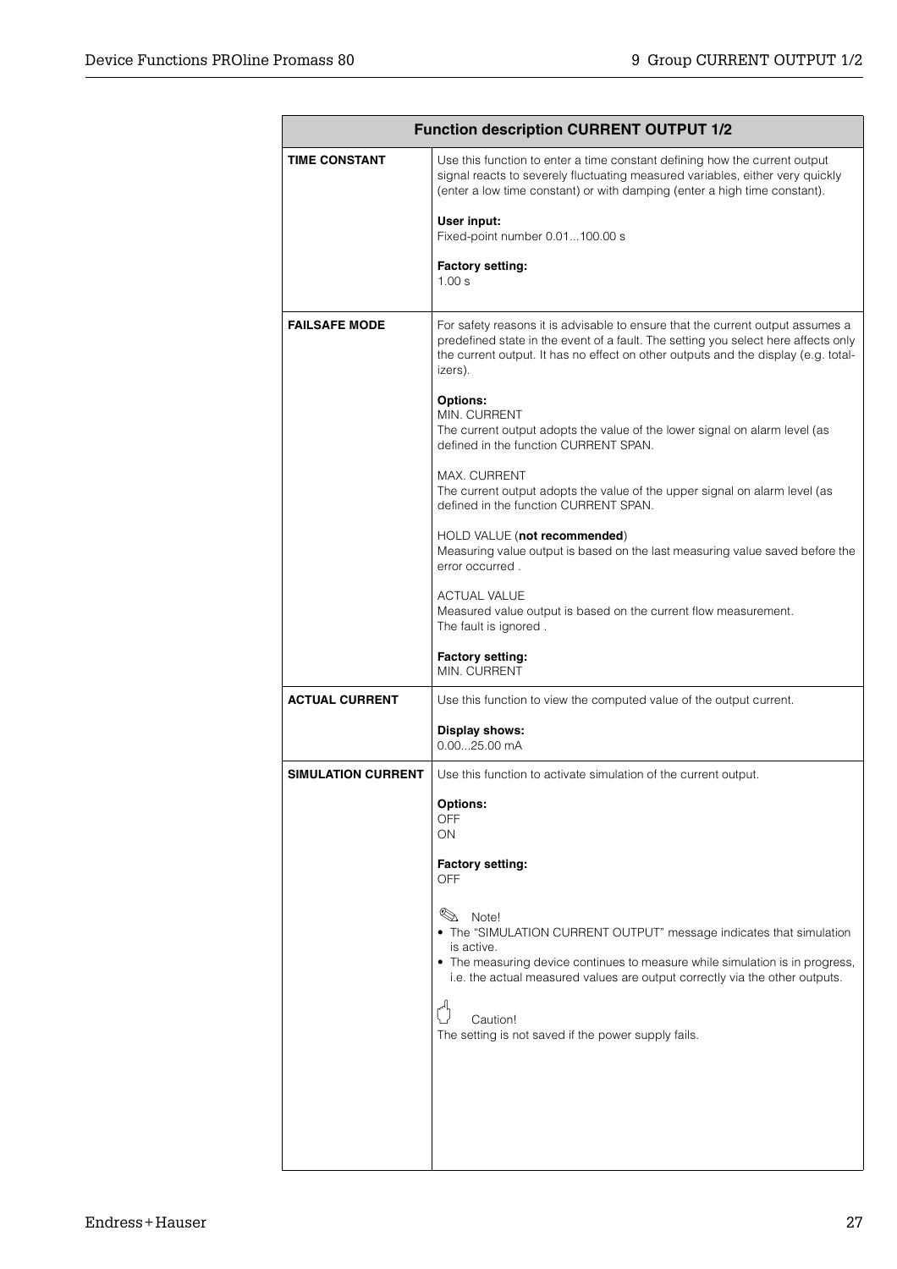<span id="page-26-7"></span><span id="page-26-6"></span><span id="page-26-5"></span><span id="page-26-4"></span><span id="page-26-3"></span><span id="page-26-2"></span><span id="page-26-1"></span><span id="page-26-0"></span>

| <b>Function description CURRENT OUTPUT 1/2</b> |                                                                                                                                                                                                                                                                           |
|------------------------------------------------|---------------------------------------------------------------------------------------------------------------------------------------------------------------------------------------------------------------------------------------------------------------------------|
| <b>TIME CONSTANT</b>                           | Use this function to enter a time constant defining how the current output<br>signal reacts to severely fluctuating measured variables, either very quickly<br>(enter a low time constant) or with damping (enter a high time constant).                                  |
|                                                | User input:<br>Fixed-point number 0.01100.00 s                                                                                                                                                                                                                            |
|                                                | <b>Factory setting:</b><br>1.00 s                                                                                                                                                                                                                                         |
| <b>FAILSAFE MODE</b>                           | For safety reasons it is advisable to ensure that the current output assumes a<br>predefined state in the event of a fault. The setting you select here affects only<br>the current output. It has no effect on other outputs and the display (e.g. total-<br>izers).     |
|                                                | <b>Options:</b><br>MIN. CURRENT<br>The current output adopts the value of the lower signal on alarm level (as<br>defined in the function CURRENT SPAN.                                                                                                                    |
|                                                | MAX. CURRENT<br>The current output adopts the value of the upper signal on alarm level (as<br>defined in the function CURRENT SPAN.                                                                                                                                       |
|                                                | HOLD VALUE (not recommended)<br>Measuring value output is based on the last measuring value saved before the<br>error occurred.                                                                                                                                           |
|                                                | <b>ACTUAL VALUE</b><br>Measured value output is based on the current flow measurement.<br>The fault is ignored.                                                                                                                                                           |
|                                                | <b>Factory setting:</b><br>MIN. CURRENT                                                                                                                                                                                                                                   |
| <b>ACTUAL CURRENT</b>                          | Use this function to view the computed value of the output current.                                                                                                                                                                                                       |
|                                                | <b>Display shows:</b><br>$0.0025.00 \text{ mA}$                                                                                                                                                                                                                           |
| <b>SIMULATION CURRENT</b>                      | Use this function to activate simulation of the current output.                                                                                                                                                                                                           |
|                                                | <b>Options:</b><br>OFF<br>ON                                                                                                                                                                                                                                              |
|                                                | Factory setting:<br><b>OFF</b>                                                                                                                                                                                                                                            |
|                                                | $\mathbb{Z}$<br>Note!<br>• The "SIMULATION CURRENT OUTPUT" message indicates that simulation<br>is active.<br>• The measuring device continues to measure while simulation is in progress,<br>i.e. the actual measured values are output correctly via the other outputs. |
|                                                | Caution!<br>The setting is not saved if the power supply fails.                                                                                                                                                                                                           |
|                                                |                                                                                                                                                                                                                                                                           |
|                                                |                                                                                                                                                                                                                                                                           |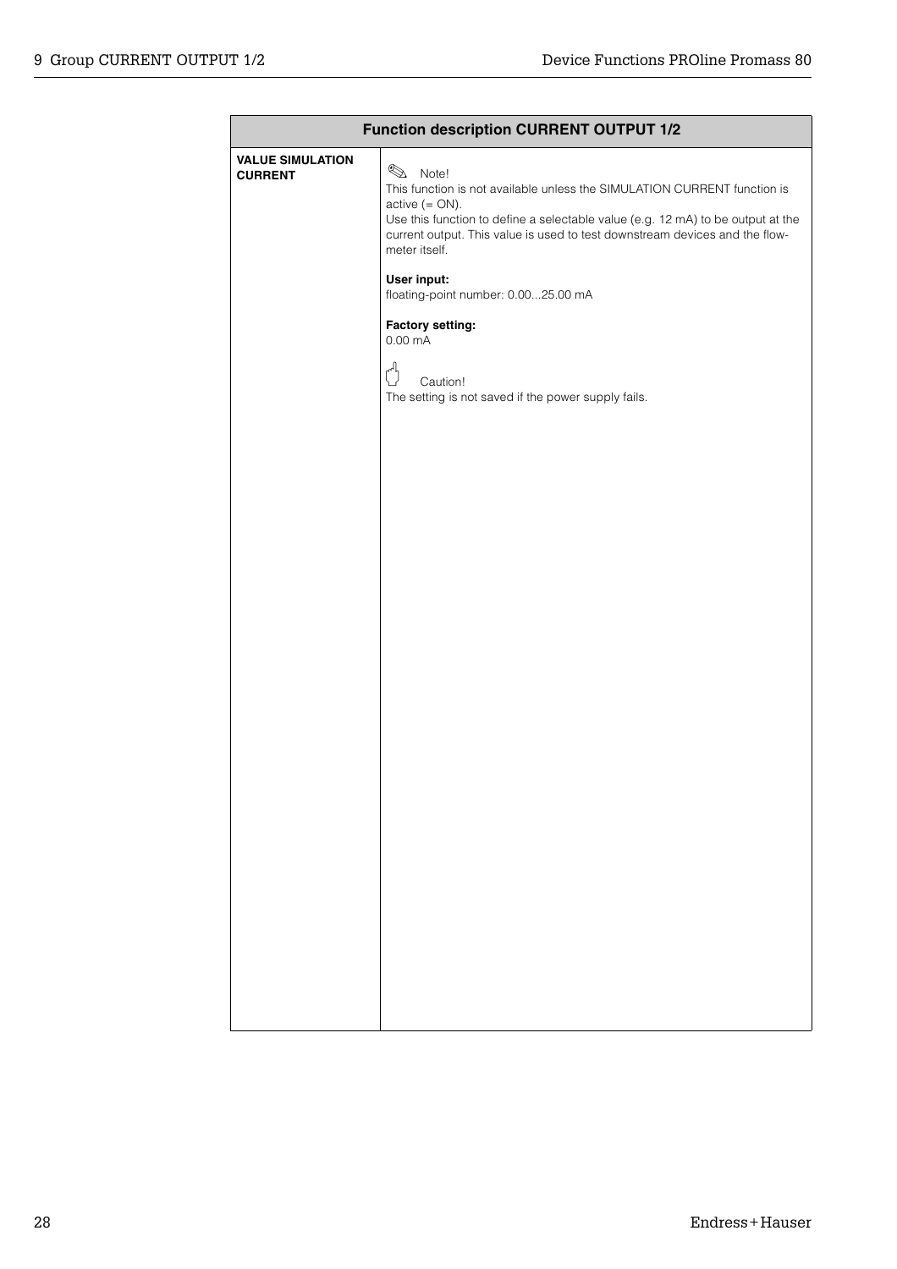<span id="page-27-1"></span><span id="page-27-0"></span>

| Function description CURRENT OUTPUT 1/2   |                                                                                                                                                                                                                                                                                                            |  |
|-------------------------------------------|------------------------------------------------------------------------------------------------------------------------------------------------------------------------------------------------------------------------------------------------------------------------------------------------------------|--|
| <b>VALUE SIMULATION</b><br><b>CURRENT</b> | $\mathscr{D}$<br>Note!<br>This function is not available unless the SIMULATION CURRENT function is<br>active $(= ON)$ .<br>Use this function to define a selectable value (e.g. 12 mA) to be output at the<br>current output. This value is used to test downstream devices and the flow-<br>meter itself. |  |
|                                           | User input:<br>floating-point number: 0.0025.00 mA                                                                                                                                                                                                                                                         |  |
|                                           | Factory setting:<br>$0.00 \text{ mA}$                                                                                                                                                                                                                                                                      |  |
|                                           | Å<br>Caution!<br>The setting is not saved if the power supply fails.                                                                                                                                                                                                                                       |  |
|                                           |                                                                                                                                                                                                                                                                                                            |  |
|                                           |                                                                                                                                                                                                                                                                                                            |  |
|                                           |                                                                                                                                                                                                                                                                                                            |  |
|                                           |                                                                                                                                                                                                                                                                                                            |  |
|                                           |                                                                                                                                                                                                                                                                                                            |  |
|                                           |                                                                                                                                                                                                                                                                                                            |  |
|                                           |                                                                                                                                                                                                                                                                                                            |  |
|                                           |                                                                                                                                                                                                                                                                                                            |  |
|                                           |                                                                                                                                                                                                                                                                                                            |  |
|                                           |                                                                                                                                                                                                                                                                                                            |  |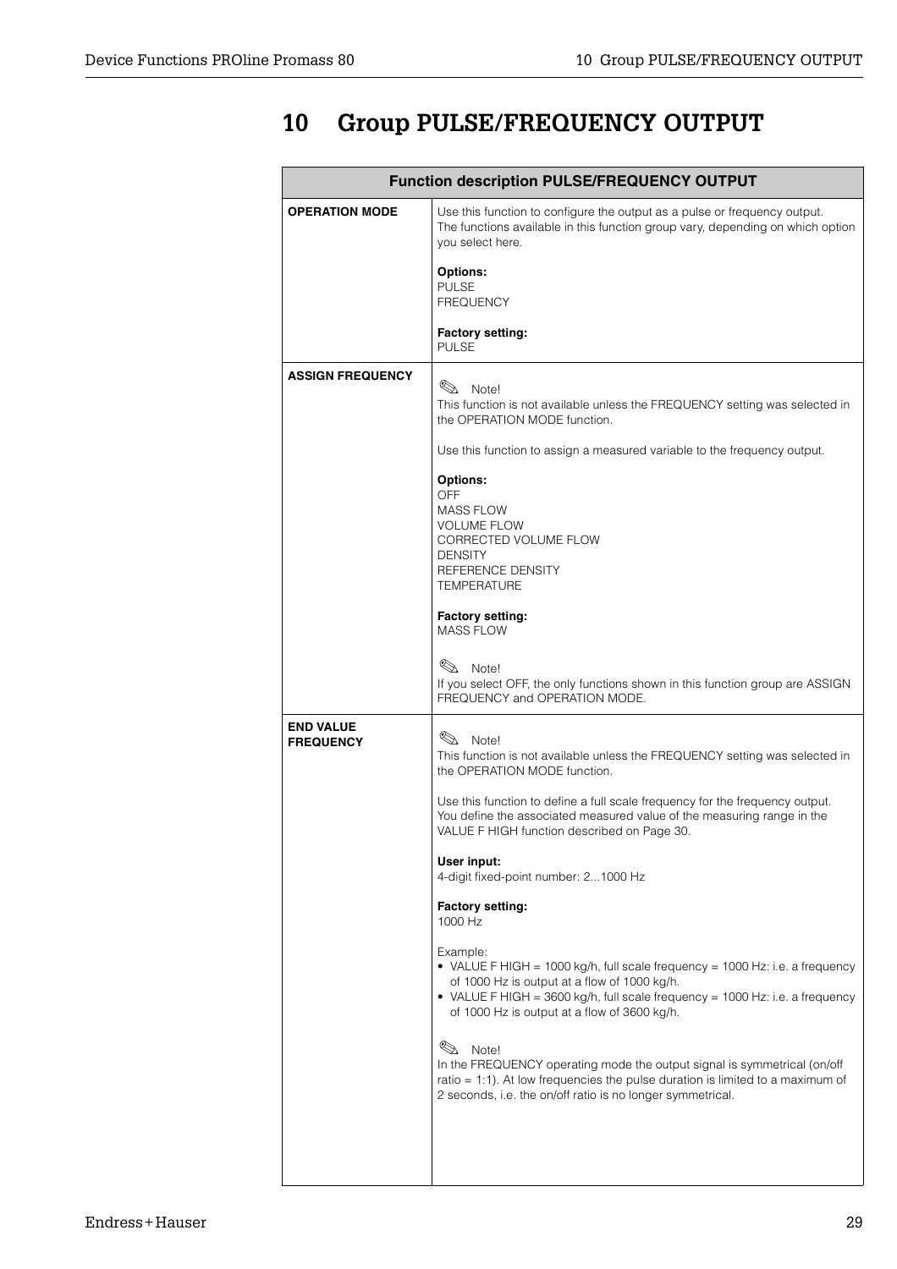# <span id="page-28-7"></span><span id="page-28-0"></span>**10 Group PULSE/FREQUENCY OUTPUT**

<span id="page-28-8"></span><span id="page-28-6"></span><span id="page-28-5"></span><span id="page-28-4"></span><span id="page-28-3"></span><span id="page-28-2"></span><span id="page-28-1"></span>

| <b>Function description PULSE/FREQUENCY OUTPUT</b> |                                                                                                                                                                                                                                                                                                                                                                                                                                                                                                                                                                                          |
|----------------------------------------------------|------------------------------------------------------------------------------------------------------------------------------------------------------------------------------------------------------------------------------------------------------------------------------------------------------------------------------------------------------------------------------------------------------------------------------------------------------------------------------------------------------------------------------------------------------------------------------------------|
| <b>OPERATION MODE</b>                              | Use this function to configure the output as a pulse or frequency output.<br>The functions available in this function group vary, depending on which option<br>you select here.                                                                                                                                                                                                                                                                                                                                                                                                          |
|                                                    | <b>Options:</b><br><b>PULSE</b><br><b>FREQUENCY</b>                                                                                                                                                                                                                                                                                                                                                                                                                                                                                                                                      |
|                                                    | <b>Factory setting:</b><br><b>PULSE</b>                                                                                                                                                                                                                                                                                                                                                                                                                                                                                                                                                  |
| <b>ASSIGN FREQUENCY</b>                            | $\mathbb{Z}$<br>Note!<br>This function is not available unless the FREQUENCY setting was selected in<br>the OPERATION MODE function.                                                                                                                                                                                                                                                                                                                                                                                                                                                     |
|                                                    | Use this function to assign a measured variable to the frequency output.<br><b>Options:</b>                                                                                                                                                                                                                                                                                                                                                                                                                                                                                              |
|                                                    | OFF<br><b>MASS FLOW</b><br><b>VOLUME FLOW</b><br>CORRECTED VOLUME FLOW<br><b>DENSITY</b><br>REFERENCE DENSITY<br><b>TEMPERATURE</b>                                                                                                                                                                                                                                                                                                                                                                                                                                                      |
|                                                    | <b>Factory setting:</b><br><b>MASS FLOW</b>                                                                                                                                                                                                                                                                                                                                                                                                                                                                                                                                              |
|                                                    | $\mathbb{Z}$<br>Note!<br>If you select OFF, the only functions shown in this function group are ASSIGN<br>FREQUENCY and OPERATION MODE.                                                                                                                                                                                                                                                                                                                                                                                                                                                  |
| <b>END VALUE</b><br><b>FREQUENCY</b>               | $\mathcal{D}$<br>Note!<br>This function is not available unless the FREQUENCY setting was selected in<br>the OPERATION MODE function.                                                                                                                                                                                                                                                                                                                                                                                                                                                    |
|                                                    | Use this function to define a full scale frequency for the frequency output.<br>You define the associated measured value of the measuring range in the<br>VALUE F HIGH function described on Page 30.                                                                                                                                                                                                                                                                                                                                                                                    |
|                                                    | User input:<br>4-digit fixed-point number: 21000 Hz                                                                                                                                                                                                                                                                                                                                                                                                                                                                                                                                      |
|                                                    | <b>Factory setting:</b><br>1000 Hz                                                                                                                                                                                                                                                                                                                                                                                                                                                                                                                                                       |
|                                                    | Example:<br>• VALUE F HIGH = 1000 kg/h, full scale frequency = 1000 Hz: i.e. a frequency<br>of 1000 Hz is output at a flow of 1000 kg/h.<br>• VALUE F HIGH = 3600 kg/h, full scale frequency = 1000 Hz: i.e. a frequency<br>of 1000 Hz is output at a flow of 3600 kg/h.                                                                                                                                                                                                                                                                                                                 |
|                                                    | $\begin{picture}(20,20) \put(0,0){\line(1,0){10}} \put(15,0){\line(1,0){10}} \put(15,0){\line(1,0){10}} \put(15,0){\line(1,0){10}} \put(15,0){\line(1,0){10}} \put(15,0){\line(1,0){10}} \put(15,0){\line(1,0){10}} \put(15,0){\line(1,0){10}} \put(15,0){\line(1,0){10}} \put(15,0){\line(1,0){10}} \put(15,0){\line(1,0){10}} \put(15,0){\line(1$<br>Note!<br>In the FREQUENCY operating mode the output signal is symmetrical (on/off<br>ratio = 1:1). At low frequencies the pulse duration is limited to a maximum of<br>2 seconds, i.e. the on/off ratio is no longer symmetrical. |
|                                                    |                                                                                                                                                                                                                                                                                                                                                                                                                                                                                                                                                                                          |
|                                                    |                                                                                                                                                                                                                                                                                                                                                                                                                                                                                                                                                                                          |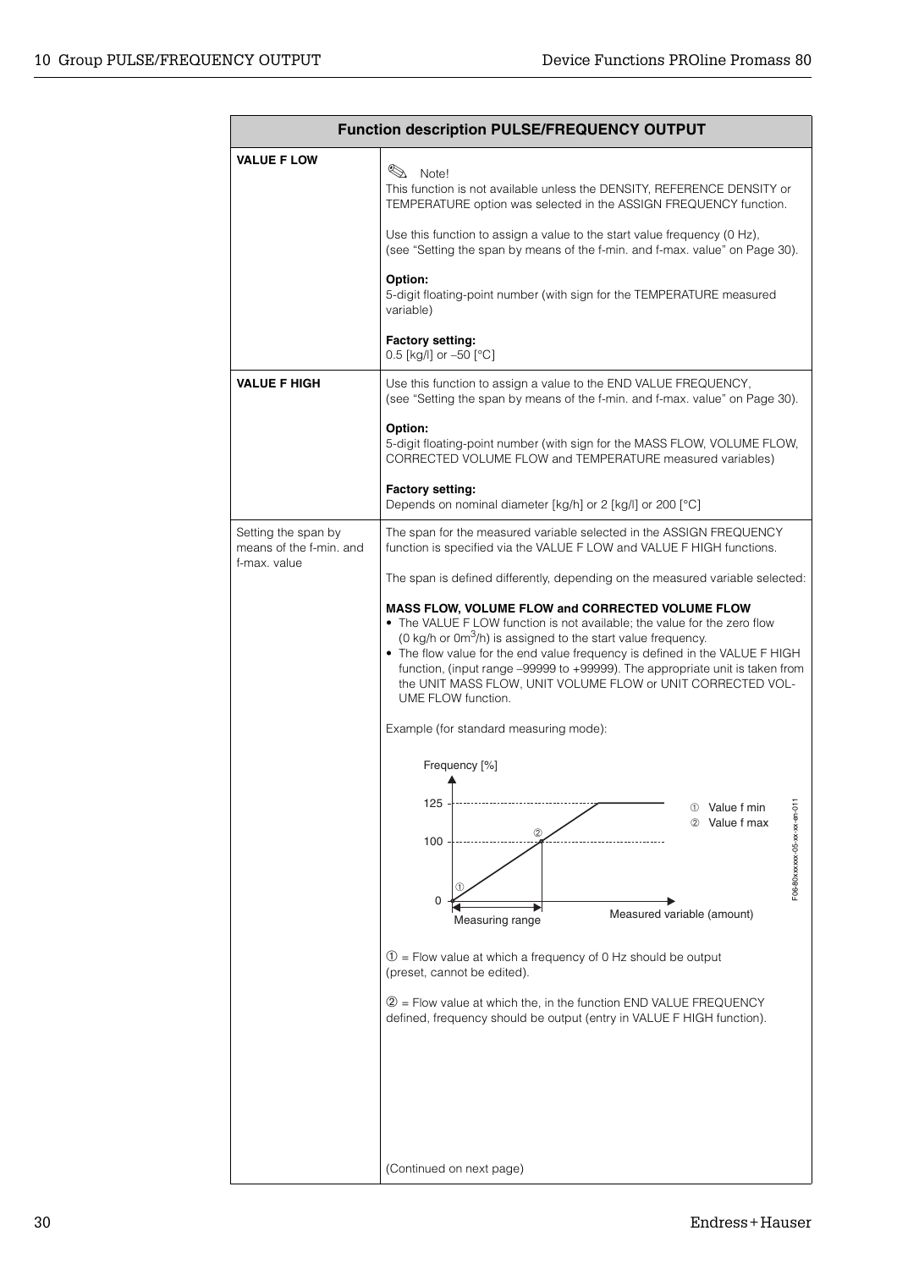<span id="page-29-5"></span><span id="page-29-4"></span><span id="page-29-3"></span><span id="page-29-2"></span><span id="page-29-1"></span><span id="page-29-0"></span>

| <b>Function description PULSE/FREQUENCY OUTPUT</b> |                                                                                                                                                                                                                                                                                                                                                                                                                                                                                                              |  |  |
|----------------------------------------------------|--------------------------------------------------------------------------------------------------------------------------------------------------------------------------------------------------------------------------------------------------------------------------------------------------------------------------------------------------------------------------------------------------------------------------------------------------------------------------------------------------------------|--|--|
| <b>VALUE F LOW</b>                                 | $\begin{picture}(20,20) \put(0,0){\line(1,0){10}} \put(15,0){\line(1,0){10}} \put(15,0){\line(1,0){10}} \put(15,0){\line(1,0){10}} \put(15,0){\line(1,0){10}} \put(15,0){\line(1,0){10}} \put(15,0){\line(1,0){10}} \put(15,0){\line(1,0){10}} \put(15,0){\line(1,0){10}} \put(15,0){\line(1,0){10}} \put(15,0){\line(1,0){10}} \put(15,0){\line(1$<br>Note!<br>This function is not available unless the DENSITY, REFERENCE DENSITY or<br>TEMPERATURE option was selected in the ASSIGN FREQUENCY function. |  |  |
|                                                    | Use this function to assign a value to the start value frequency (0 Hz),<br>(see "Setting the span by means of the f-min. and f-max. value" on Page 30).                                                                                                                                                                                                                                                                                                                                                     |  |  |
|                                                    | Option:<br>5-digit floating-point number (with sign for the TEMPERATURE measured<br>variable)                                                                                                                                                                                                                                                                                                                                                                                                                |  |  |
|                                                    | <b>Factory setting:</b><br>0.5 [kg/l] or -50 [°C]                                                                                                                                                                                                                                                                                                                                                                                                                                                            |  |  |
| <b>VALUE F HIGH</b>                                | Use this function to assign a value to the END VALUE FREQUENCY,<br>(see "Setting the span by means of the f-min. and f-max. value" on Page 30).                                                                                                                                                                                                                                                                                                                                                              |  |  |
|                                                    | Option:<br>5-digit floating-point number (with sign for the MASS FLOW, VOLUME FLOW,<br>CORRECTED VOLUME FLOW and TEMPERATURE measured variables)                                                                                                                                                                                                                                                                                                                                                             |  |  |
|                                                    | <b>Factory setting:</b><br>Depends on nominal diameter [kg/h] or 2 [kg/l] or 200 [°C]                                                                                                                                                                                                                                                                                                                                                                                                                        |  |  |
| Setting the span by<br>means of the f-min. and     | The span for the measured variable selected in the ASSIGN FREQUENCY<br>function is specified via the VALUE F LOW and VALUE F HIGH functions.                                                                                                                                                                                                                                                                                                                                                                 |  |  |
| f-max. value                                       | The span is defined differently, depending on the measured variable selected:                                                                                                                                                                                                                                                                                                                                                                                                                                |  |  |
|                                                    | MASS FLOW, VOLUME FLOW and CORRECTED VOLUME FLOW<br>• The VALUE F LOW function is not available; the value for the zero flow<br>(0 kg/h or $0m^3/h$ ) is assigned to the start value frequency.<br>• The flow value for the end value frequency is defined in the VALUE F HIGH<br>function, (input range -99999 to +99999). The appropriate unit is taken from<br>the UNIT MASS FLOW, UNIT VOLUME FLOW or UNIT CORRECTED VOL-<br>UME FLOW function.<br>Example (for standard measuring mode):                |  |  |
|                                                    | Frequency [%]                                                                                                                                                                                                                                                                                                                                                                                                                                                                                                |  |  |
|                                                    | 125<br>Value f min                                                                                                                                                                                                                                                                                                                                                                                                                                                                                           |  |  |
|                                                    | F06-80xxxxxx-05-xx-xx-en-011<br>Value f max<br>②<br>100<br>0<br>Measured variable (amount)<br>Measuring range                                                                                                                                                                                                                                                                                                                                                                                                |  |  |
|                                                    | $\mathcal{D}$ = Flow value at which a frequency of 0 Hz should be output<br>(preset, cannot be edited).                                                                                                                                                                                                                                                                                                                                                                                                      |  |  |
|                                                    | $\mathcal{Q}$ = Flow value at which the, in the function END VALUE FREQUENCY<br>defined, frequency should be output (entry in VALUE F HIGH function).                                                                                                                                                                                                                                                                                                                                                        |  |  |
|                                                    |                                                                                                                                                                                                                                                                                                                                                                                                                                                                                                              |  |  |
|                                                    | (Continued on next page)                                                                                                                                                                                                                                                                                                                                                                                                                                                                                     |  |  |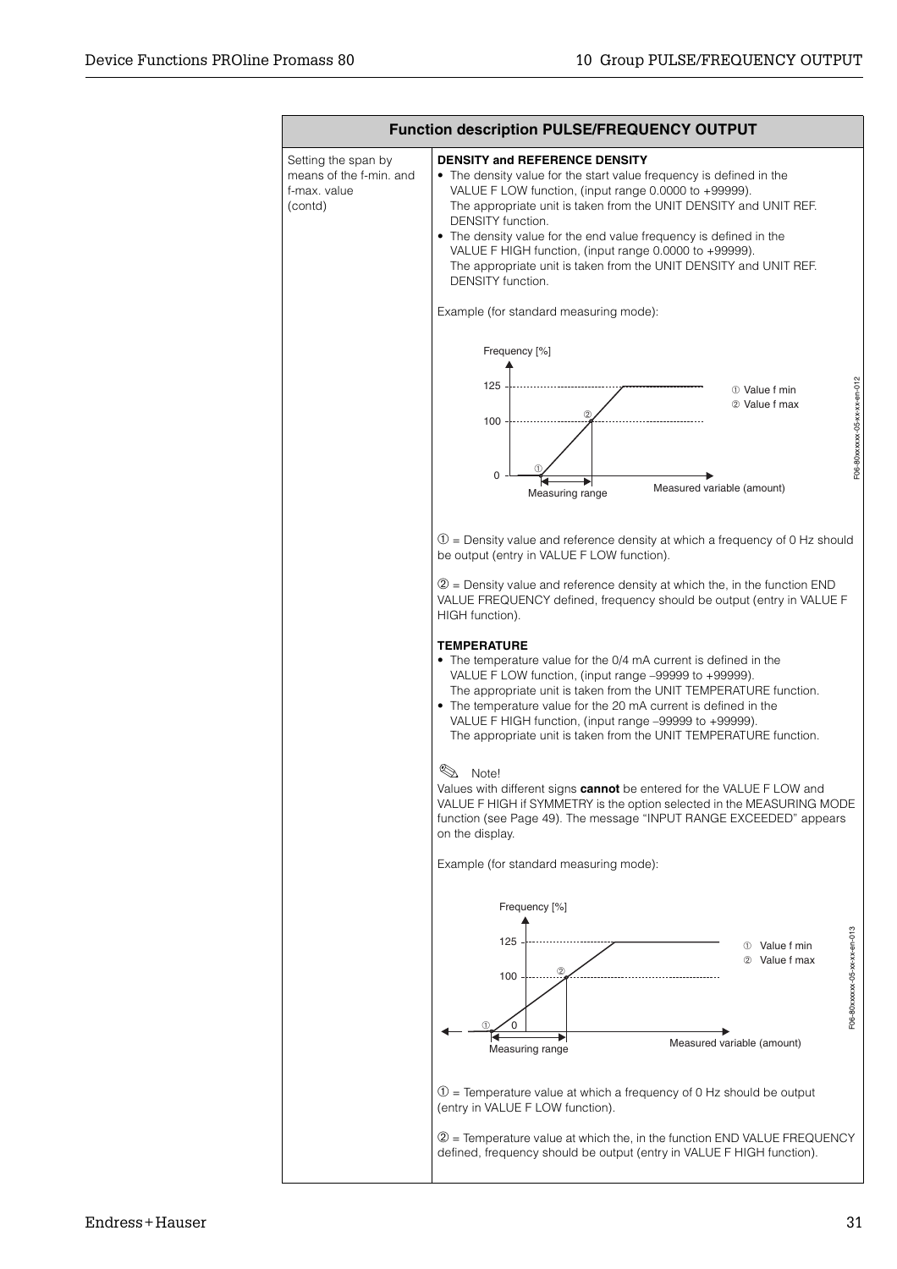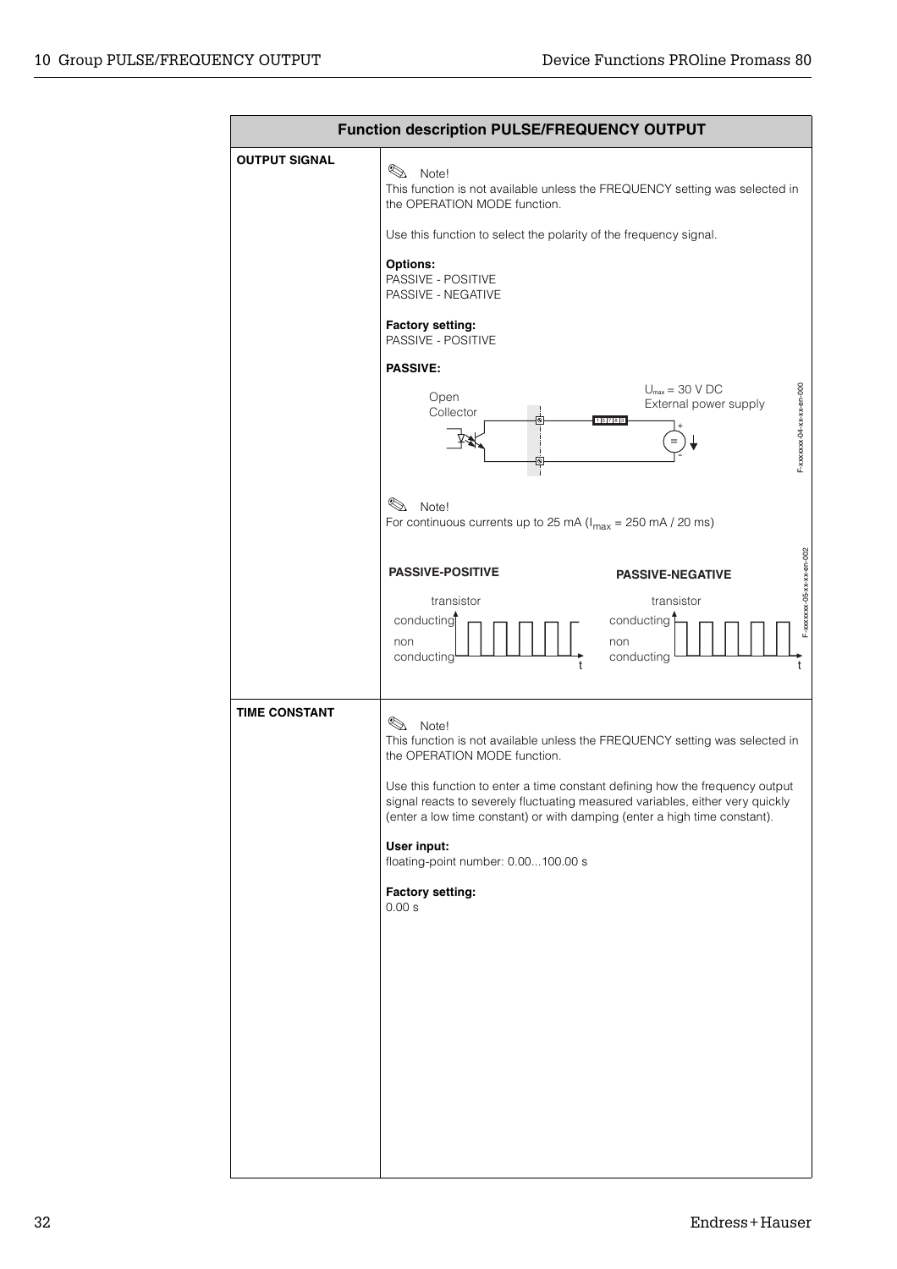<span id="page-31-3"></span><span id="page-31-2"></span><span id="page-31-1"></span><span id="page-31-0"></span>

|                      | <b>Function description PULSE/FREQUENCY OUTPUT</b>                                                                                                                                                                                                                                                                                                                                                                                                                             |
|----------------------|--------------------------------------------------------------------------------------------------------------------------------------------------------------------------------------------------------------------------------------------------------------------------------------------------------------------------------------------------------------------------------------------------------------------------------------------------------------------------------|
| <b>OUTPUT SIGNAL</b> | $\begin{picture}(20,20) \put(0,0){\line(1,0){10}} \put(15,0){\line(1,0){10}} \put(15,0){\line(1,0){10}} \put(15,0){\line(1,0){10}} \put(15,0){\line(1,0){10}} \put(15,0){\line(1,0){10}} \put(15,0){\line(1,0){10}} \put(15,0){\line(1,0){10}} \put(15,0){\line(1,0){10}} \put(15,0){\line(1,0){10}} \put(15,0){\line(1,0){10}} \put(15,0){\line(1$<br>Note!<br>This function is not available unless the FREQUENCY setting was selected in<br>the OPERATION MODE function.    |
|                      | Use this function to select the polarity of the frequency signal.                                                                                                                                                                                                                                                                                                                                                                                                              |
|                      | Options:<br>PASSIVE - POSITIVE<br>PASSIVE - NEGATIVE                                                                                                                                                                                                                                                                                                                                                                                                                           |
|                      | <b>Factory setting:</b><br>PASSIVE - POSITIVE                                                                                                                                                                                                                                                                                                                                                                                                                                  |
|                      | <b>PASSIVE:</b>                                                                                                                                                                                                                                                                                                                                                                                                                                                                |
|                      | F-xxxxxx-04-xx-xx-en-000<br>$U_{\text{max}} = 30 \text{ V DC}$<br>Open<br>External power supply<br>Collector<br> ⊗<br>15783<br> ⊗                                                                                                                                                                                                                                                                                                                                              |
|                      | $\mathbb{Z}$<br>Note!<br>For continuous currents up to 25 mA ( $I_{max}$ = 250 mA / 20 ms)                                                                                                                                                                                                                                                                                                                                                                                     |
|                      | F-xxxxxx-05-xx-xx-en-002<br><b>PASSIVE-POSITIVE</b><br><b>PASSIVE-NEGATIVE</b><br>transistor<br>transistor                                                                                                                                                                                                                                                                                                                                                                     |
|                      | conducting<br>conducting<br>non<br>non<br>conducting<br>conducting<br>t                                                                                                                                                                                                                                                                                                                                                                                                        |
| <b>TIME CONSTANT</b> | $\mathcal{Q}$<br>Note!<br>This function is not available unless the FREQUENCY setting was selected in<br>the OPERATION MODE function.<br>Use this function to enter a time constant defining how the frequency output<br>signal reacts to severely fluctuating measured variables, either very quickly<br>(enter a low time constant) or with damping (enter a high time constant).<br>User input:<br>floating-point number: 0.00100.00 s<br><b>Factory setting:</b><br>0.00 s |
|                      |                                                                                                                                                                                                                                                                                                                                                                                                                                                                                |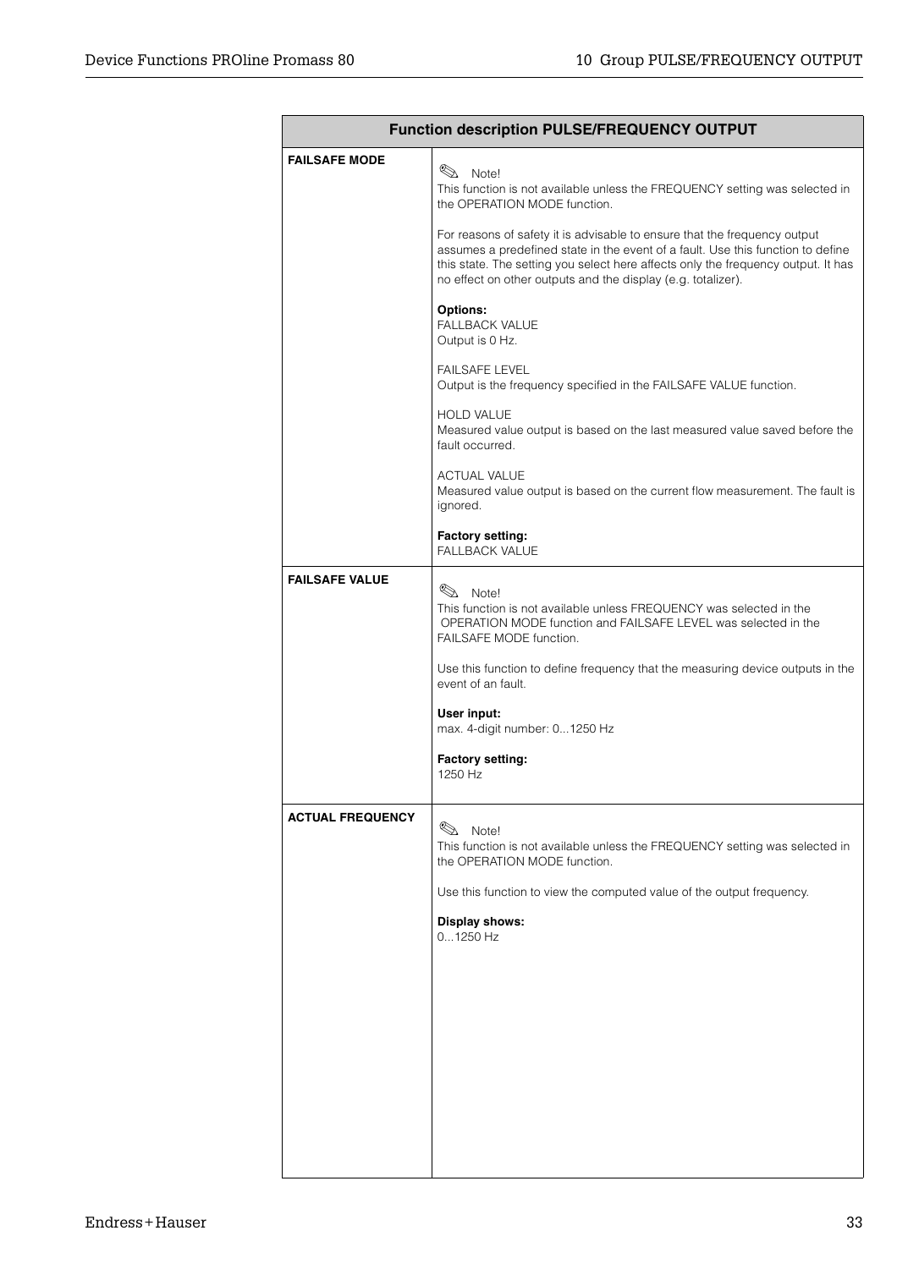<span id="page-32-5"></span><span id="page-32-4"></span><span id="page-32-3"></span><span id="page-32-2"></span><span id="page-32-1"></span><span id="page-32-0"></span>

|                         | <b>Function description PULSE/FREQUENCY OUTPUT</b>                                                                                                                                                                                                                                                                |
|-------------------------|-------------------------------------------------------------------------------------------------------------------------------------------------------------------------------------------------------------------------------------------------------------------------------------------------------------------|
| <b>FAILSAFE MODE</b>    | $\mathcal{D}$<br>Note!<br>This function is not available unless the FREQUENCY setting was selected in<br>the OPERATION MODE function.                                                                                                                                                                             |
|                         | For reasons of safety it is advisable to ensure that the frequency output<br>assumes a predefined state in the event of a fault. Use this function to define<br>this state. The setting you select here affects only the frequency output. It has<br>no effect on other outputs and the display (e.g. totalizer). |
|                         | <b>Options:</b><br><b>FALLBACK VALUE</b><br>Output is 0 Hz.                                                                                                                                                                                                                                                       |
|                         | <b>FAILSAFE LEVEL</b><br>Output is the frequency specified in the FAILSAFE VALUE function.                                                                                                                                                                                                                        |
|                         | <b>HOLD VALUE</b><br>Measured value output is based on the last measured value saved before the<br>fault occurred.                                                                                                                                                                                                |
|                         | <b>ACTUAL VALUE</b><br>Measured value output is based on the current flow measurement. The fault is<br>ignored.                                                                                                                                                                                                   |
|                         | <b>Factory setting:</b><br><b>FALLBACK VALUE</b>                                                                                                                                                                                                                                                                  |
| <b>FAILSAFE VALUE</b>   | Note!<br>This function is not available unless FREQUENCY was selected in the<br>OPERATION MODE function and FAILSAFE LEVEL was selected in the<br>FAILSAFE MODE function.                                                                                                                                         |
|                         | Use this function to define frequency that the measuring device outputs in the<br>event of an fault.                                                                                                                                                                                                              |
|                         | User input:<br>max. 4-digit number: 01250 Hz                                                                                                                                                                                                                                                                      |
|                         | <b>Factory setting:</b><br>1250 Hz                                                                                                                                                                                                                                                                                |
| <b>ACTUAL FREQUENCY</b> | $\mathcal{D}$<br>Note!<br>This function is not available unless the FREQUENCY setting was selected in<br>the OPERATION MODE function.                                                                                                                                                                             |
|                         | Use this function to view the computed value of the output frequency.                                                                                                                                                                                                                                             |
|                         | <b>Display shows:</b><br>$01250$ Hz                                                                                                                                                                                                                                                                               |
|                         |                                                                                                                                                                                                                                                                                                                   |
|                         |                                                                                                                                                                                                                                                                                                                   |
|                         |                                                                                                                                                                                                                                                                                                                   |
|                         |                                                                                                                                                                                                                                                                                                                   |
|                         |                                                                                                                                                                                                                                                                                                                   |
|                         |                                                                                                                                                                                                                                                                                                                   |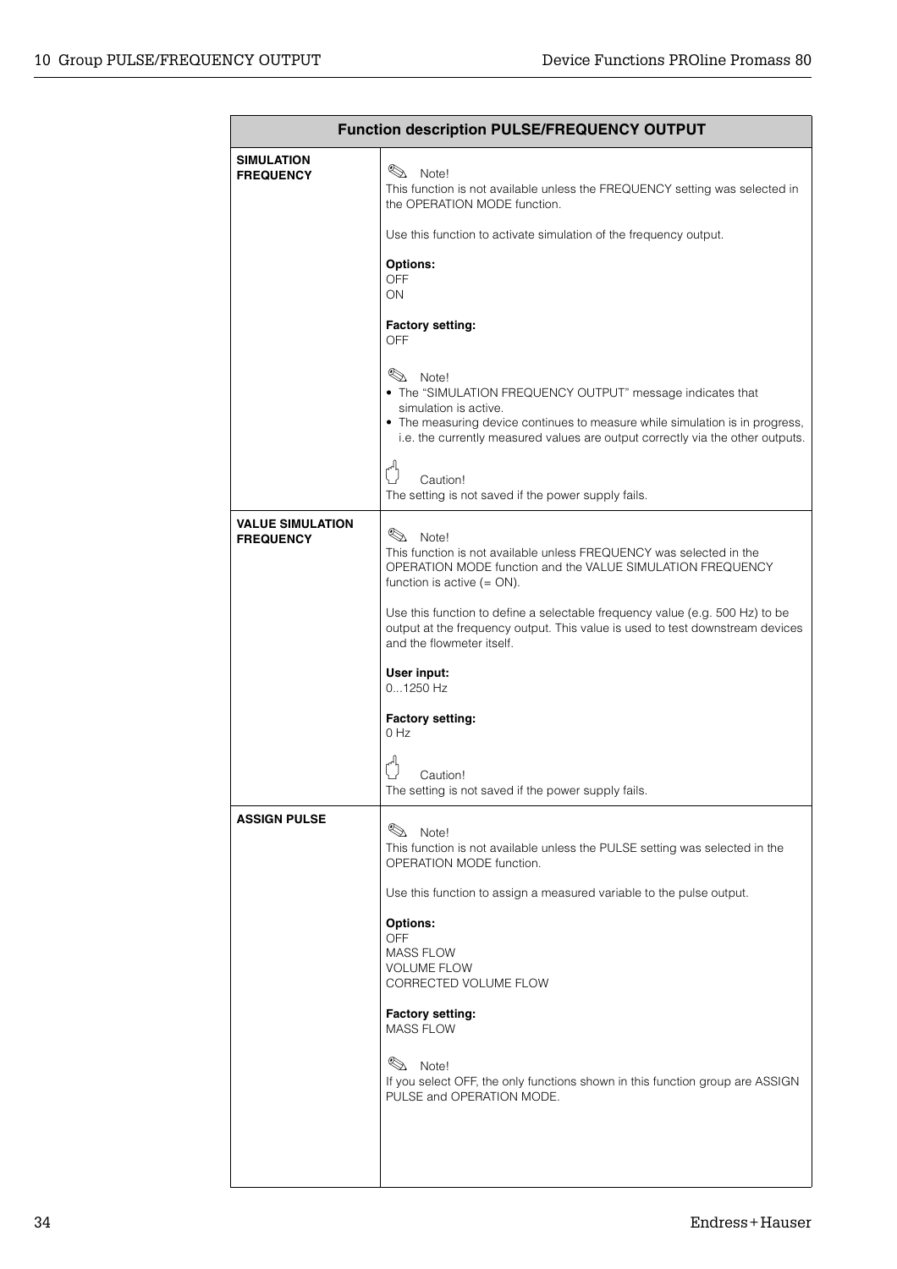<span id="page-33-5"></span><span id="page-33-4"></span><span id="page-33-3"></span><span id="page-33-2"></span><span id="page-33-1"></span><span id="page-33-0"></span>

| <b>Function description PULSE/FREQUENCY OUTPUT</b> |                                                                                                                                                                                                                                                                                                                                                                                                                                                                                |  |
|----------------------------------------------------|--------------------------------------------------------------------------------------------------------------------------------------------------------------------------------------------------------------------------------------------------------------------------------------------------------------------------------------------------------------------------------------------------------------------------------------------------------------------------------|--|
| <b>SIMULATION</b><br><b>FREQUENCY</b>              | $\mathcal{D}$<br>Note!<br>This function is not available unless the FREQUENCY setting was selected in<br>the OPERATION MODE function.<br>Use this function to activate simulation of the frequency output.<br><b>Options:</b><br>OFF<br>ON                                                                                                                                                                                                                                     |  |
|                                                    | Factory setting:<br>OFF<br>Note!<br>• The "SIMULATION FREQUENCY OUTPUT" message indicates that<br>simulation is active.                                                                                                                                                                                                                                                                                                                                                        |  |
|                                                    | • The measuring device continues to measure while simulation is in progress,<br>i.e. the currently measured values are output correctly via the other outputs.<br>Caution!<br>The setting is not saved if the power supply fails.                                                                                                                                                                                                                                              |  |
| <b>VALUE SIMULATION</b><br><b>FREQUENCY</b>        | $\mathbb{Z}$<br>Note!<br>This function is not available unless FREQUENCY was selected in the<br>OPERATION MODE function and the VALUE SIMULATION FREQUENCY<br>function is active $(= ON)$ .<br>Use this function to define a selectable frequency value (e.g. 500 Hz) to be<br>output at the frequency output. This value is used to test downstream devices<br>and the flowmeter itself.                                                                                      |  |
|                                                    | User input:<br>$01250$ Hz<br>Factory setting:<br>$0$ Hz<br>Caution!<br>The setting is not saved if the power supply fails.                                                                                                                                                                                                                                                                                                                                                     |  |
| <b>ASSIGN PULSE</b>                                | $\mathscr{D}$<br>Note!<br>This function is not available unless the PULSE setting was selected in the<br>OPERATION MODE function.<br>Use this function to assign a measured variable to the pulse output.<br><b>Options:</b><br>OFF<br>MASS FLOW<br><b>VOLUME FLOW</b><br>CORRECTED VOLUME FLOW<br>Factory setting:<br><b>MASS FLOW</b><br>$\mathbb{Z}$<br>Note!<br>If you select OFF, the only functions shown in this function group are ASSIGN<br>PULSE and OPERATION MODE. |  |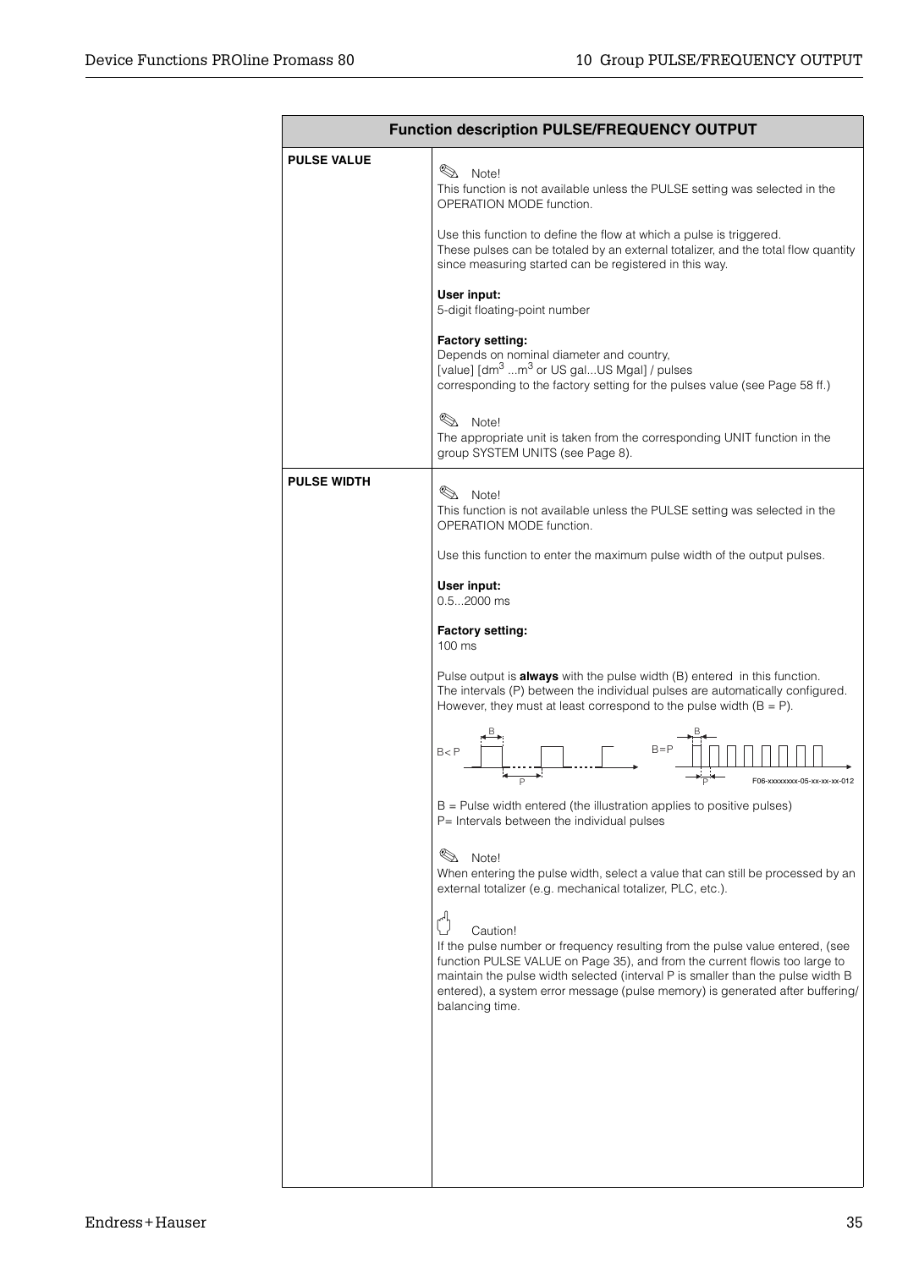<span id="page-34-3"></span><span id="page-34-2"></span><span id="page-34-1"></span><span id="page-34-0"></span>

|                    | <b>Function description PULSE/FREQUENCY OUTPUT</b>                                                                                                                                                                                                                                                                                                             |
|--------------------|----------------------------------------------------------------------------------------------------------------------------------------------------------------------------------------------------------------------------------------------------------------------------------------------------------------------------------------------------------------|
| <b>PULSE VALUE</b> | $\mathscr{D}$<br>Note!<br>This function is not available unless the PULSE setting was selected in the<br>OPERATION MODE function.                                                                                                                                                                                                                              |
|                    | Use this function to define the flow at which a pulse is triggered.<br>These pulses can be totaled by an external totalizer, and the total flow quantity<br>since measuring started can be registered in this way.                                                                                                                                             |
|                    | User input:<br>5-digit floating-point number                                                                                                                                                                                                                                                                                                                   |
|                    | <b>Factory setting:</b><br>Depends on nominal diameter and country,<br>[value] [dm <sup>3</sup> m <sup>3</sup> or US galUS Mgal] / pulses<br>corresponding to the factory setting for the pulses value (see Page 58 ff.)                                                                                                                                       |
|                    | $\mathbb{Z}$<br>Note!<br>The appropriate unit is taken from the corresponding UNIT function in the<br>group SYSTEM UNITS (see Page 8).                                                                                                                                                                                                                         |
| <b>PULSE WIDTH</b> | $\mathcal{D}$<br>Note!<br>This function is not available unless the PULSE setting was selected in the<br>OPERATION MODE function.                                                                                                                                                                                                                              |
|                    | Use this function to enter the maximum pulse width of the output pulses.                                                                                                                                                                                                                                                                                       |
|                    | User input:<br>$0.52000$ ms                                                                                                                                                                                                                                                                                                                                    |
|                    | <b>Factory setting:</b><br>100 ms                                                                                                                                                                                                                                                                                                                              |
|                    | Pulse output is <b>always</b> with the pulse width (B) entered in this function.<br>The intervals (P) between the individual pulses are automatically configured.<br>However, they must at least correspond to the pulse width $(B = P)$ .                                                                                                                     |
|                    | $B = P$<br>B < P<br>F06-xxxxxxxx-05-xx-xx-xx-012                                                                                                                                                                                                                                                                                                               |
|                    | $B =$ Pulse width entered (the illustration applies to positive pulses)<br>P= Intervals between the individual pulses                                                                                                                                                                                                                                          |
|                    | $\mathbb{Z}$<br>Note!<br>When entering the pulse width, select a value that can still be processed by an<br>external totalizer (e.g. mechanical totalizer, PLC, etc.).                                                                                                                                                                                         |
|                    | Caution!<br>If the pulse number or frequency resulting from the pulse value entered, (see<br>function PULSE VALUE on Page 35), and from the current flowis too large to<br>maintain the pulse width selected (interval P is smaller than the pulse width B<br>entered), a system error message (pulse memory) is generated after buffering/<br>balancing time. |
|                    |                                                                                                                                                                                                                                                                                                                                                                |
|                    |                                                                                                                                                                                                                                                                                                                                                                |
|                    |                                                                                                                                                                                                                                                                                                                                                                |
|                    |                                                                                                                                                                                                                                                                                                                                                                |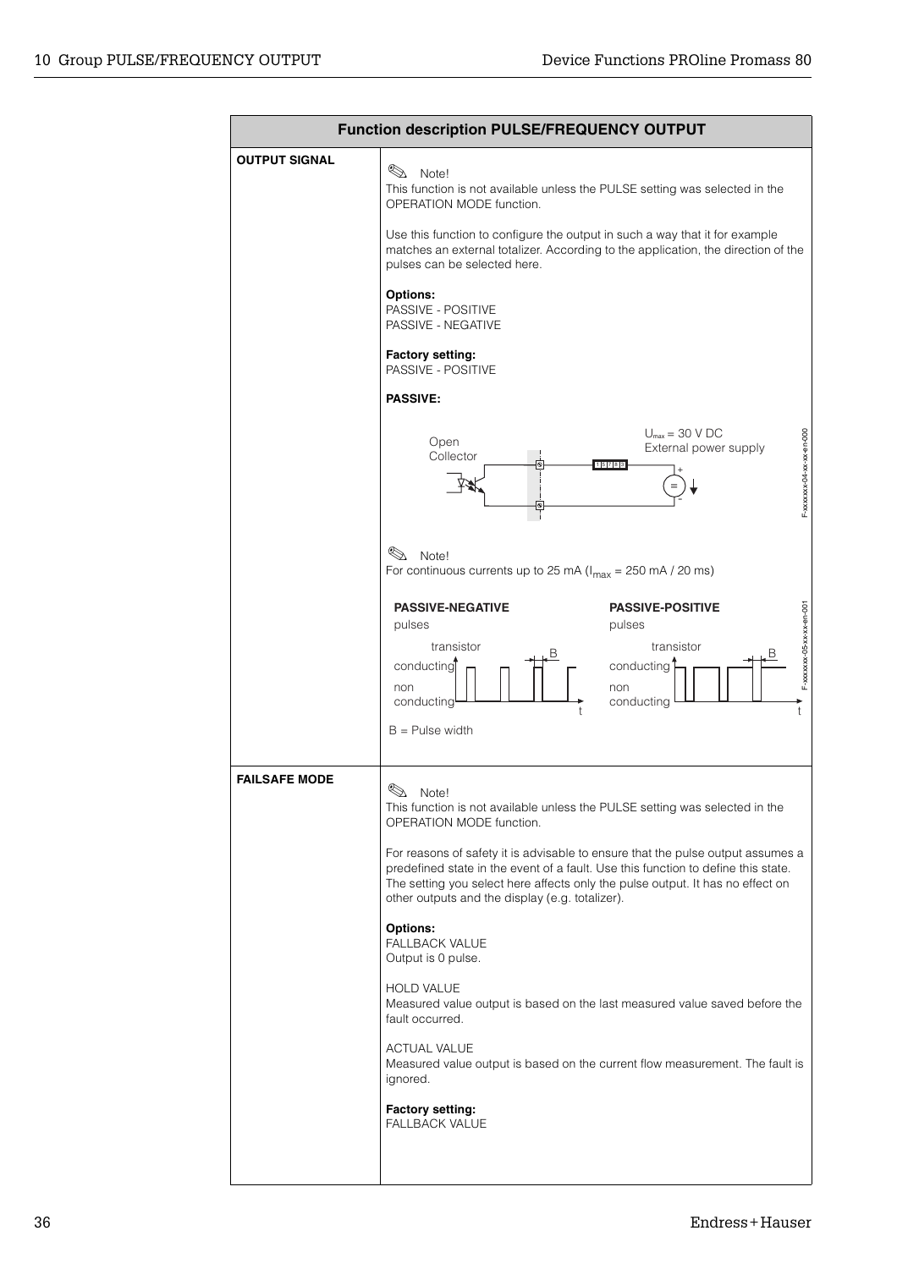<span id="page-35-3"></span><span id="page-35-2"></span><span id="page-35-1"></span><span id="page-35-0"></span>

| <b>Function description PULSE/FREQUENCY OUTPUT</b> |                                                                                                                                                                                                                                                                                                                                                                                                                                                                                                                                                                                                                                                                                                                                            |  |
|----------------------------------------------------|--------------------------------------------------------------------------------------------------------------------------------------------------------------------------------------------------------------------------------------------------------------------------------------------------------------------------------------------------------------------------------------------------------------------------------------------------------------------------------------------------------------------------------------------------------------------------------------------------------------------------------------------------------------------------------------------------------------------------------------------|--|
| <b>OUTPUT SIGNAL</b>                               | $\begin{picture}(20,20) \put(0,0){\line(1,0){10}} \put(15,0){\line(1,0){10}} \put(15,0){\line(1,0){10}} \put(15,0){\line(1,0){10}} \put(15,0){\line(1,0){10}} \put(15,0){\line(1,0){10}} \put(15,0){\line(1,0){10}} \put(15,0){\line(1,0){10}} \put(15,0){\line(1,0){10}} \put(15,0){\line(1,0){10}} \put(15,0){\line(1,0){10}} \put(15,0){\line(1$<br>Note!<br>This function is not available unless the PULSE setting was selected in the<br>OPERATION MODE function.<br>Use this function to configure the output in such a way that it for example<br>matches an external totalizer. According to the application, the direction of the<br>pulses can be selected here.<br><b>Options:</b><br>PASSIVE - POSITIVE<br>PASSIVE - NEGATIVE |  |
|                                                    | <b>Factory setting:</b><br>PASSIVE - POSITIVE                                                                                                                                                                                                                                                                                                                                                                                                                                                                                                                                                                                                                                                                                              |  |
|                                                    | <b>PASSIVE:</b><br>F-xxxxxx-04-xx-xx-en-000<br>$U_{\text{max}}$ = 30 V DC<br>Open<br>External power supply<br>Collector<br>ত<br>15783<br>$\bullet$                                                                                                                                                                                                                                                                                                                                                                                                                                                                                                                                                                                         |  |
|                                                    | $\mathbb{Z}$<br>Note!<br>For continuous currents up to 25 mA ( $I_{max}$ = 250 mA / 20 ms)                                                                                                                                                                                                                                                                                                                                                                                                                                                                                                                                                                                                                                                 |  |
|                                                    | F-xxxxxx-05-xx-xx-en-001<br><b>PASSIVE-NEGATIVE</b><br><b>PASSIVE-POSITIVE</b><br>pulses<br>pulses<br>transistor<br>transistor<br>conducting<br>conducting<br>non<br>non<br>conducting<br>conducting<br>t<br>t<br>$B =$ Pulse width                                                                                                                                                                                                                                                                                                                                                                                                                                                                                                        |  |
| <b>FAILSAFE MODE</b>                               | ⋒<br>$\mathrel{\otimes}$ Note!<br>This function is not available unless the PULSE setting was selected in the<br>OPERATION MODE function.                                                                                                                                                                                                                                                                                                                                                                                                                                                                                                                                                                                                  |  |
|                                                    | For reasons of safety it is advisable to ensure that the pulse output assumes a<br>predefined state in the event of a fault. Use this function to define this state.<br>The setting you select here affects only the pulse output. It has no effect on<br>other outputs and the display (e.g. totalizer).                                                                                                                                                                                                                                                                                                                                                                                                                                  |  |
|                                                    | <b>Options:</b><br><b>FALLBACK VALUE</b><br>Output is 0 pulse.                                                                                                                                                                                                                                                                                                                                                                                                                                                                                                                                                                                                                                                                             |  |
|                                                    | <b>HOLD VALUE</b><br>Measured value output is based on the last measured value saved before the<br>fault occurred.                                                                                                                                                                                                                                                                                                                                                                                                                                                                                                                                                                                                                         |  |
|                                                    | <b>ACTUAL VALUE</b><br>Measured value output is based on the current flow measurement. The fault is<br>ignored.                                                                                                                                                                                                                                                                                                                                                                                                                                                                                                                                                                                                                            |  |
|                                                    | <b>Factory setting:</b><br>FALLBACK VALUE                                                                                                                                                                                                                                                                                                                                                                                                                                                                                                                                                                                                                                                                                                  |  |
|                                                    |                                                                                                                                                                                                                                                                                                                                                                                                                                                                                                                                                                                                                                                                                                                                            |  |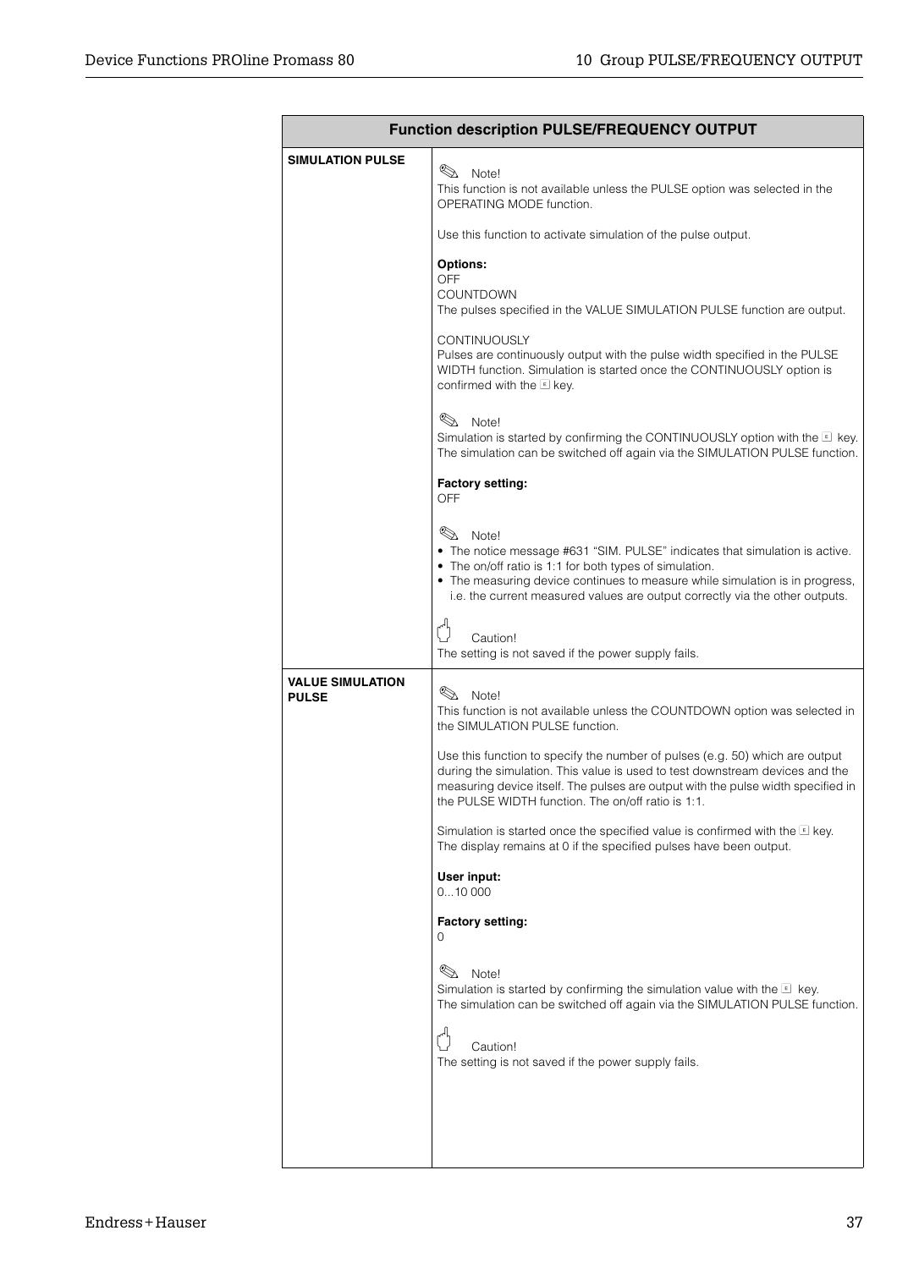<span id="page-36-1"></span><span id="page-36-0"></span>

| <b>Function description PULSE/FREQUENCY OUTPUT</b> |                                                                                                                                                                                                                                                                                                                              |  |
|----------------------------------------------------|------------------------------------------------------------------------------------------------------------------------------------------------------------------------------------------------------------------------------------------------------------------------------------------------------------------------------|--|
| <b>SIMULATION PULSE</b>                            | $\mathcal{D}$<br>Note!<br>This function is not available unless the PULSE option was selected in the<br>OPERATING MODE function.                                                                                                                                                                                             |  |
|                                                    | Use this function to activate simulation of the pulse output.                                                                                                                                                                                                                                                                |  |
|                                                    | <b>Options:</b><br>OFF<br>COUNTDOWN<br>The pulses specified in the VALUE SIMULATION PULSE function are output.<br>CONTINUOUSLY                                                                                                                                                                                               |  |
|                                                    | Pulses are continuously output with the pulse width specified in the PULSE<br>WIDTH function. Simulation is started once the CONTINUOUSLY option is<br>confirmed with the $E$ key.                                                                                                                                           |  |
|                                                    | $\mathcal{Q}$<br>Note!<br>Simulation is started by confirming the CONTINUOUSLY option with the L key.<br>The simulation can be switched off again via the SIMULATION PULSE function.                                                                                                                                         |  |
|                                                    | <b>Factory setting:</b><br>OFF                                                                                                                                                                                                                                                                                               |  |
|                                                    | $\mathbb{Q}$ Note!<br>• The notice message #631 "SIM. PULSE" indicates that simulation is active.<br>• The on/off ratio is 1:1 for both types of simulation.<br>• The measuring device continues to measure while simulation is in progress,<br>i.e. the current measured values are output correctly via the other outputs. |  |
|                                                    | بالهه<br>Caution!<br>The setting is not saved if the power supply fails.                                                                                                                                                                                                                                                     |  |
| <b>VALUE SIMULATION</b><br><b>PULSE</b>            | $\mathcal{Q}$<br>Note!<br>This function is not available unless the COUNTDOWN option was selected in<br>the SIMULATION PULSE function.                                                                                                                                                                                       |  |
|                                                    | Use this function to specify the number of pulses (e.g. 50) which are output<br>during the simulation. This value is used to test downstream devices and the<br>measuring device itself. The pulses are output with the pulse width specified in<br>the PULSE WIDTH function. The on/off ratio is 1:1.                       |  |
|                                                    | Simulation is started once the specified value is confirmed with the $E$ key.<br>The display remains at 0 if the specified pulses have been output.                                                                                                                                                                          |  |
|                                                    | User input:<br>010000                                                                                                                                                                                                                                                                                                        |  |
|                                                    | <b>Factory setting:</b><br>O                                                                                                                                                                                                                                                                                                 |  |
|                                                    | $\mathscr{D}$<br>Note!<br>Simulation is started by confirming the simulation value with the $\blacksquare$ key.<br>The simulation can be switched off again via the SIMULATION PULSE function.                                                                                                                               |  |
|                                                    | ן<br>ה<br>Caution!<br>The setting is not saved if the power supply fails.                                                                                                                                                                                                                                                    |  |
|                                                    |                                                                                                                                                                                                                                                                                                                              |  |
|                                                    |                                                                                                                                                                                                                                                                                                                              |  |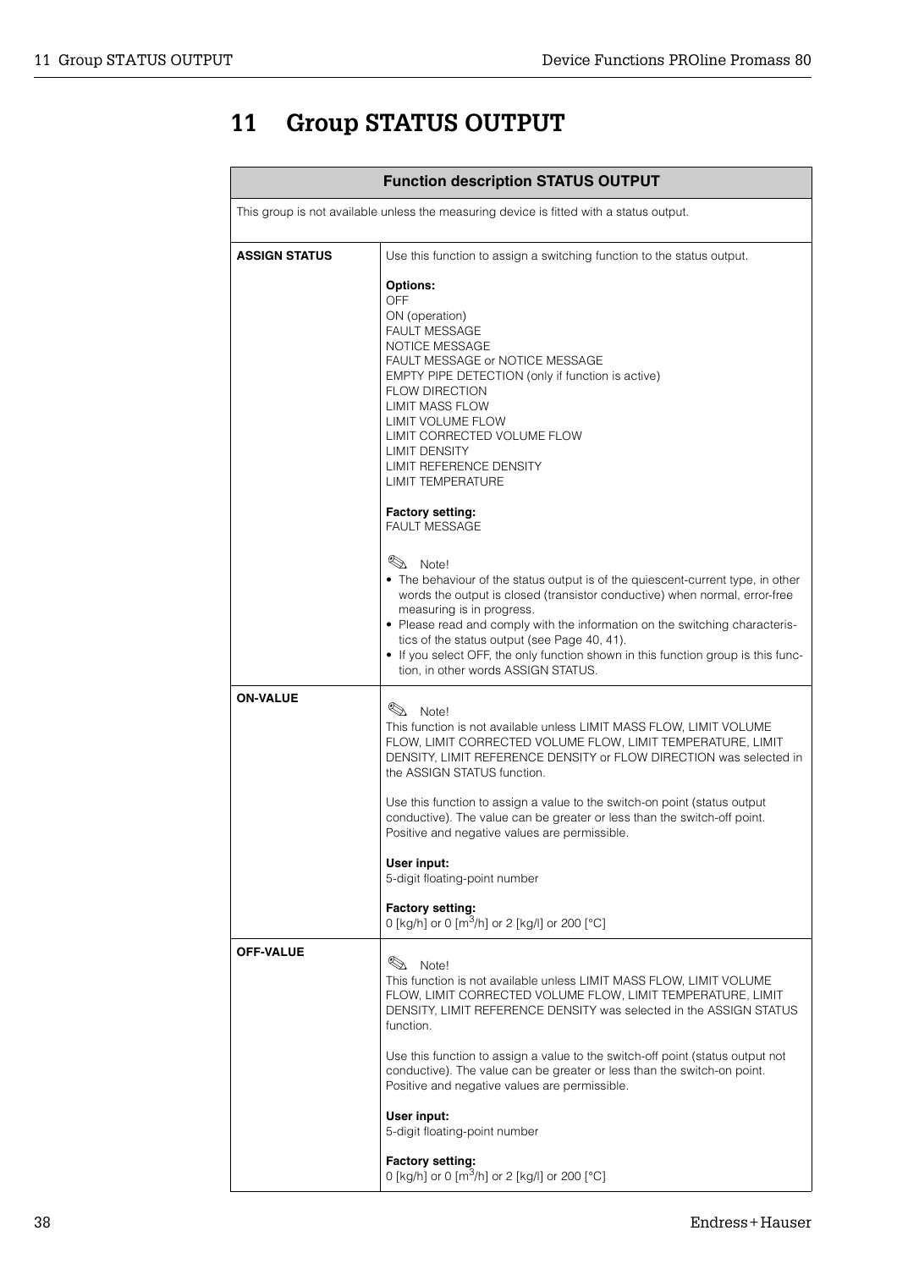# <span id="page-37-5"></span><span id="page-37-0"></span>**11 Group STATUS OUTPUT**

<span id="page-37-7"></span><span id="page-37-6"></span><span id="page-37-4"></span><span id="page-37-3"></span><span id="page-37-2"></span><span id="page-37-1"></span>

| <b>Function description STATUS OUTPUT</b> |                                                                                                                                                                                                                                                                                                                                                                                                                                                                                                                                                                                                                                                                                                                                                                                                                                                                                                                                                                                                                                |  |  |
|-------------------------------------------|--------------------------------------------------------------------------------------------------------------------------------------------------------------------------------------------------------------------------------------------------------------------------------------------------------------------------------------------------------------------------------------------------------------------------------------------------------------------------------------------------------------------------------------------------------------------------------------------------------------------------------------------------------------------------------------------------------------------------------------------------------------------------------------------------------------------------------------------------------------------------------------------------------------------------------------------------------------------------------------------------------------------------------|--|--|
|                                           | This group is not available unless the measuring device is fitted with a status output.                                                                                                                                                                                                                                                                                                                                                                                                                                                                                                                                                                                                                                                                                                                                                                                                                                                                                                                                        |  |  |
| <b>ASSIGN STATUS</b>                      | Use this function to assign a switching function to the status output.<br><b>Options:</b><br>OFF<br>ON (operation)<br><b>FAULT MESSAGE</b><br>NOTICE MESSAGE<br>FAULT MESSAGE or NOTICE MESSAGE<br>EMPTY PIPE DETECTION (only if function is active)<br><b>FLOW DIRECTION</b><br><b>LIMIT MASS FLOW</b><br>LIMIT VOLUME FLOW<br>LIMIT CORRECTED VOLUME FLOW<br><b>LIMIT DENSITY</b><br><b>LIMIT REFERENCE DENSITY</b><br><b>LIMIT TEMPERATURE</b><br>Factory setting:<br><b>FAULT MESSAGE</b><br>$\begin{picture}(20,20) \put(0,0){\line(1,0){10}} \put(15,0){\line(1,0){10}} \put(15,0){\line(1,0){10}} \put(15,0){\line(1,0){10}} \put(15,0){\line(1,0){10}} \put(15,0){\line(1,0){10}} \put(15,0){\line(1,0){10}} \put(15,0){\line(1,0){10}} \put(15,0){\line(1,0){10}} \put(15,0){\line(1,0){10}} \put(15,0){\line(1,0){10}} \put(15,0){\line(1$<br>Note!<br>• The behaviour of the status output is of the quiescent-current type, in other<br>words the output is closed (transistor conductive) when normal, error-free |  |  |
| <b>ON-VALUE</b>                           | measuring is in progress.<br>• Please read and comply with the information on the switching characteris-<br>tics of the status output (see Page 40, 41).<br>• If you select OFF, the only function shown in this function group is this func-<br>tion, in other words ASSIGN STATUS.                                                                                                                                                                                                                                                                                                                                                                                                                                                                                                                                                                                                                                                                                                                                           |  |  |
|                                           | ⇖<br>Note!<br>This function is not available unless LIMIT MASS FLOW, LIMIT VOLUME<br>FLOW, LIMIT CORRECTED VOLUME FLOW, LIMIT TEMPERATURE, LIMIT<br>DENSITY, LIMIT REFERENCE DENSITY or FLOW DIRECTION was selected in<br>the ASSIGN STATUS function.<br>Use this function to assign a value to the switch-on point (status output<br>conductive). The value can be greater or less than the switch-off point.<br>Positive and negative values are permissible.                                                                                                                                                                                                                                                                                                                                                                                                                                                                                                                                                                |  |  |
|                                           | User input:<br>5-digit floating-point number<br><b>Factory setting:</b><br>0 [kg/h] or 0 [m <sup>3</sup> /h] or 2 [kg/l] or 200 [°C]                                                                                                                                                                                                                                                                                                                                                                                                                                                                                                                                                                                                                                                                                                                                                                                                                                                                                           |  |  |
| <b>OFF-VALUE</b>                          | ⇖<br>Note!<br>This function is not available unless LIMIT MASS FLOW, LIMIT VOLUME<br>FLOW, LIMIT CORRECTED VOLUME FLOW, LIMIT TEMPERATURE, LIMIT<br>DENSITY, LIMIT REFERENCE DENSITY was selected in the ASSIGN STATUS<br>function.<br>Use this function to assign a value to the switch-off point (status output not<br>conductive). The value can be greater or less than the switch-on point.<br>Positive and negative values are permissible.<br>User input:<br>5-digit floating-point number<br>Factory setting:<br>0 [kg/h] or 0 [m <sup>3</sup> /h] or 2 [kg/l] or 200 [°C]                                                                                                                                                                                                                                                                                                                                                                                                                                             |  |  |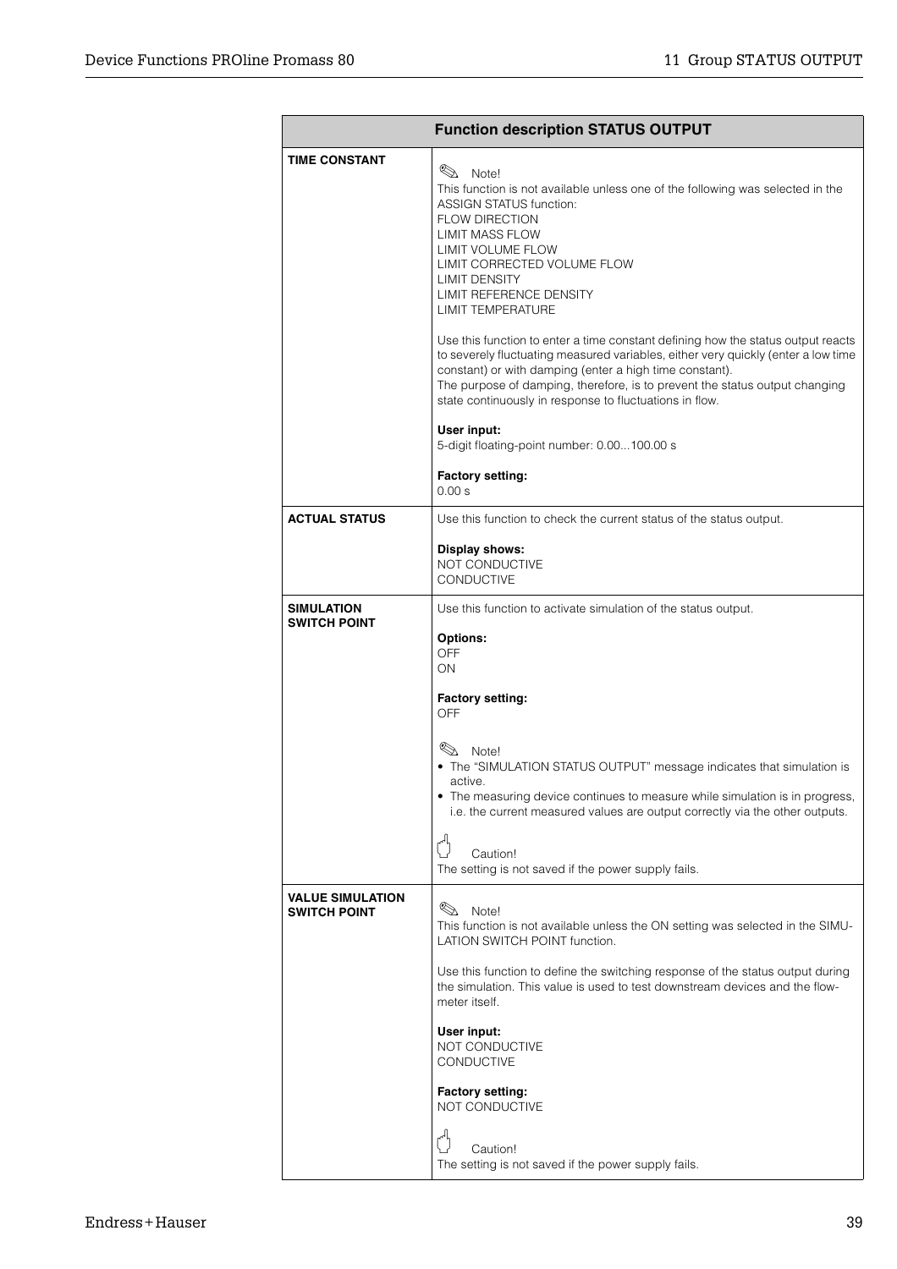<span id="page-38-7"></span><span id="page-38-6"></span><span id="page-38-5"></span><span id="page-38-4"></span><span id="page-38-3"></span><span id="page-38-2"></span><span id="page-38-1"></span><span id="page-38-0"></span>

|                                                | <b>Function description STATUS OUTPUT</b>                                                                                                                                                                                                                                                                                                                                                                                                                                                                                                                                                                                                                                                                                                                                                        |
|------------------------------------------------|--------------------------------------------------------------------------------------------------------------------------------------------------------------------------------------------------------------------------------------------------------------------------------------------------------------------------------------------------------------------------------------------------------------------------------------------------------------------------------------------------------------------------------------------------------------------------------------------------------------------------------------------------------------------------------------------------------------------------------------------------------------------------------------------------|
| <b>TIME CONSTANT</b>                           | Note!<br>This function is not available unless one of the following was selected in the<br><b>ASSIGN STATUS function:</b><br><b>FLOW DIRECTION</b><br><b>LIMIT MASS FLOW</b><br>LIMIT VOLUME FLOW<br>LIMIT CORRECTED VOLUME FLOW<br><b>LIMIT DENSITY</b><br>LIMIT REFERENCE DENSITY<br><b>LIMIT TEMPERATURE</b><br>Use this function to enter a time constant defining how the status output reacts<br>to severely fluctuating measured variables, either very quickly (enter a low time<br>constant) or with damping (enter a high time constant).<br>The purpose of damping, therefore, is to prevent the status output changing<br>state continuously in response to fluctuations in flow.<br>User input:<br>5-digit floating-point number: 0.00100.00 s<br><b>Factory setting:</b><br>0.00 s |
| <b>ACTUAL STATUS</b>                           | Use this function to check the current status of the status output.<br>Display shows:<br>NOT CONDUCTIVE<br>CONDUCTIVE                                                                                                                                                                                                                                                                                                                                                                                                                                                                                                                                                                                                                                                                            |
| <b>SIMULATION</b><br><b>SWITCH POINT</b>       | Use this function to activate simulation of the status output.<br><b>Options:</b><br>OFF<br>ON<br><b>Factory setting:</b><br>OFF<br>Note!<br>• The "SIMULATION STATUS OUTPUT" message indicates that simulation is<br>active.<br>• The measuring device continues to measure while simulation is in progress,<br>i.e. the current measured values are output correctly via the other outputs.<br>Caution!<br>The setting is not saved if the power supply fails.                                                                                                                                                                                                                                                                                                                                 |
| <b>VALUE SIMULATION</b><br><b>SWITCH POINT</b> | $\mathcal{Q}$<br>Note!<br>This function is not available unless the ON setting was selected in the SIMU-<br>LATION SWITCH POINT function.<br>Use this function to define the switching response of the status output during<br>the simulation. This value is used to test downstream devices and the flow-<br>meter itself.<br>User input:<br>NOT CONDUCTIVE<br>CONDUCTIVE<br>Factory setting:<br>NOT CONDUCTIVE<br>ן<br>קי<br>Caution!<br>The setting is not saved if the power supply fails.                                                                                                                                                                                                                                                                                                   |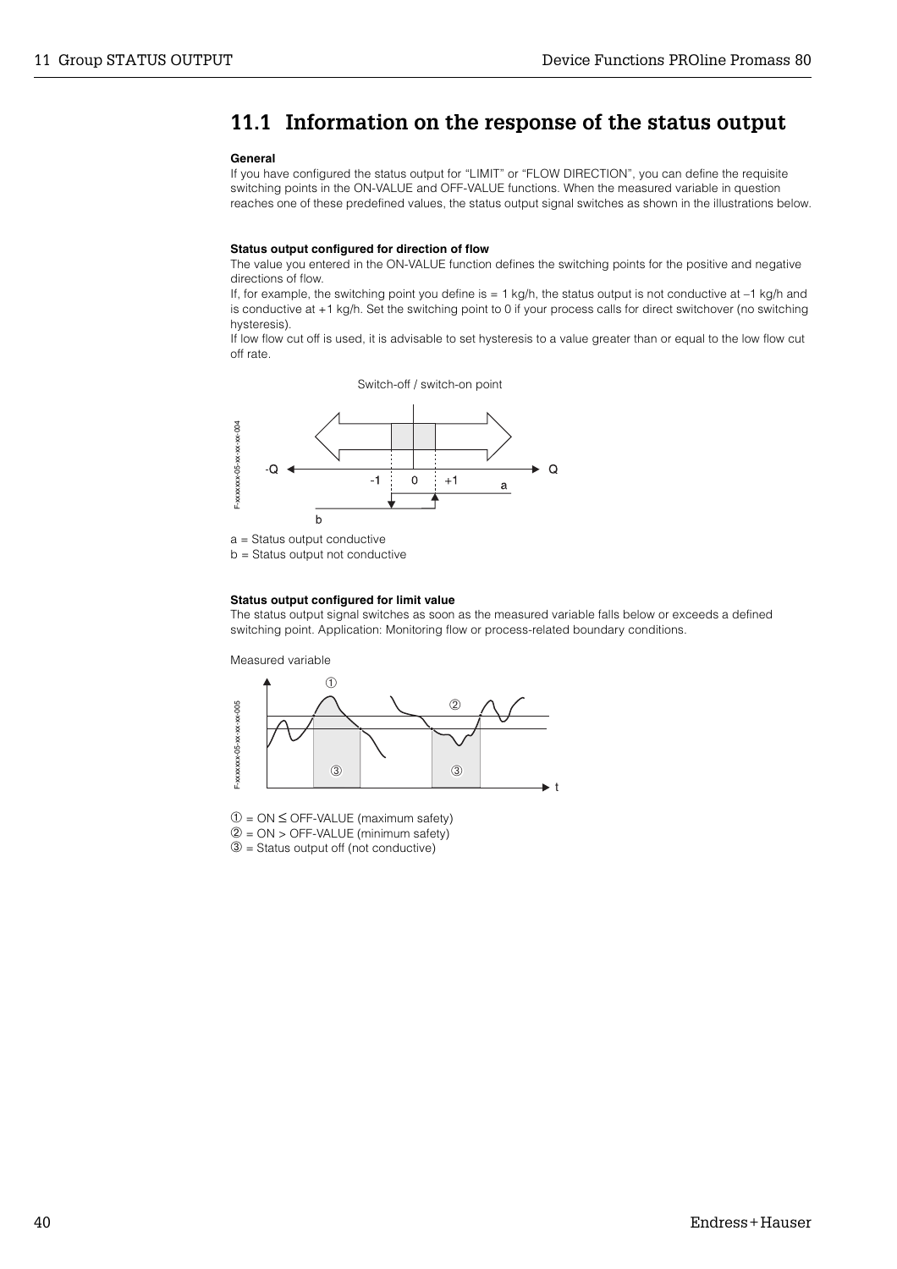#### <span id="page-39-0"></span>**11.1 Information on the response of the status output**

#### <span id="page-39-2"></span>**General**

If you have configured the status output for "LIMIT" or "FLOW DIRECTION", you can define the requisite switching points in the ON-VALUE and OFF-VALUE functions. When the measured variable in question reaches one of these predefined values, the status output signal switches as shown in the illustrations below.

#### <span id="page-39-1"></span>**Status output configured for direction of flow**

The value you entered in the ON-VALUE function defines the switching points for the positive and negative directions of flow.

If, for example, the switching point you define is  $= 1$  kg/h, the status output is not conductive at  $-1$  kg/h and is conductive at +1 kg/h. Set the switching point to 0 if your process calls for direct switchover (no switching hysteresis).

If low flow cut off is used, it is advisable to set hysteresis to a value greater than or equal to the low flow cut off rate.



a = Status output conductive

b = Status output not conductive

#### <span id="page-39-3"></span>**Status output configured for limit value**

The status output signal switches as soon as the measured variable falls below or exceeds a defined switching point. Application: Monitoring flow or process-related boundary conditions.





 $\circled{1}$  = ON  $\leq$  OFF-VALUE (maximum safety) ➁ = ON > OFF-VALUE (minimum safety)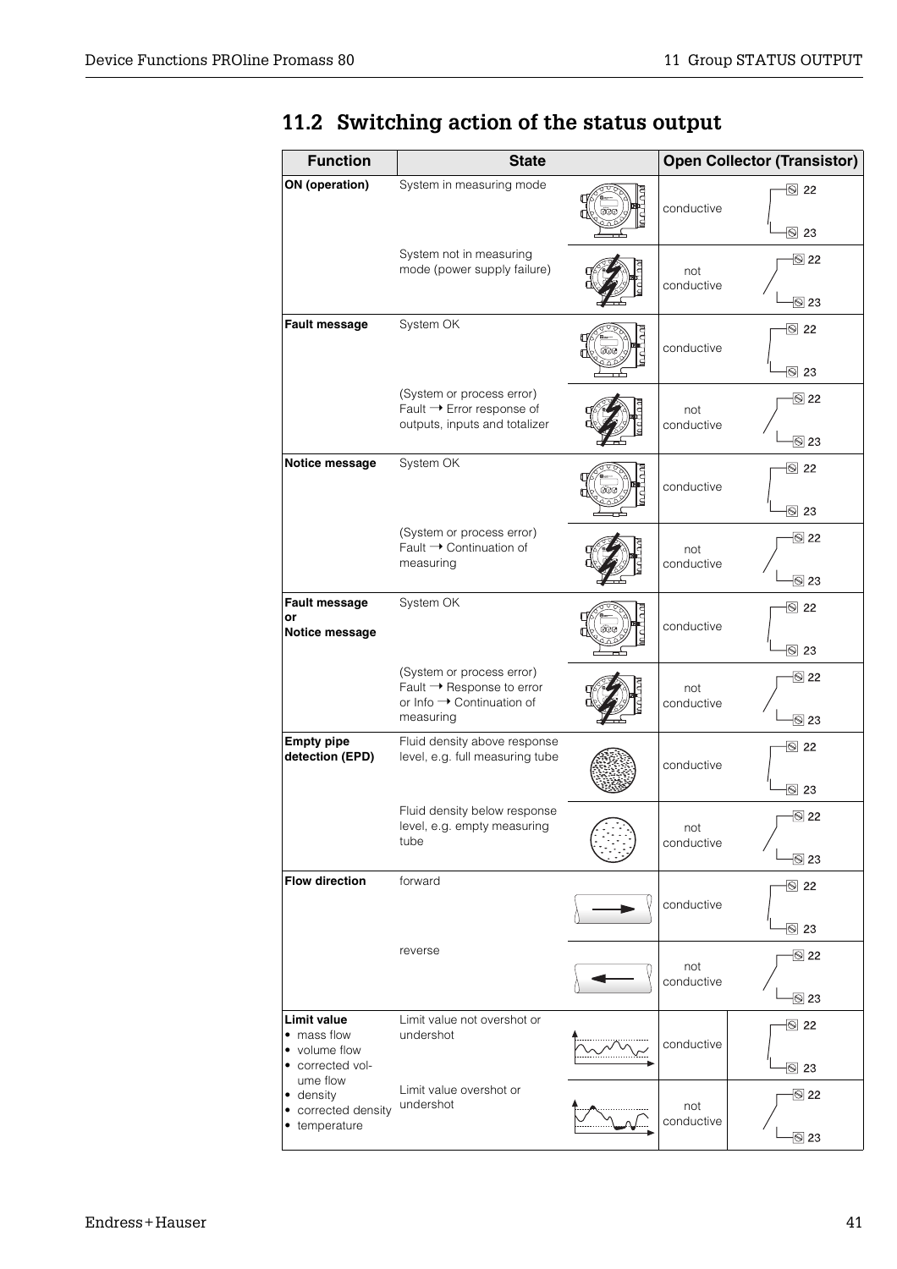| <b>Function</b>                                                             | <b>State</b>                                                                                     |                   | <b>Open Collector (Transistor)</b> |
|-----------------------------------------------------------------------------|--------------------------------------------------------------------------------------------------|-------------------|------------------------------------|
| ON (operation)                                                              | System in measuring mode                                                                         | conductive        | ∙® 22<br>∙® 23                     |
|                                                                             | System not in measuring<br>mode (power supply failure)                                           | not<br>conductive | ∙⊠ 22<br>-ା® 23                    |
| <b>Fault message</b>                                                        | System OK                                                                                        | conductive        | ∙® 22<br>∙⊠ 23                     |
|                                                                             | (System or process error)<br>Fault → Error response of<br>outputs, inputs and totalizer          | not<br>conductive | ∙® 22<br>∙⊠ 23                     |
| Notice message                                                              | System OK                                                                                        | conductive        | ∙® 22<br>∙® 23                     |
|                                                                             | (System or process error)<br>Fault → Continuation of<br>measuring                                | not<br>conductive | $\overline{\otimes}$ 22<br>∙® 23   |
| <b>Fault message</b><br>or<br>Notice message                                | System OK                                                                                        | conductive        | -® 22<br>+® 23                     |
|                                                                             | (System or process error)<br>Fault → Response to error<br>or Info → Continuation of<br>measuring | not<br>conductive | <del>.</del> ⊚ 22<br>∙® 23         |
| <b>Empty pipe</b><br>detection (EPD)                                        | Fluid density above response<br>level, e.g. full measuring tube                                  | conductive        | ∙® 22<br>ା® 23                     |
|                                                                             | Fluid density below response<br>level, e.g. empty measuring<br>tube                              | not<br>conductive | ∙® 22<br>-⊠ 23                     |
| <b>Flow direction</b>                                                       | forward                                                                                          | conductive        | ∙® 22<br>∙® 23                     |
|                                                                             | reverse                                                                                          | not<br>conductive | ∙® 22<br>-⊠ 23                     |
| Limit value<br>• mass flow<br>• volume flow<br>• corrected vol-<br>ume flow | Limit value not overshot or<br>undershot                                                         | conductive        | -® 22<br>∙⊠ 23                     |
| • density<br>corrected density<br>$\bullet$<br>• temperature                | Limit value overshot or<br>undershot                                                             | not<br>conductive | ∙® 22<br>$\overline{\otimes}$ 23   |

### <span id="page-40-1"></span><span id="page-40-0"></span>**11.2 Switching action of the status output**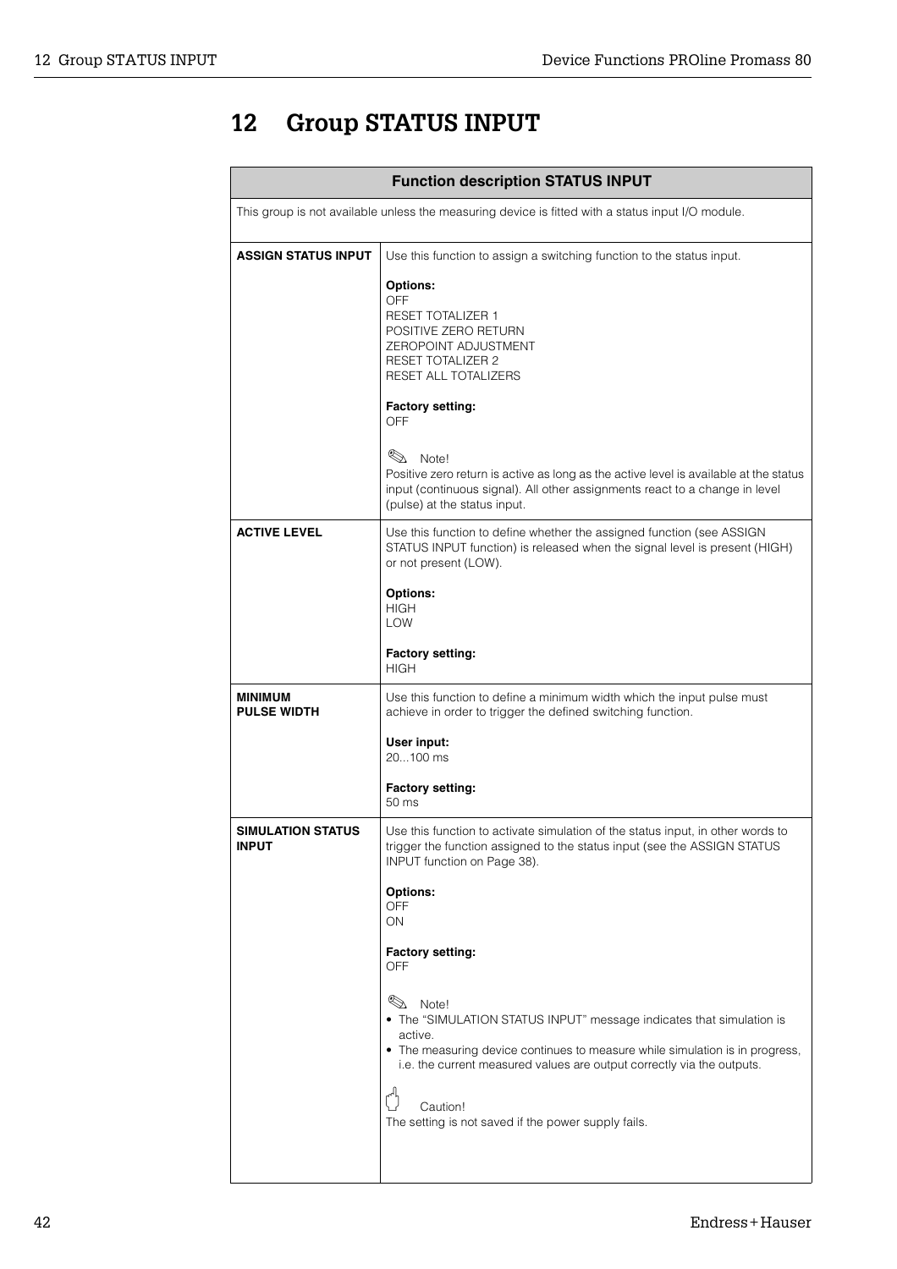# <span id="page-41-7"></span><span id="page-41-0"></span>**12 Group STATUS INPUT**

<span id="page-41-10"></span><span id="page-41-9"></span><span id="page-41-8"></span><span id="page-41-6"></span><span id="page-41-5"></span><span id="page-41-4"></span><span id="page-41-3"></span><span id="page-41-2"></span><span id="page-41-1"></span>

| <b>Function description STATUS INPUT</b>                                                          |                                                                                                                                                                                                                                                                 |  |
|---------------------------------------------------------------------------------------------------|-----------------------------------------------------------------------------------------------------------------------------------------------------------------------------------------------------------------------------------------------------------------|--|
| This group is not available unless the measuring device is fitted with a status input I/O module. |                                                                                                                                                                                                                                                                 |  |
| <b>ASSIGN STATUS INPUT</b>                                                                        | Use this function to assign a switching function to the status input.                                                                                                                                                                                           |  |
|                                                                                                   | <b>Options:</b><br>OFF<br><b>RESET TOTALIZER 1</b><br>POSITIVE ZERO RETURN<br>ZEROPOINT ADJUSTMENT<br><b>RESET TOTALIZER 2</b><br>RESET ALL TOTALIZERS                                                                                                          |  |
|                                                                                                   | Factory setting:<br>OFF                                                                                                                                                                                                                                         |  |
|                                                                                                   | ⇖<br>Note!<br>Positive zero return is active as long as the active level is available at the status<br>input (continuous signal). All other assignments react to a change in level<br>(pulse) at the status input.                                              |  |
| <b>ACTIVE LEVEL</b>                                                                               | Use this function to define whether the assigned function (see ASSIGN<br>STATUS INPUT function) is released when the signal level is present (HIGH)<br>or not present (LOW).                                                                                    |  |
|                                                                                                   | <b>Options:</b><br><b>HIGH</b><br><b>LOW</b>                                                                                                                                                                                                                    |  |
|                                                                                                   | <b>Factory setting:</b><br><b>HIGH</b>                                                                                                                                                                                                                          |  |
| <b>MINIMUM</b><br><b>PULSE WIDTH</b>                                                              | Use this function to define a minimum width which the input pulse must<br>achieve in order to trigger the defined switching function.                                                                                                                           |  |
|                                                                                                   | User input:<br>20100 ms                                                                                                                                                                                                                                         |  |
|                                                                                                   | <b>Factory setting:</b><br>50 ms                                                                                                                                                                                                                                |  |
| <b>SIMULATION STATUS</b><br><b>INPUT</b>                                                          | Use this function to activate simulation of the status input, in other words to<br>trigger the function assigned to the status input (see the ASSIGN STATUS<br>INPUT function on Page 38).                                                                      |  |
|                                                                                                   | <b>Options:</b><br><b>OFF</b><br>ON                                                                                                                                                                                                                             |  |
|                                                                                                   | <b>Factory setting:</b><br><b>OFF</b>                                                                                                                                                                                                                           |  |
|                                                                                                   | $\mathbb{Q}$ Note!<br>• The "SIMULATION STATUS INPUT" message indicates that simulation is<br>active.<br>• The measuring device continues to measure while simulation is in progress,<br>i.e. the current measured values are output correctly via the outputs. |  |
|                                                                                                   | Caution!<br>The setting is not saved if the power supply fails.                                                                                                                                                                                                 |  |
|                                                                                                   |                                                                                                                                                                                                                                                                 |  |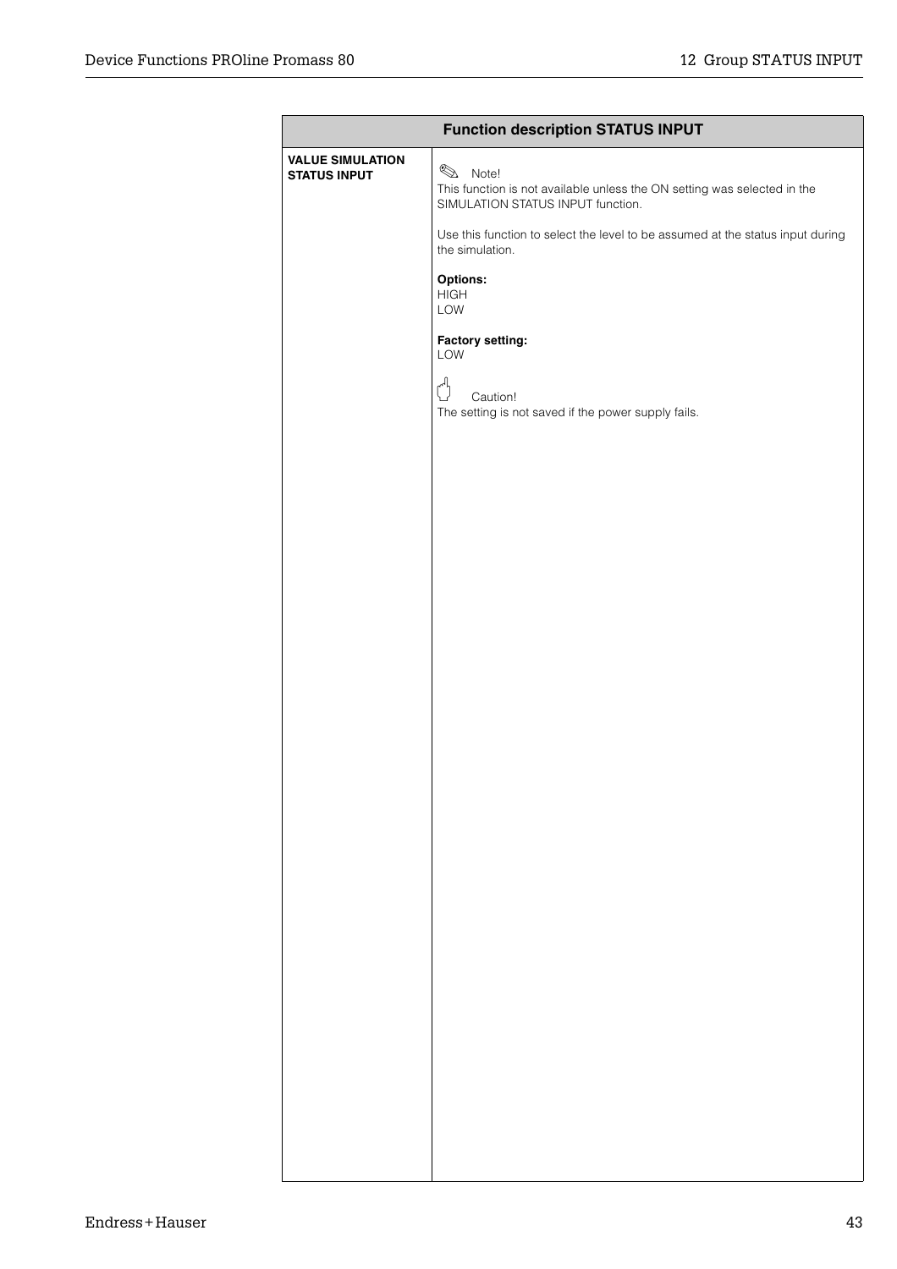<span id="page-42-1"></span><span id="page-42-0"></span>

|                                                | <b>Function description STATUS INPUT</b>                                                                                            |
|------------------------------------------------|-------------------------------------------------------------------------------------------------------------------------------------|
| <b>VALUE SIMULATION</b><br><b>STATUS INPUT</b> | $\mathbb{Q}$ Note!<br>This function is not available unless the ON setting was selected in the<br>SIMULATION STATUS INPUT function. |
|                                                | Use this function to select the level to be assumed at the status input during<br>the simulation.                                   |
|                                                | Options:<br><b>HIGH</b><br>LOW                                                                                                      |
|                                                | Factory setting:<br>LOW                                                                                                             |
|                                                | Ú<br>Caution!<br>The setting is not saved if the power supply fails.                                                                |
|                                                |                                                                                                                                     |
|                                                |                                                                                                                                     |
|                                                |                                                                                                                                     |
|                                                |                                                                                                                                     |
|                                                |                                                                                                                                     |
|                                                |                                                                                                                                     |
|                                                |                                                                                                                                     |
|                                                |                                                                                                                                     |
|                                                |                                                                                                                                     |
|                                                |                                                                                                                                     |
|                                                |                                                                                                                                     |
|                                                |                                                                                                                                     |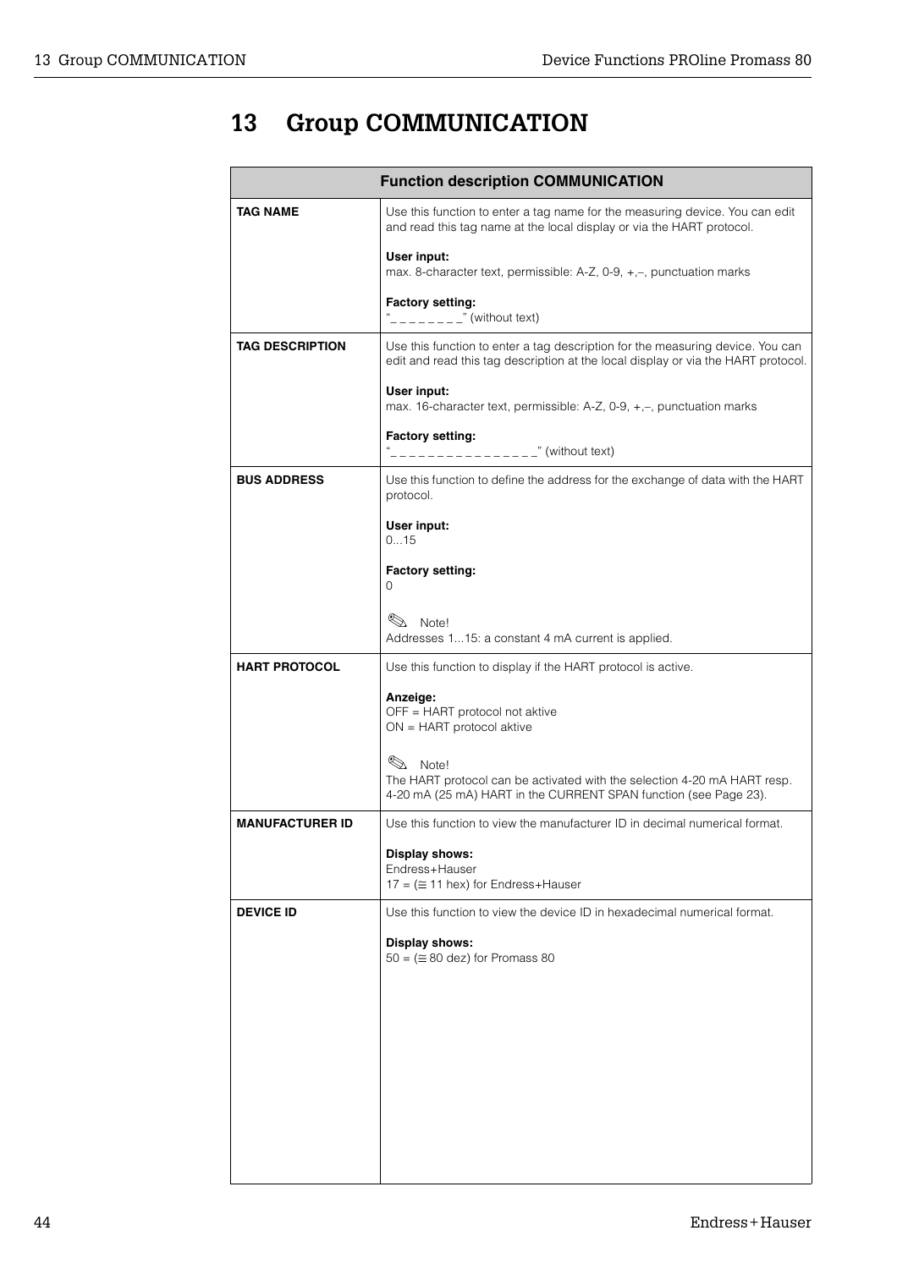## <span id="page-43-9"></span><span id="page-43-0"></span>**13 Group COMMUNICATION**

<span id="page-43-13"></span><span id="page-43-12"></span><span id="page-43-11"></span><span id="page-43-10"></span><span id="page-43-8"></span><span id="page-43-7"></span><span id="page-43-6"></span><span id="page-43-5"></span><span id="page-43-4"></span><span id="page-43-3"></span><span id="page-43-2"></span><span id="page-43-1"></span>

| Use this function to enter a tag name for the measuring device. You can edit<br>and read this tag name at the local display or via the HART protocol.<br>max. 8-character text, permissible: A-Z, 0-9, +,-, punctuation marks |
|-------------------------------------------------------------------------------------------------------------------------------------------------------------------------------------------------------------------------------|
| $-----$ (without text)                                                                                                                                                                                                        |
| Use this function to enter a tag description for the measuring device. You can<br>edit and read this tag description at the local display or via the HART protocol.                                                           |
| max. 16-character text, permissible: A-Z, 0-9, $+,$ , punctuation marks                                                                                                                                                       |
| Factory setting:<br>'__________________" (without text)                                                                                                                                                                       |
| Use this function to define the address for the exchange of data with the HART                                                                                                                                                |
|                                                                                                                                                                                                                               |
|                                                                                                                                                                                                                               |
| Addresses 115: a constant 4 mA current is applied.                                                                                                                                                                            |
| Use this function to display if the HART protocol is active.<br>OFF = HART protocol not aktive<br>ON = HART protocol aktive                                                                                                   |
| The HART protocol can be activated with the selection 4-20 mA HART resp.<br>4-20 mA (25 mA) HART in the CURRENT SPAN function (see Page 23).                                                                                  |
| Use this function to view the manufacturer ID in decimal numerical format.                                                                                                                                                    |
| Endress+Hauser<br>$17 = (\approx 11$ hex) for Endress+Hauser                                                                                                                                                                  |
| Use this function to view the device ID in hexadecimal numerical format.                                                                                                                                                      |
| $50 = (\approx 80$ dez) for Promass 80                                                                                                                                                                                        |
|                                                                                                                                                                                                                               |
|                                                                                                                                                                                                                               |
|                                                                                                                                                                                                                               |
|                                                                                                                                                                                                                               |
| <b>Factory setting:</b><br><b>Factory setting:</b>                                                                                                                                                                            |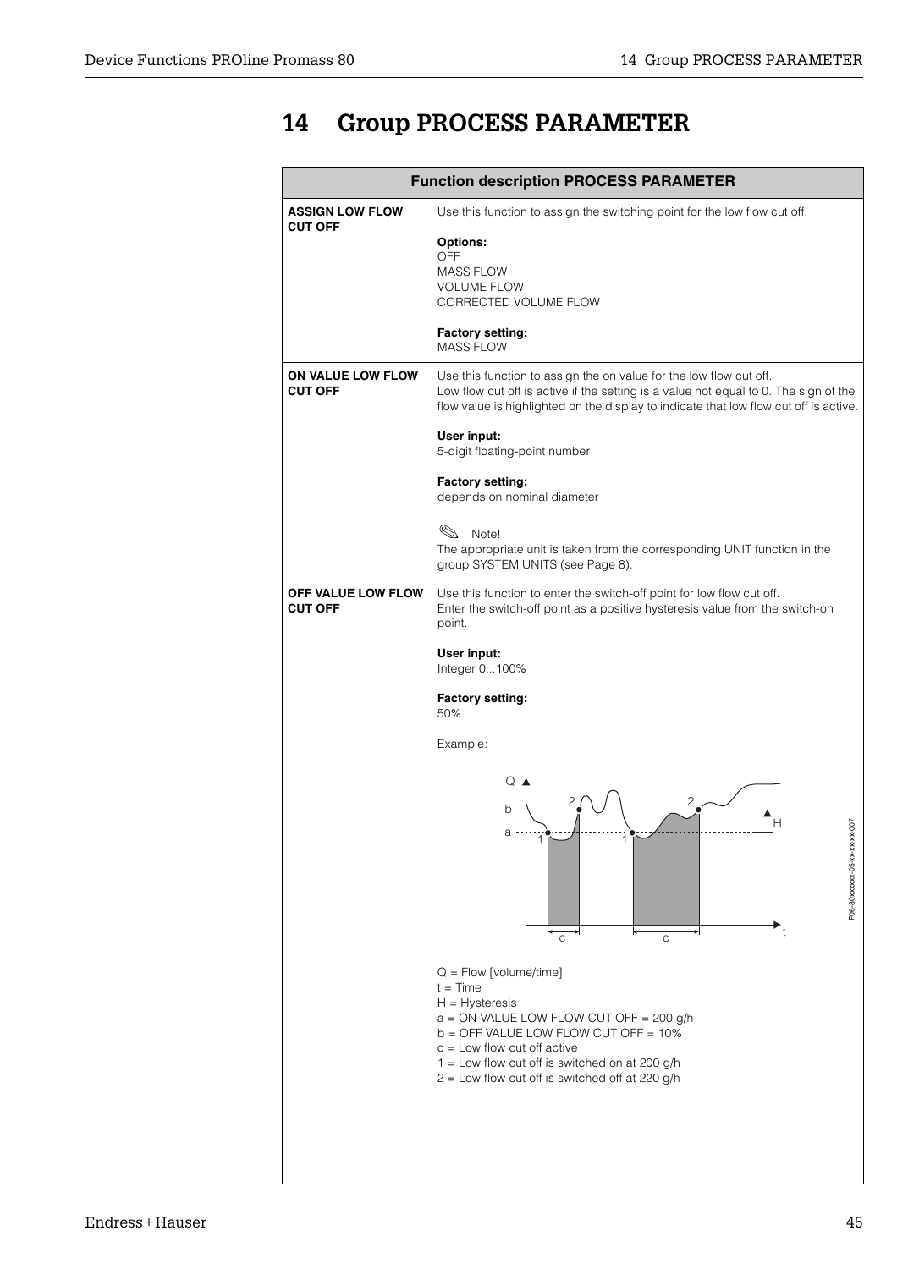### <span id="page-44-5"></span><span id="page-44-0"></span>**14 Group PROCESS PARAMETER**

<span id="page-44-7"></span><span id="page-44-6"></span><span id="page-44-4"></span><span id="page-44-3"></span><span id="page-44-2"></span><span id="page-44-1"></span>

| <b>Function description PROCESS PARAMETER</b> |                                                                                                                                                                                                                                                                                             |
|-----------------------------------------------|---------------------------------------------------------------------------------------------------------------------------------------------------------------------------------------------------------------------------------------------------------------------------------------------|
| <b>ASSIGN LOW FLOW</b><br><b>CUT OFF</b>      | Use this function to assign the switching point for the low flow cut off.                                                                                                                                                                                                                   |
|                                               | <b>Options:</b><br>OFF<br>MASS FLOW<br><b>VOLUME FLOW</b><br>CORRECTED VOLUME FLOW                                                                                                                                                                                                          |
|                                               | Factory setting:<br><b>MASS FLOW</b>                                                                                                                                                                                                                                                        |
| ON VALUE LOW FLOW<br><b>CUT OFF</b>           | Use this function to assign the on value for the low flow cut off.<br>Low flow cut off is active if the setting is a value not equal to 0. The sign of the<br>flow value is highlighted on the display to indicate that low flow cut off is active.                                         |
|                                               | User input:<br>5-digit floating-point number                                                                                                                                                                                                                                                |
|                                               | <b>Factory setting:</b><br>depends on nominal diameter                                                                                                                                                                                                                                      |
|                                               | Note!<br>The appropriate unit is taken from the corresponding UNIT function in the<br>group SYSTEM UNITS (see Page 8).                                                                                                                                                                      |
| OFF VALUE LOW FLOW<br><b>CUT OFF</b>          | Use this function to enter the switch-off point for low flow cut off.<br>Enter the switch-off point as a positive hysteresis value from the switch-on<br>point.                                                                                                                             |
|                                               | User input:<br>Integer 0100%                                                                                                                                                                                                                                                                |
|                                               | Factory setting:<br>50%                                                                                                                                                                                                                                                                     |
|                                               | Example:                                                                                                                                                                                                                                                                                    |
|                                               | Q<br>2<br>b<br>$(00-x)$<br>а<br>F06-80xxxxxx-05-xx-xx-><br>C<br>C                                                                                                                                                                                                                           |
|                                               | $Q = Flow [volume/time]$<br>$t = Time$<br>$H = Hysteresis$<br>$a = ON$ VALUE LOW FLOW CUT OFF = 200 g/h<br>$b =$ OFF VALUE LOW FLOW CUT OFF = 10%<br>$c =$ Low flow cut off active<br>$1 =$ Low flow cut off is switched on at 200 g/h<br>$2$ = Low flow cut off is switched off at 220 g/h |
|                                               |                                                                                                                                                                                                                                                                                             |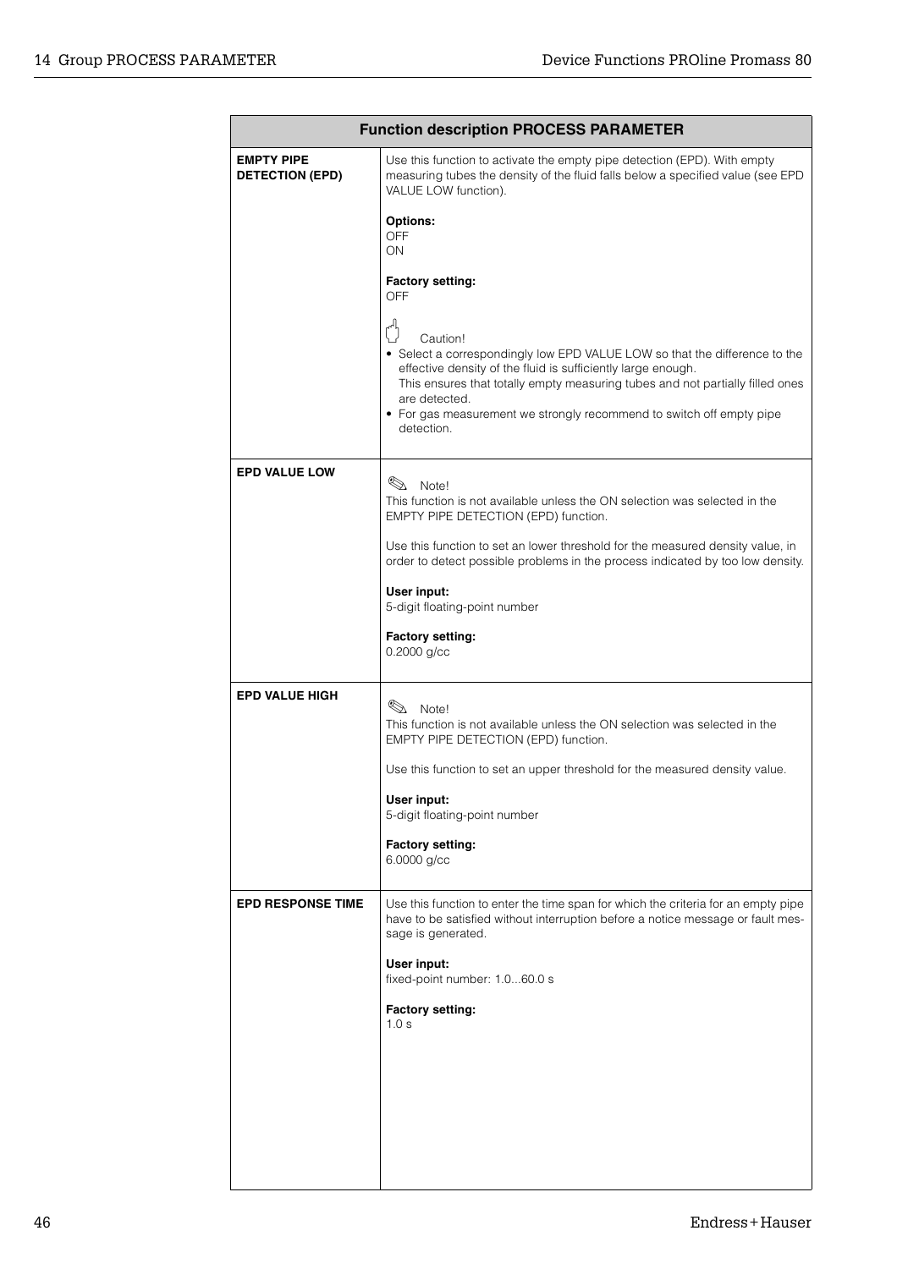<span id="page-45-7"></span><span id="page-45-6"></span><span id="page-45-5"></span><span id="page-45-4"></span><span id="page-45-3"></span><span id="page-45-2"></span><span id="page-45-1"></span><span id="page-45-0"></span>

| <b>Function description PROCESS PARAMETER</b> |                                                                                                                                                                                                                                                                                                                                                |
|-----------------------------------------------|------------------------------------------------------------------------------------------------------------------------------------------------------------------------------------------------------------------------------------------------------------------------------------------------------------------------------------------------|
| <b>EMPTY PIPE</b><br><b>DETECTION (EPD)</b>   | Use this function to activate the empty pipe detection (EPD). With empty<br>measuring tubes the density of the fluid falls below a specified value (see EPD<br>VALUE LOW function).                                                                                                                                                            |
|                                               | <b>Options:</b><br><b>OFF</b><br>ON                                                                                                                                                                                                                                                                                                            |
|                                               | Factory setting:<br>OFF                                                                                                                                                                                                                                                                                                                        |
|                                               | Caution!<br>• Select a correspondingly low EPD VALUE LOW so that the difference to the<br>effective density of the fluid is sufficiently large enough.<br>This ensures that totally empty measuring tubes and not partially filled ones<br>are detected.<br>• For gas measurement we strongly recommend to switch off empty pipe<br>detection. |
| <b>EPD VALUE LOW</b>                          | ⇖<br>Note!<br>This function is not available unless the ON selection was selected in the<br>EMPTY PIPE DETECTION (EPD) function.                                                                                                                                                                                                               |
|                                               | Use this function to set an lower threshold for the measured density value, in<br>order to detect possible problems in the process indicated by too low density.                                                                                                                                                                               |
|                                               | User input:<br>5-digit floating-point number                                                                                                                                                                                                                                                                                                   |
|                                               | <b>Factory setting:</b><br>$0.2000$ g/cc                                                                                                                                                                                                                                                                                                       |
| <b>EPD VALUE HIGH</b>                         | $\mathbb{Z}$<br>Note!<br>This function is not available unless the ON selection was selected in the<br>EMPTY PIPE DETECTION (EPD) function.<br>Use this function to set an upper threshold for the measured density value.<br>User input:<br>5-digit floating-point number                                                                     |
|                                               | <b>Factory setting:</b><br>6.0000 g/cc                                                                                                                                                                                                                                                                                                         |
| <b>EPD RESPONSE TIME</b>                      | Use this function to enter the time span for which the criteria for an empty pipe<br>have to be satisfied without interruption before a notice message or fault mes-<br>sage is generated.<br>User input:<br>fixed-point number: 1.060.0 s<br><b>Factory setting:</b><br>1.0 <sub>s</sub>                                                      |
|                                               |                                                                                                                                                                                                                                                                                                                                                |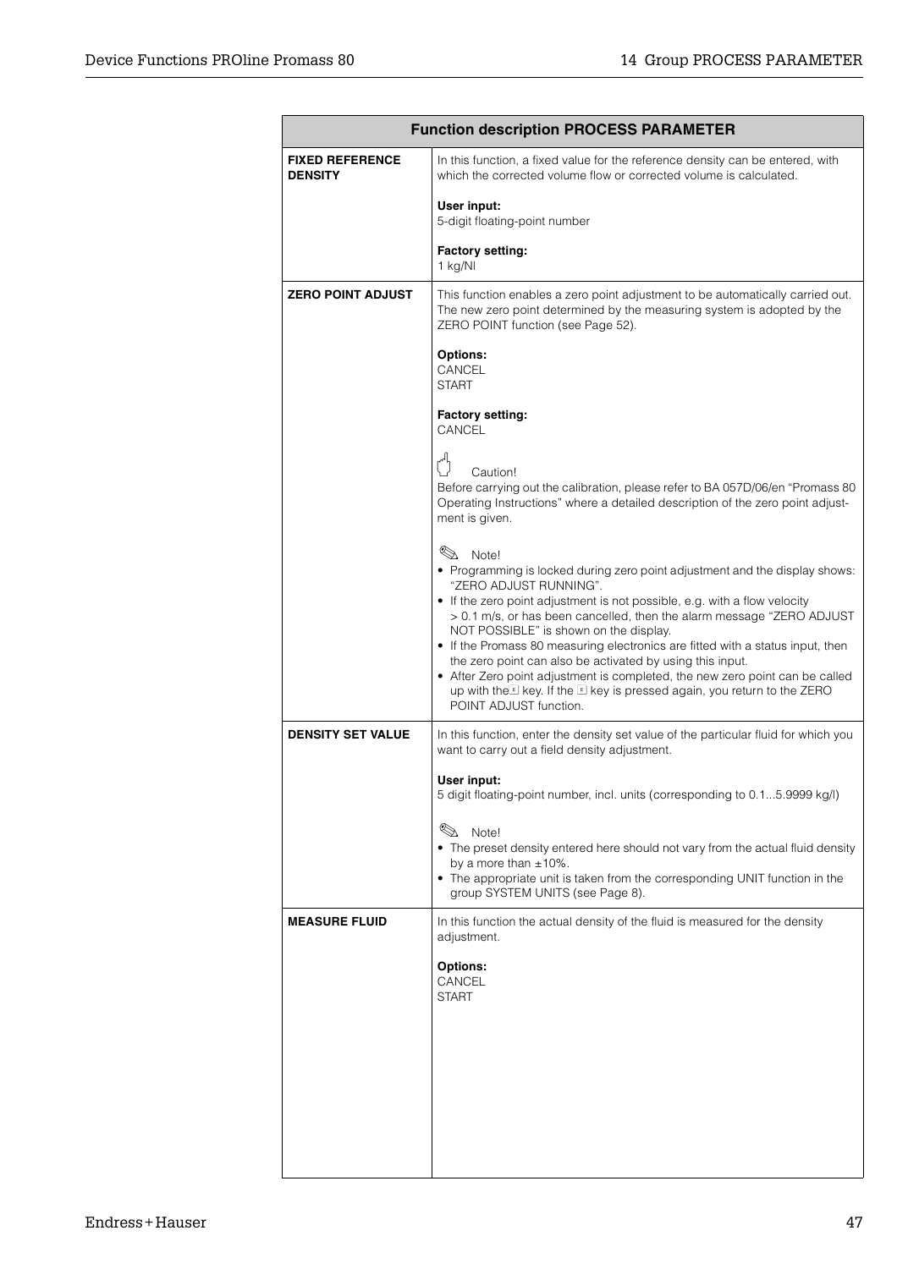<span id="page-46-6"></span><span id="page-46-5"></span><span id="page-46-4"></span><span id="page-46-3"></span><span id="page-46-2"></span><span id="page-46-1"></span><span id="page-46-0"></span>

| <b>Function description PROCESS PARAMETER</b> |                                                                                                                                                                                                                                                                                                                                                                                                                                                                                                                                                                                                                                                     |
|-----------------------------------------------|-----------------------------------------------------------------------------------------------------------------------------------------------------------------------------------------------------------------------------------------------------------------------------------------------------------------------------------------------------------------------------------------------------------------------------------------------------------------------------------------------------------------------------------------------------------------------------------------------------------------------------------------------------|
| <b>FIXED REFERENCE</b><br><b>DENSITY</b>      | In this function, a fixed value for the reference density can be entered, with<br>which the corrected volume flow or corrected volume is calculated.                                                                                                                                                                                                                                                                                                                                                                                                                                                                                                |
|                                               | User input:<br>5-digit floating-point number                                                                                                                                                                                                                                                                                                                                                                                                                                                                                                                                                                                                        |
|                                               | <b>Factory setting:</b><br>1 kg/Nl                                                                                                                                                                                                                                                                                                                                                                                                                                                                                                                                                                                                                  |
| <b>ZERO POINT ADJUST</b>                      | This function enables a zero point adjustment to be automatically carried out.<br>The new zero point determined by the measuring system is adopted by the<br>ZERO POINT function (see Page 52).                                                                                                                                                                                                                                                                                                                                                                                                                                                     |
|                                               | <b>Options:</b><br>CANCEL<br><b>START</b>                                                                                                                                                                                                                                                                                                                                                                                                                                                                                                                                                                                                           |
|                                               | <b>Factory setting:</b><br>CANCEL                                                                                                                                                                                                                                                                                                                                                                                                                                                                                                                                                                                                                   |
|                                               | ل <sup>م)</sup><br>Caution!<br>Before carrying out the calibration, please refer to BA 057D/06/en "Promass 80<br>Operating Instructions" where a detailed description of the zero point adjust-<br>ment is given.                                                                                                                                                                                                                                                                                                                                                                                                                                   |
|                                               | Note!<br>• Programming is locked during zero point adjustment and the display shows:<br>"ZERO ADJUST RUNNING".<br>• If the zero point adjustment is not possible, e.g. with a flow velocity<br>> 0.1 m/s, or has been cancelled, then the alarm message "ZERO ADJUST<br>NOT POSSIBLE" is shown on the display.<br>• If the Promass 80 measuring electronics are fitted with a status input, then<br>the zero point can also be activated by using this input.<br>• After Zero point adjustment is completed, the new zero point can be called<br>up with the E key. If the E key is pressed again, you return to the ZERO<br>POINT ADJUST function. |
| <b>DENSITY SET VALUE</b>                      | In this function, enter the density set value of the particular fluid for which you<br>want to carry out a field density adjustment.                                                                                                                                                                                                                                                                                                                                                                                                                                                                                                                |
|                                               | User input:<br>5 digit floating-point number, incl. units (corresponding to 0.15.9999 kg/l)                                                                                                                                                                                                                                                                                                                                                                                                                                                                                                                                                         |
|                                               | $\mathbb{Z}$<br>Note!<br>• The preset density entered here should not vary from the actual fluid density<br>by a more than $\pm 10\%$ .<br>• The appropriate unit is taken from the corresponding UNIT function in the<br>group SYSTEM UNITS (see Page 8).                                                                                                                                                                                                                                                                                                                                                                                          |
| <b>MEASURE FLUID</b>                          | In this function the actual density of the fluid is measured for the density<br>adjustment.                                                                                                                                                                                                                                                                                                                                                                                                                                                                                                                                                         |
|                                               | <b>Options:</b><br>CANCEL<br><b>START</b>                                                                                                                                                                                                                                                                                                                                                                                                                                                                                                                                                                                                           |
|                                               |                                                                                                                                                                                                                                                                                                                                                                                                                                                                                                                                                                                                                                                     |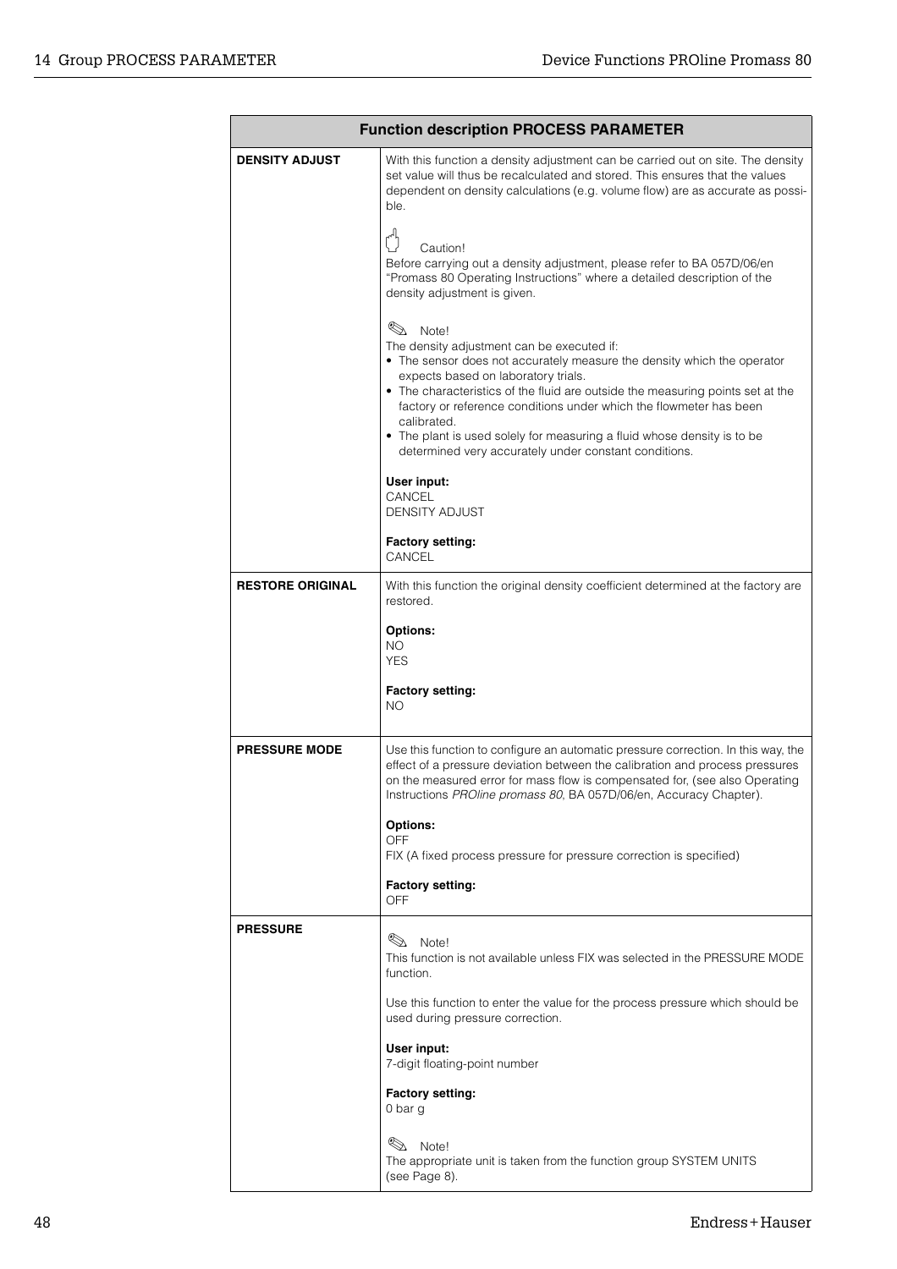<span id="page-47-7"></span><span id="page-47-6"></span><span id="page-47-5"></span><span id="page-47-4"></span><span id="page-47-3"></span><span id="page-47-2"></span><span id="page-47-1"></span><span id="page-47-0"></span>

| <b>Function description PROCESS PARAMETER</b> |                                                                                                                                                                                                                                                                                                                                                                                                                                                                                  |
|-----------------------------------------------|----------------------------------------------------------------------------------------------------------------------------------------------------------------------------------------------------------------------------------------------------------------------------------------------------------------------------------------------------------------------------------------------------------------------------------------------------------------------------------|
| <b>DENSITY ADJUST</b>                         | With this function a density adjustment can be carried out on site. The density<br>set value will thus be recalculated and stored. This ensures that the values<br>dependent on density calculations (e.g. volume flow) are as accurate as possi-<br>ble.                                                                                                                                                                                                                        |
|                                               | Ú<br>Caution!<br>Before carrying out a density adjustment, please refer to BA 057D/06/en<br>"Promass 80 Operating Instructions" where a detailed description of the<br>density adjustment is given.                                                                                                                                                                                                                                                                              |
|                                               | Note!<br>The density adjustment can be executed if:<br>• The sensor does not accurately measure the density which the operator<br>expects based on laboratory trials.<br>• The characteristics of the fluid are outside the measuring points set at the<br>factory or reference conditions under which the flowmeter has been<br>calibrated.<br>• The plant is used solely for measuring a fluid whose density is to be<br>determined very accurately under constant conditions. |
|                                               | User input:<br>CANCEL<br><b>DENSITY ADJUST</b>                                                                                                                                                                                                                                                                                                                                                                                                                                   |
|                                               | Factory setting:<br>CANCEL                                                                                                                                                                                                                                                                                                                                                                                                                                                       |
| <b>RESTORE ORIGINAL</b>                       | With this function the original density coefficient determined at the factory are<br>restored.                                                                                                                                                                                                                                                                                                                                                                                   |
|                                               | <b>Options:</b><br>NO.<br><b>YES</b>                                                                                                                                                                                                                                                                                                                                                                                                                                             |
|                                               | <b>Factory setting:</b><br><b>NO</b>                                                                                                                                                                                                                                                                                                                                                                                                                                             |
| <b>PRESSURE MODE</b>                          | Use this function to configure an automatic pressure correction. In this way, the<br>effect of a pressure deviation between the calibration and process pressures<br>on the measured error for mass flow is compensated for, (see also Operating<br>Instructions PROline promass 80, BA 057D/06/en, Accuracy Chapter).                                                                                                                                                           |
|                                               | <b>Options:</b><br><b>OFF</b><br>FIX (A fixed process pressure for pressure correction is specified)                                                                                                                                                                                                                                                                                                                                                                             |
|                                               | Factory setting:<br><b>OFF</b>                                                                                                                                                                                                                                                                                                                                                                                                                                                   |
| <b>PRESSURE</b>                               | $\mathbb{Q}$ Note!<br>This function is not available unless FIX was selected in the PRESSURE MODE<br>function.                                                                                                                                                                                                                                                                                                                                                                   |
|                                               | Use this function to enter the value for the process pressure which should be<br>used during pressure correction.                                                                                                                                                                                                                                                                                                                                                                |
|                                               | User input:<br>7-digit floating-point number                                                                                                                                                                                                                                                                                                                                                                                                                                     |
|                                               | Factory setting:<br>0 bar g                                                                                                                                                                                                                                                                                                                                                                                                                                                      |
|                                               | $\mathbb{Z}$<br>Note!<br>The appropriate unit is taken from the function group SYSTEM UNITS<br>(see Page 8).                                                                                                                                                                                                                                                                                                                                                                     |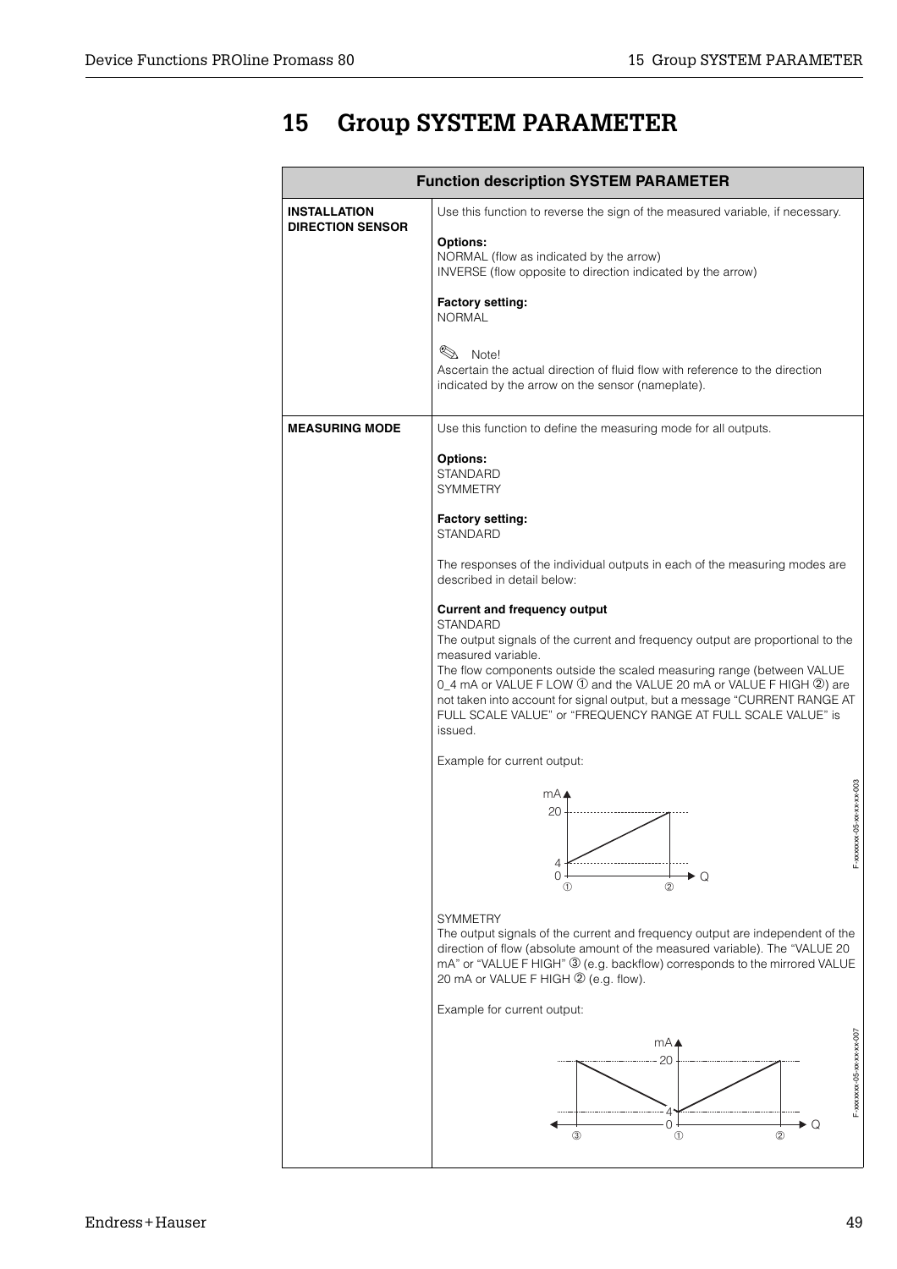## <span id="page-48-3"></span><span id="page-48-0"></span>**15 Group SYSTEM PARAMETER**

<span id="page-48-5"></span><span id="page-48-4"></span><span id="page-48-2"></span><span id="page-48-1"></span>

| <b>Function description SYSTEM PARAMETER</b>   |                                                                                                                                                                                                                                                                                                                                                                                                                                                                        |
|------------------------------------------------|------------------------------------------------------------------------------------------------------------------------------------------------------------------------------------------------------------------------------------------------------------------------------------------------------------------------------------------------------------------------------------------------------------------------------------------------------------------------|
| <b>INSTALLATION</b><br><b>DIRECTION SENSOR</b> | Use this function to reverse the sign of the measured variable, if necessary.                                                                                                                                                                                                                                                                                                                                                                                          |
|                                                | <b>Options:</b><br>NORMAL (flow as indicated by the arrow)<br>INVERSE (flow opposite to direction indicated by the arrow)                                                                                                                                                                                                                                                                                                                                              |
|                                                | <b>Factory setting:</b><br><b>NORMAL</b>                                                                                                                                                                                                                                                                                                                                                                                                                               |
|                                                | Note!<br>Ascertain the actual direction of fluid flow with reference to the direction<br>indicated by the arrow on the sensor (nameplate).                                                                                                                                                                                                                                                                                                                             |
| <b>MEASURING MODE</b>                          | Use this function to define the measuring mode for all outputs.                                                                                                                                                                                                                                                                                                                                                                                                        |
|                                                | <b>Options:</b><br><b>STANDARD</b><br><b>SYMMETRY</b>                                                                                                                                                                                                                                                                                                                                                                                                                  |
|                                                | <b>Factory setting:</b><br><b>STANDARD</b>                                                                                                                                                                                                                                                                                                                                                                                                                             |
|                                                | The responses of the individual outputs in each of the measuring modes are<br>described in detail below:                                                                                                                                                                                                                                                                                                                                                               |
|                                                | <b>Current and frequency output</b><br><b>STANDARD</b><br>The output signals of the current and frequency output are proportional to the<br>measured variable.<br>The flow components outside the scaled measuring range (between VALUE<br>0_4 mA or VALUE F LOW ① and the VALUE 20 mA or VALUE F HIGH ②) are<br>not taken into account for signal output, but a message "CURRENT RANGE AT<br>FULL SCALE VALUE" or "FREQUENCY RANGE AT FULL SCALE VALUE" is<br>issued. |
|                                                | Example for current output:                                                                                                                                                                                                                                                                                                                                                                                                                                            |
|                                                | F-xxxxxx-05-xx-xx-xx-003<br>mA<br>20<br>4<br>0<br>Q<br>$^\circledR$<br>2                                                                                                                                                                                                                                                                                                                                                                                               |
|                                                | <b>SYMMETRY</b><br>The output signals of the current and frequency output are independent of the<br>direction of flow (absolute amount of the measured variable). The "VALUE 20<br>mA" or "VALUE F HIGH" 3 (e.g. backflow) corresponds to the mirrored VALUE<br>20 mA or VALUE F HIGH 2 (e.g. flow).                                                                                                                                                                   |
|                                                | Example for current output:                                                                                                                                                                                                                                                                                                                                                                                                                                            |
|                                                | $F$ -xxxxxxx-05-xx-xx-xx-007<br>mA<br>20<br>0<br>►Q<br>$^{\circ}$<br>②<br>$\circled{3}$                                                                                                                                                                                                                                                                                                                                                                                |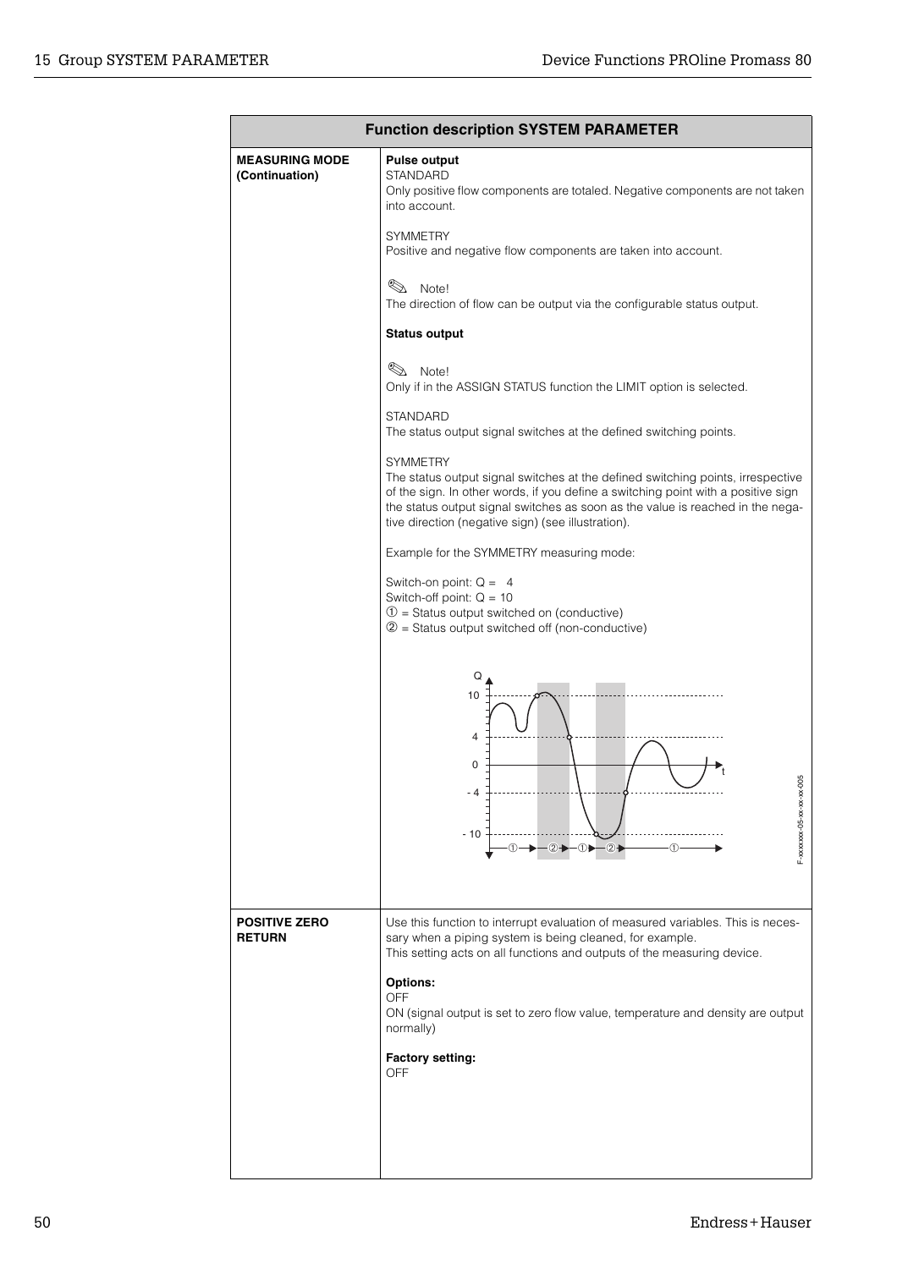<span id="page-49-1"></span><span id="page-49-0"></span>

|                                         | <b>Function description SYSTEM PARAMETER</b>                                                                                                                                                                                                                                                                             |
|-----------------------------------------|--------------------------------------------------------------------------------------------------------------------------------------------------------------------------------------------------------------------------------------------------------------------------------------------------------------------------|
| <b>MEASURING MODE</b><br>(Continuation) | <b>Pulse output</b><br><b>STANDARD</b><br>Only positive flow components are totaled. Negative components are not taken<br>into account.                                                                                                                                                                                  |
|                                         | <b>SYMMETRY</b><br>Positive and negative flow components are taken into account.                                                                                                                                                                                                                                         |
|                                         | $\mathcal{D}$<br>Note!<br>The direction of flow can be output via the configurable status output.                                                                                                                                                                                                                        |
|                                         | <b>Status output</b>                                                                                                                                                                                                                                                                                                     |
|                                         | Note!<br>Only if in the ASSIGN STATUS function the LIMIT option is selected.                                                                                                                                                                                                                                             |
|                                         | <b>STANDARD</b><br>The status output signal switches at the defined switching points.                                                                                                                                                                                                                                    |
|                                         | SYMMETRY<br>The status output signal switches at the defined switching points, irrespective<br>of the sign. In other words, if you define a switching point with a positive sign<br>the status output signal switches as soon as the value is reached in the nega-<br>tive direction (negative sign) (see illustration). |
|                                         | Example for the SYMMETRY measuring mode:                                                                                                                                                                                                                                                                                 |
|                                         | Switch-on point: $Q = 4$<br>Switch-off point: $Q = 10$<br>$\mathcal{D}$ = Status output switched on (conductive)<br>$\mathcal{D}$ = Status output switched off (non-conductive)                                                                                                                                          |
|                                         | Q<br>10<br>$\overline{4}$<br>0<br>-005<br>- 4<br>F-xxxxxxx-05-xx-xx-xx-<br>$-10$<br>-⊘+                                                                                                                                                                                                                                  |
| <b>POSITIVE ZERO</b><br><b>RETURN</b>   | Use this function to interrupt evaluation of measured variables. This is neces-<br>sary when a piping system is being cleaned, for example.<br>This setting acts on all functions and outputs of the measuring device.                                                                                                   |
|                                         | Options:<br>OFF<br>ON (signal output is set to zero flow value, temperature and density are output<br>normally)                                                                                                                                                                                                          |
|                                         | Factory setting:<br><b>OFF</b>                                                                                                                                                                                                                                                                                           |
|                                         |                                                                                                                                                                                                                                                                                                                          |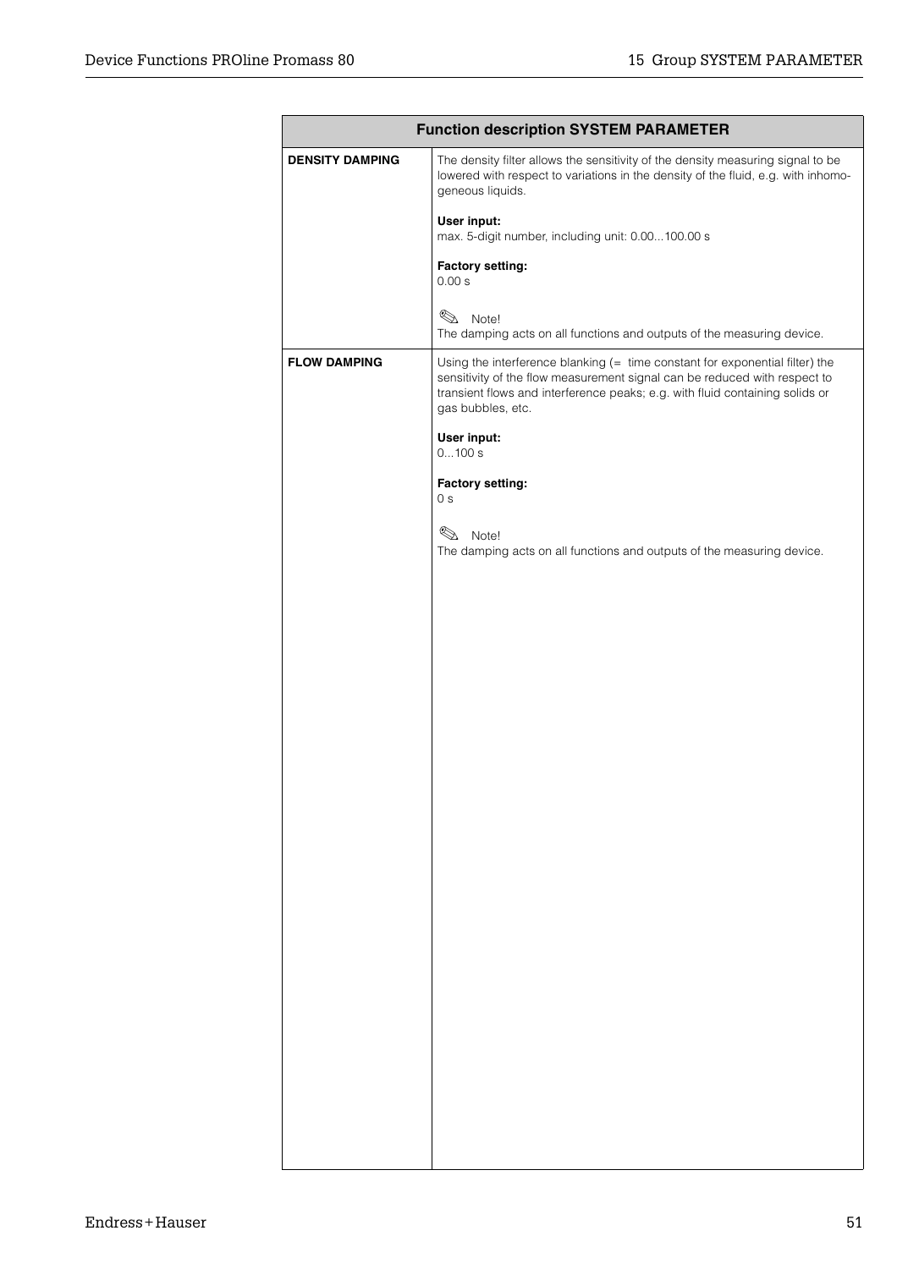<span id="page-50-3"></span><span id="page-50-2"></span><span id="page-50-1"></span><span id="page-50-0"></span>

|                        | <b>Function description SYSTEM PARAMETER</b>                                                                                                                                                                                                                   |
|------------------------|----------------------------------------------------------------------------------------------------------------------------------------------------------------------------------------------------------------------------------------------------------------|
| <b>DENSITY DAMPING</b> | The density filter allows the sensitivity of the density measuring signal to be<br>lowered with respect to variations in the density of the fluid, e.g. with inhomo-<br>geneous liquids.                                                                       |
|                        | User input:<br>max. 5-digit number, including unit: 0.00100.00 s                                                                                                                                                                                               |
|                        | Factory setting:<br>0.00 s                                                                                                                                                                                                                                     |
|                        | Note!<br>The damping acts on all functions and outputs of the measuring device.                                                                                                                                                                                |
| <b>FLOW DAMPING</b>    | Using the interference blanking (= time constant for exponential filter) the<br>sensitivity of the flow measurement signal can be reduced with respect to<br>transient flows and interference peaks; e.g. with fluid containing solids or<br>gas bubbles, etc. |
|                        | User input:<br>0100s                                                                                                                                                                                                                                           |
|                        | Factory setting:<br>0 s                                                                                                                                                                                                                                        |
|                        | $\mathcal{D}$<br>Note!<br>The damping acts on all functions and outputs of the measuring device.                                                                                                                                                               |
|                        |                                                                                                                                                                                                                                                                |
|                        |                                                                                                                                                                                                                                                                |
|                        |                                                                                                                                                                                                                                                                |
|                        |                                                                                                                                                                                                                                                                |
|                        |                                                                                                                                                                                                                                                                |
|                        |                                                                                                                                                                                                                                                                |
|                        |                                                                                                                                                                                                                                                                |
|                        |                                                                                                                                                                                                                                                                |
|                        |                                                                                                                                                                                                                                                                |
|                        |                                                                                                                                                                                                                                                                |
|                        |                                                                                                                                                                                                                                                                |
|                        |                                                                                                                                                                                                                                                                |
|                        |                                                                                                                                                                                                                                                                |
|                        |                                                                                                                                                                                                                                                                |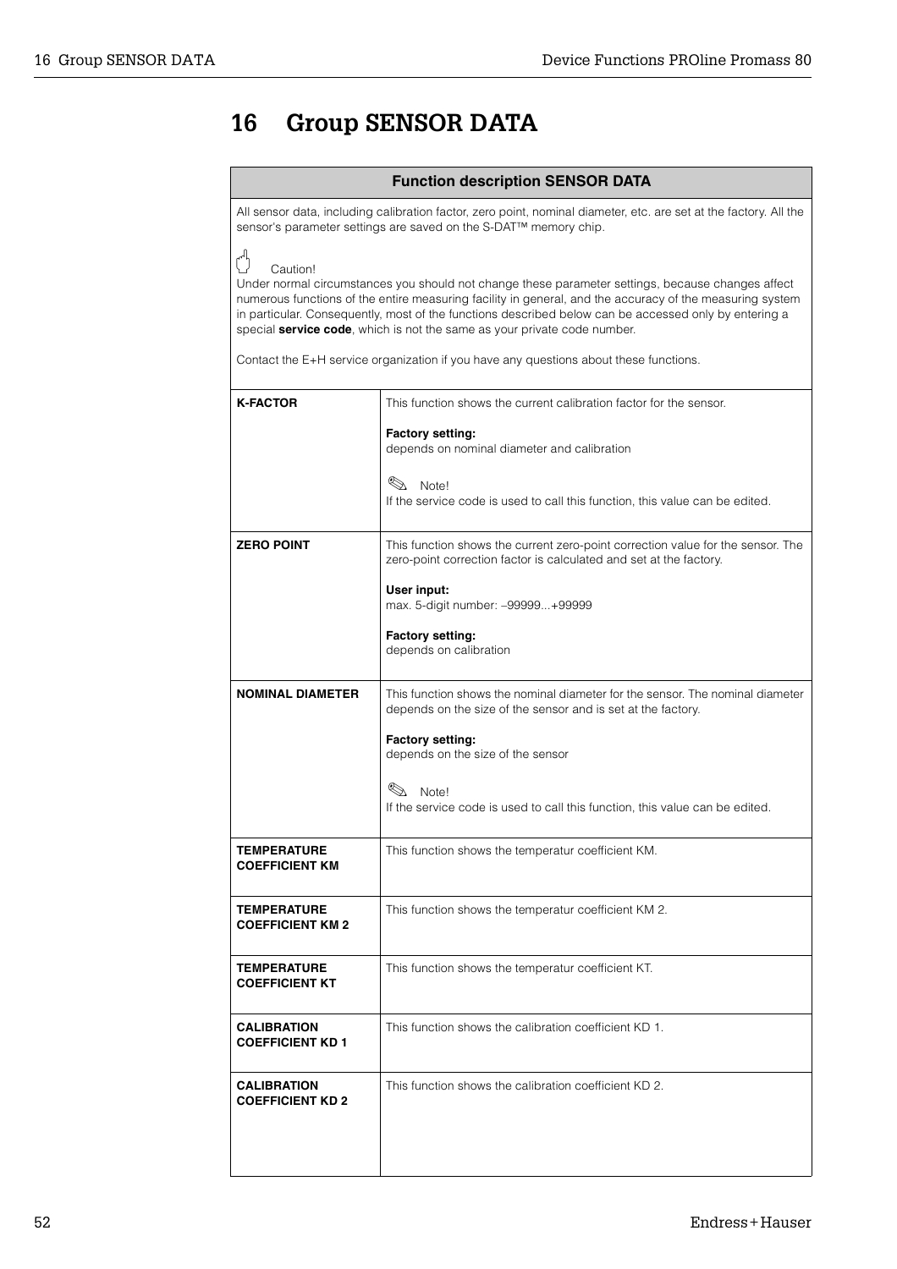## <span id="page-51-14"></span><span id="page-51-0"></span>**16 Group SENSOR DATA**

<span id="page-51-17"></span><span id="page-51-16"></span><span id="page-51-15"></span><span id="page-51-13"></span><span id="page-51-12"></span><span id="page-51-11"></span><span id="page-51-10"></span><span id="page-51-9"></span><span id="page-51-8"></span><span id="page-51-7"></span><span id="page-51-6"></span><span id="page-51-5"></span><span id="page-51-4"></span><span id="page-51-3"></span><span id="page-51-2"></span><span id="page-51-1"></span>

| <b>Function description SENSOR DATA</b>                                                                                                                                                                                                                                                                                                                                                                        |                                                                                                                                                       |
|----------------------------------------------------------------------------------------------------------------------------------------------------------------------------------------------------------------------------------------------------------------------------------------------------------------------------------------------------------------------------------------------------------------|-------------------------------------------------------------------------------------------------------------------------------------------------------|
| All sensor data, including calibration factor, zero point, nominal diameter, etc. are set at the factory. All the<br>sensor's parameter settings are saved on the S-DAT™ memory chip.                                                                                                                                                                                                                          |                                                                                                                                                       |
| Caution!<br>Under normal circumstances you should not change these parameter settings, because changes affect<br>numerous functions of the entire measuring facility in general, and the accuracy of the measuring system<br>in particular. Consequently, most of the functions described below can be accessed only by entering a<br>special service code, which is not the same as your private code number. |                                                                                                                                                       |
|                                                                                                                                                                                                                                                                                                                                                                                                                | Contact the E+H service organization if you have any questions about these functions.                                                                 |
| <b>K-FACTOR</b>                                                                                                                                                                                                                                                                                                                                                                                                | This function shows the current calibration factor for the sensor.                                                                                    |
|                                                                                                                                                                                                                                                                                                                                                                                                                | <b>Factory setting:</b><br>depends on nominal diameter and calibration                                                                                |
|                                                                                                                                                                                                                                                                                                                                                                                                                | Note!<br>If the service code is used to call this function, this value can be edited.                                                                 |
| <b>ZERO POINT</b>                                                                                                                                                                                                                                                                                                                                                                                              | This function shows the current zero-point correction value for the sensor. The<br>zero-point correction factor is calculated and set at the factory. |
|                                                                                                                                                                                                                                                                                                                                                                                                                | User input:<br>max. 5-digit number: - 99999 + 99999                                                                                                   |
|                                                                                                                                                                                                                                                                                                                                                                                                                | <b>Factory setting:</b><br>depends on calibration                                                                                                     |
| <b>NOMINAL DIAMETER</b>                                                                                                                                                                                                                                                                                                                                                                                        | This function shows the nominal diameter for the sensor. The nominal diameter<br>depends on the size of the sensor and is set at the factory.         |
|                                                                                                                                                                                                                                                                                                                                                                                                                | <b>Factory setting:</b><br>depends on the size of the sensor                                                                                          |
|                                                                                                                                                                                                                                                                                                                                                                                                                | $\mathbb{Z}$<br>Note!<br>If the service code is used to call this function, this value can be edited.                                                 |
| <b>TEMPERATURE</b><br><b>COEFFICIENT KM</b>                                                                                                                                                                                                                                                                                                                                                                    | This function shows the temperatur coefficient KM.                                                                                                    |
| <b>TEMPERATURE</b><br><b>COEFFICIENT KM 2</b>                                                                                                                                                                                                                                                                                                                                                                  | This function shows the temperatur coefficient KM 2.                                                                                                  |
| <b>TEMPERATURE</b><br><b>COEFFICIENT KT</b>                                                                                                                                                                                                                                                                                                                                                                    | This function shows the temperatur coefficient KT.                                                                                                    |
| <b>CALIBRATION</b><br><b>COEFFICIENT KD 1</b>                                                                                                                                                                                                                                                                                                                                                                  | This function shows the calibration coefficient KD 1.                                                                                                 |
| <b>CALIBRATION</b><br><b>COEFFICIENT KD 2</b>                                                                                                                                                                                                                                                                                                                                                                  | This function shows the calibration coefficient KD 2.                                                                                                 |
|                                                                                                                                                                                                                                                                                                                                                                                                                |                                                                                                                                                       |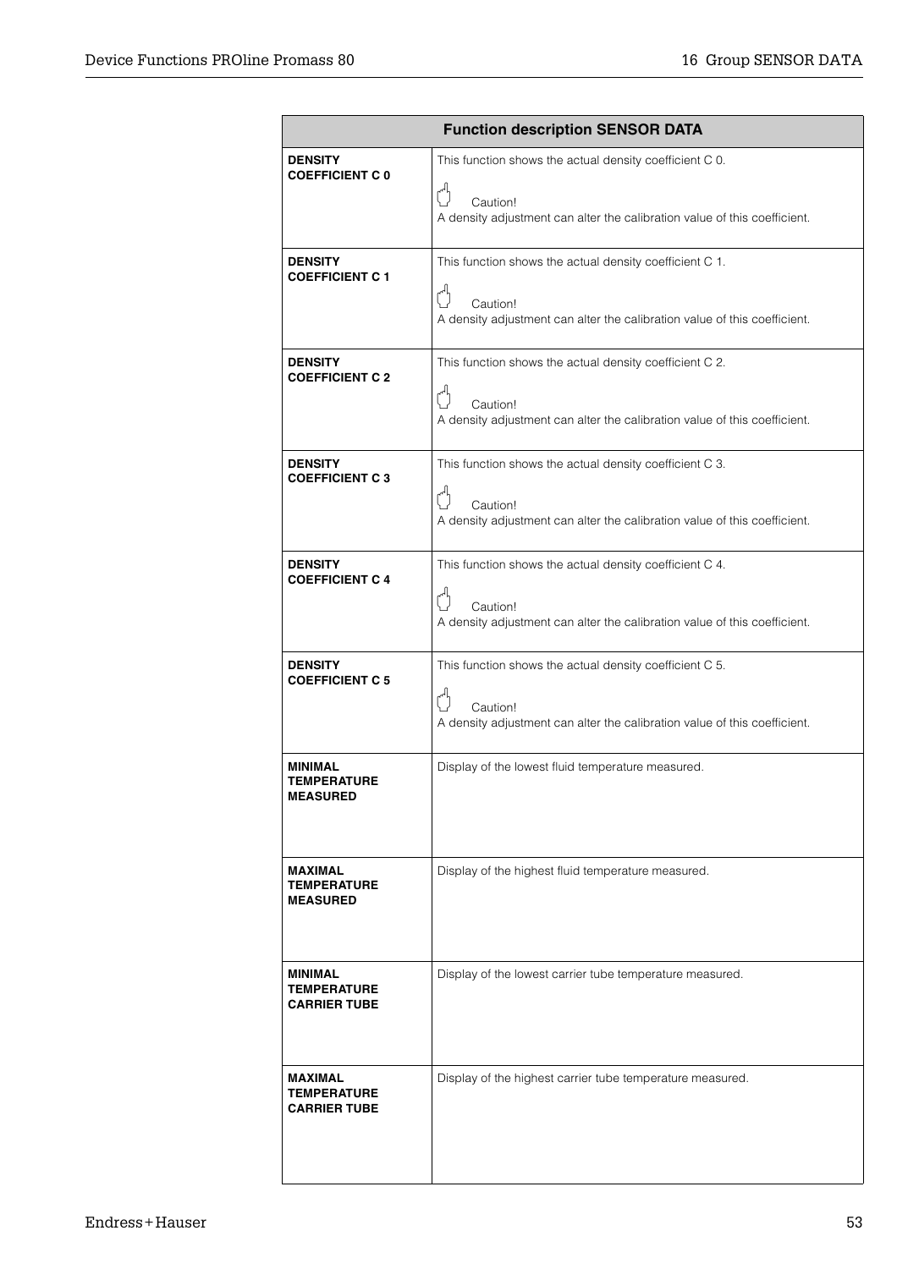<span id="page-52-19"></span><span id="page-52-18"></span><span id="page-52-17"></span><span id="page-52-16"></span><span id="page-52-15"></span><span id="page-52-14"></span><span id="page-52-13"></span><span id="page-52-12"></span><span id="page-52-11"></span><span id="page-52-10"></span><span id="page-52-9"></span><span id="page-52-8"></span><span id="page-52-7"></span><span id="page-52-6"></span><span id="page-52-5"></span><span id="page-52-4"></span><span id="page-52-3"></span><span id="page-52-2"></span><span id="page-52-1"></span><span id="page-52-0"></span>

| <b>Function description SENSOR DATA</b>                     |                                                                                                                                                                     |
|-------------------------------------------------------------|---------------------------------------------------------------------------------------------------------------------------------------------------------------------|
| <b>DENSITY</b><br><b>COEFFICIENT C 0</b>                    | This function shows the actual density coefficient C 0.<br><sub>ل</sub> يا<br>Caution!<br>A density adjustment can alter the calibration value of this coefficient. |
| <b>DENSITY</b><br><b>COEFFICIENT C 1</b>                    | This function shows the actual density coefficient C 1.<br>ן<br>ג<br>Caution!<br>A density adjustment can alter the calibration value of this coefficient.          |
| <b>DENSITY</b><br><b>COEFFICIENT C 2</b>                    | This function shows the actual density coefficient C 2.<br>Ú<br>Caution!<br>A density adjustment can alter the calibration value of this coefficient.               |
| <b>DENSITY</b><br><b>COEFFICIENT C 3</b>                    | This function shows the actual density coefficient C 3.<br>ل<br>إ<br>Caution!<br>A density adjustment can alter the calibration value of this coefficient.          |
| <b>DENSITY</b><br><b>COEFFICIENT C 4</b>                    | This function shows the actual density coefficient C 4.<br>Caution!<br>A density adjustment can alter the calibration value of this coefficient.                    |
| <b>DENSITY</b><br><b>COEFFICIENT C 5</b>                    | This function shows the actual density coefficient C 5.<br>ן<br>ה<br>Caution!<br>A density adjustment can alter the calibration value of this coefficient.          |
| <b>MINIMAL</b><br><b>TEMPERATURE</b><br><b>MEASURED</b>     | Display of the lowest fluid temperature measured.                                                                                                                   |
| <b>MAXIMAL</b><br><b>TEMPERATURE</b><br><b>MEASURED</b>     | Display of the highest fluid temperature measured.                                                                                                                  |
| <b>MINIMAL</b><br><b>TEMPERATURE</b><br><b>CARRIER TUBE</b> | Display of the lowest carrier tube temperature measured.                                                                                                            |
| <b>MAXIMAL</b><br><b>TEMPERATURE</b><br><b>CARRIER TUBE</b> | Display of the highest carrier tube temperature measured.                                                                                                           |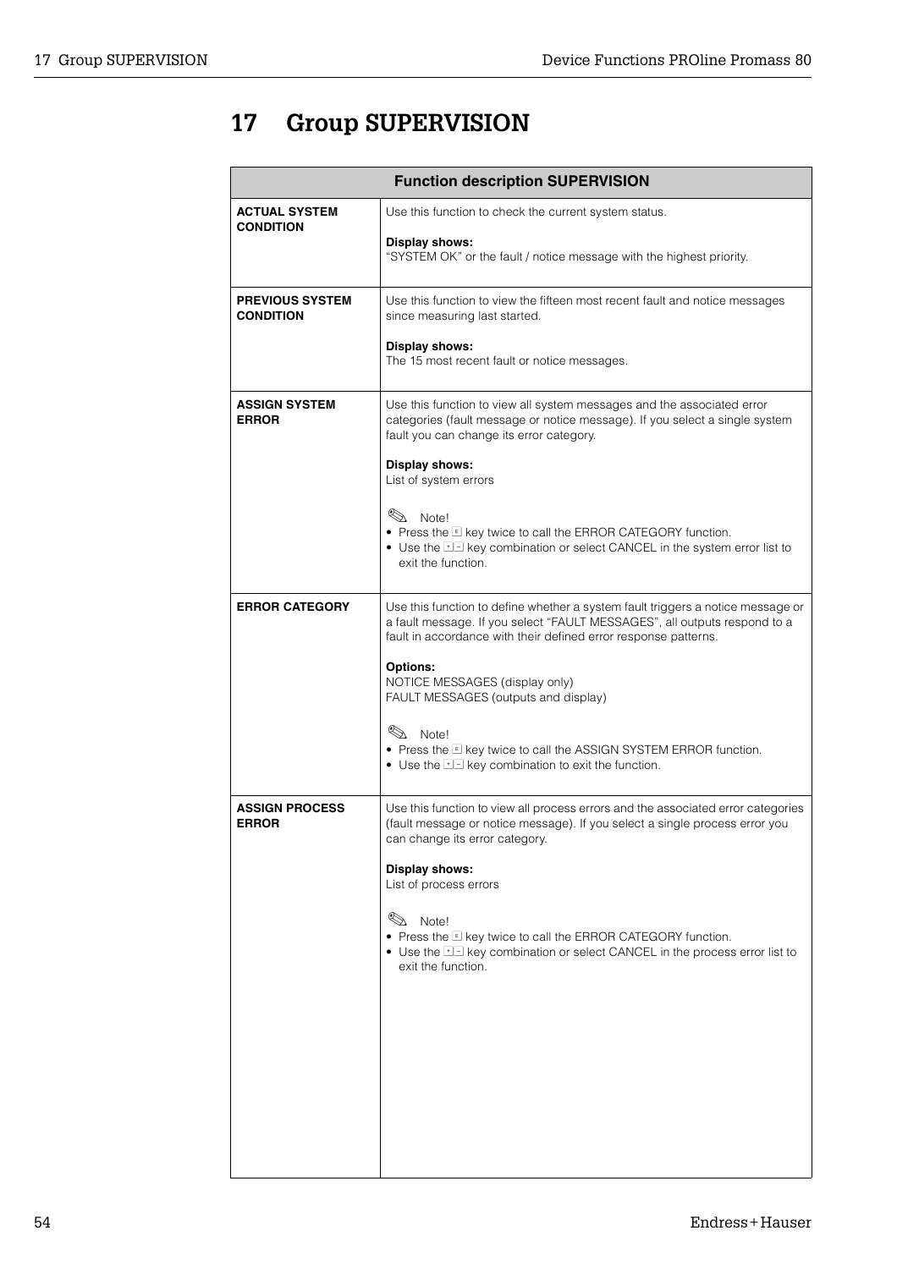# <span id="page-53-10"></span><span id="page-53-0"></span>**17 Group SUPERVISION**

<span id="page-53-11"></span><span id="page-53-9"></span><span id="page-53-8"></span><span id="page-53-7"></span><span id="page-53-6"></span><span id="page-53-5"></span><span id="page-53-4"></span><span id="page-53-3"></span><span id="page-53-2"></span><span id="page-53-1"></span>

| <b>Function description SUPERVISION</b>    |                                                                                                                                                                                                                                 |
|--------------------------------------------|---------------------------------------------------------------------------------------------------------------------------------------------------------------------------------------------------------------------------------|
| <b>ACTUAL SYSTEM</b><br><b>CONDITION</b>   | Use this function to check the current system status.                                                                                                                                                                           |
|                                            | <b>Display shows:</b><br>"SYSTEM OK" or the fault / notice message with the highest priority.                                                                                                                                   |
| <b>PREVIOUS SYSTEM</b><br><b>CONDITION</b> | Use this function to view the fifteen most recent fault and notice messages<br>since measuring last started.                                                                                                                    |
|                                            | <b>Display shows:</b><br>The 15 most recent fault or notice messages.                                                                                                                                                           |
| <b>ASSIGN SYSTEM</b><br><b>ERROR</b>       | Use this function to view all system messages and the associated error<br>categories (fault message or notice message). If you select a single system<br>fault you can change its error category.                               |
|                                            | Display shows:<br>List of system errors                                                                                                                                                                                         |
|                                            | Note!<br>• Press the E key twice to call the ERROR CATEGORY function.<br>• Use the $\pm\equiv$ key combination or select CANCEL in the system error list to<br>exit the function.                                               |
| <b>ERROR CATEGORY</b>                      | Use this function to define whether a system fault triggers a notice message or<br>a fault message. If you select "FAULT MESSAGES", all outputs respond to a<br>fault in accordance with their defined error response patterns. |
|                                            | <b>Options:</b><br>NOTICE MESSAGES (display only)<br>FAULT MESSAGES (outputs and display)                                                                                                                                       |
|                                            | Note!<br>• Press the E key twice to call the ASSIGN SYSTEM ERROR function.<br>• Use the $\pm\pm$ key combination to exit the function.                                                                                          |
| <b>ASSIGN PROCESS</b><br><b>ERROR</b>      | Use this function to view all process errors and the associated error categories<br>(fault message or notice message). If you select a single process error you<br>can change its error category.                               |
|                                            | Display shows:<br>List of process errors                                                                                                                                                                                        |
|                                            | ⇖<br>Note!<br>• Press the E key twice to call the ERROR CATEGORY function.<br>• Use the $\pm\equiv$ key combination or select CANCEL in the process error list to<br>exit the function.                                         |
|                                            |                                                                                                                                                                                                                                 |
|                                            |                                                                                                                                                                                                                                 |
|                                            |                                                                                                                                                                                                                                 |
|                                            |                                                                                                                                                                                                                                 |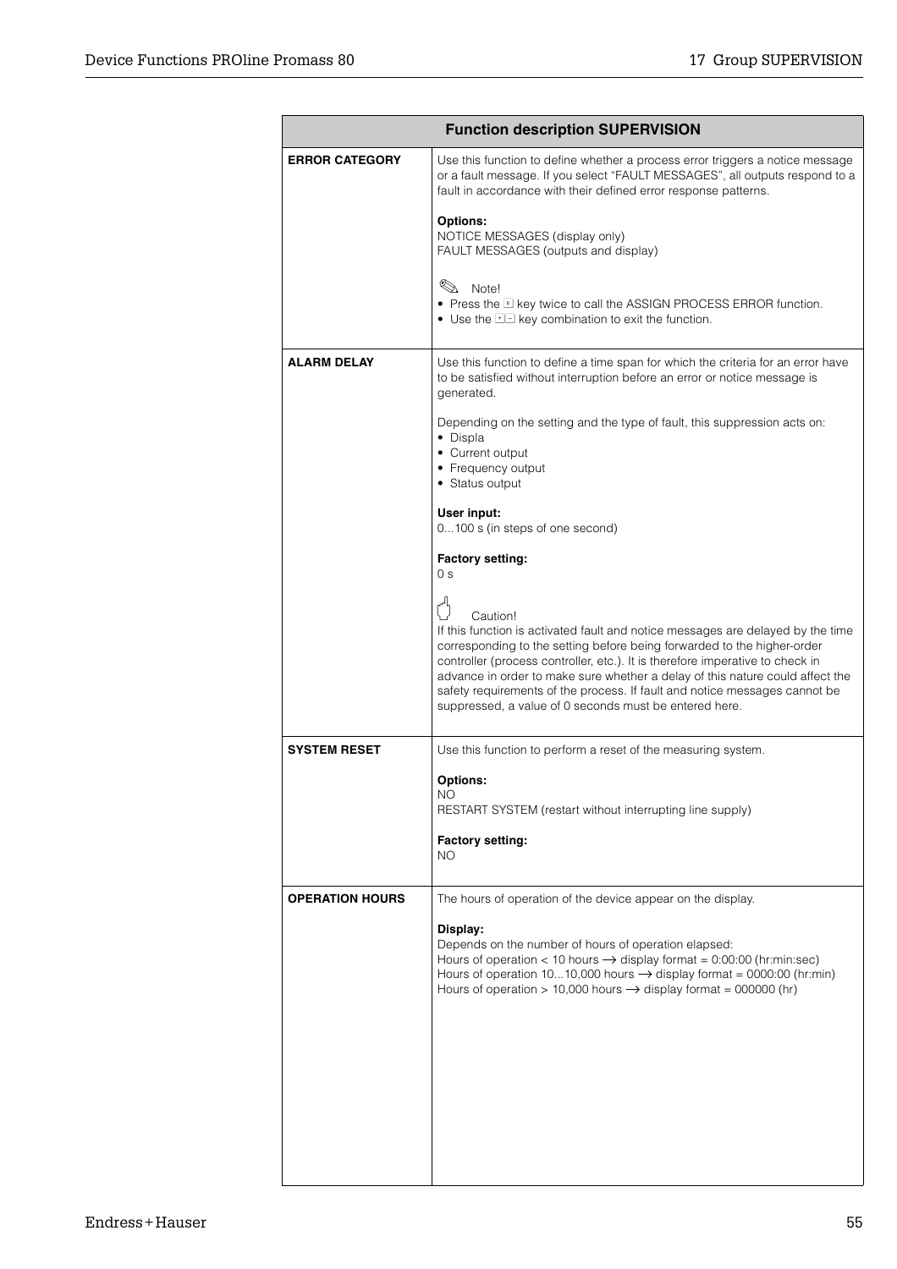<span id="page-54-6"></span><span id="page-54-5"></span><span id="page-54-4"></span><span id="page-54-3"></span><span id="page-54-2"></span><span id="page-54-1"></span><span id="page-54-0"></span>

| <b>Function description SUPERVISION</b> |                                                                                                                                                                                                                                                                                                                                                                                                                                                                                  |
|-----------------------------------------|----------------------------------------------------------------------------------------------------------------------------------------------------------------------------------------------------------------------------------------------------------------------------------------------------------------------------------------------------------------------------------------------------------------------------------------------------------------------------------|
| <b>ERROR CATEGORY</b>                   | Use this function to define whether a process error triggers a notice message<br>or a fault message. If you select "FAULT MESSAGES", all outputs respond to a<br>fault in accordance with their defined error response patterns.                                                                                                                                                                                                                                                 |
|                                         | <b>Options:</b><br>NOTICE MESSAGES (display only)<br>FAULT MESSAGES (outputs and display)                                                                                                                                                                                                                                                                                                                                                                                        |
|                                         | $\otimes$ Note!<br>• Press the E key twice to call the ASSIGN PROCESS ERROR function.<br>• Use the $\pm$ key combination to exit the function.                                                                                                                                                                                                                                                                                                                                   |
| <b>ALARM DELAY</b>                      | Use this function to define a time span for which the criteria for an error have<br>to be satisfied without interruption before an error or notice message is<br>generated.                                                                                                                                                                                                                                                                                                      |
|                                         | Depending on the setting and the type of fault, this suppression acts on:<br>· Displa<br>• Current output<br>• Frequency output<br>• Status output                                                                                                                                                                                                                                                                                                                               |
|                                         | User input:<br>0100 s (in steps of one second)                                                                                                                                                                                                                                                                                                                                                                                                                                   |
|                                         | <b>Factory setting:</b><br>0 s                                                                                                                                                                                                                                                                                                                                                                                                                                                   |
|                                         | Caution!<br>If this function is activated fault and notice messages are delayed by the time<br>corresponding to the setting before being forwarded to the higher-order<br>controller (process controller, etc.). It is therefore imperative to check in<br>advance in order to make sure whether a delay of this nature could affect the<br>safety requirements of the process. If fault and notice messages cannot be<br>suppressed, a value of 0 seconds must be entered here. |
| <b>SYSTEM RESET</b>                     | Use this function to perform a reset of the measuring system.                                                                                                                                                                                                                                                                                                                                                                                                                    |
|                                         | <b>Options:</b><br>ΝO<br>RESTART SYSTEM (restart without interrupting line supply)                                                                                                                                                                                                                                                                                                                                                                                               |
|                                         | Factory setting:<br>ΝO                                                                                                                                                                                                                                                                                                                                                                                                                                                           |
| <b>OPERATION HOURS</b>                  | The hours of operation of the device appear on the display.                                                                                                                                                                                                                                                                                                                                                                                                                      |
|                                         | Display:<br>Depends on the number of hours of operation elapsed:<br>Hours of operation < 10 hours $\rightarrow$ display format = 0:00:00 (hr:min:sec)<br>Hours of operation 1010,000 hours $\rightarrow$ display format = 0000:00 (hr:min)<br>Hours of operation > 10,000 hours $\rightarrow$ display format = 000000 (hr)                                                                                                                                                       |
|                                         |                                                                                                                                                                                                                                                                                                                                                                                                                                                                                  |
|                                         |                                                                                                                                                                                                                                                                                                                                                                                                                                                                                  |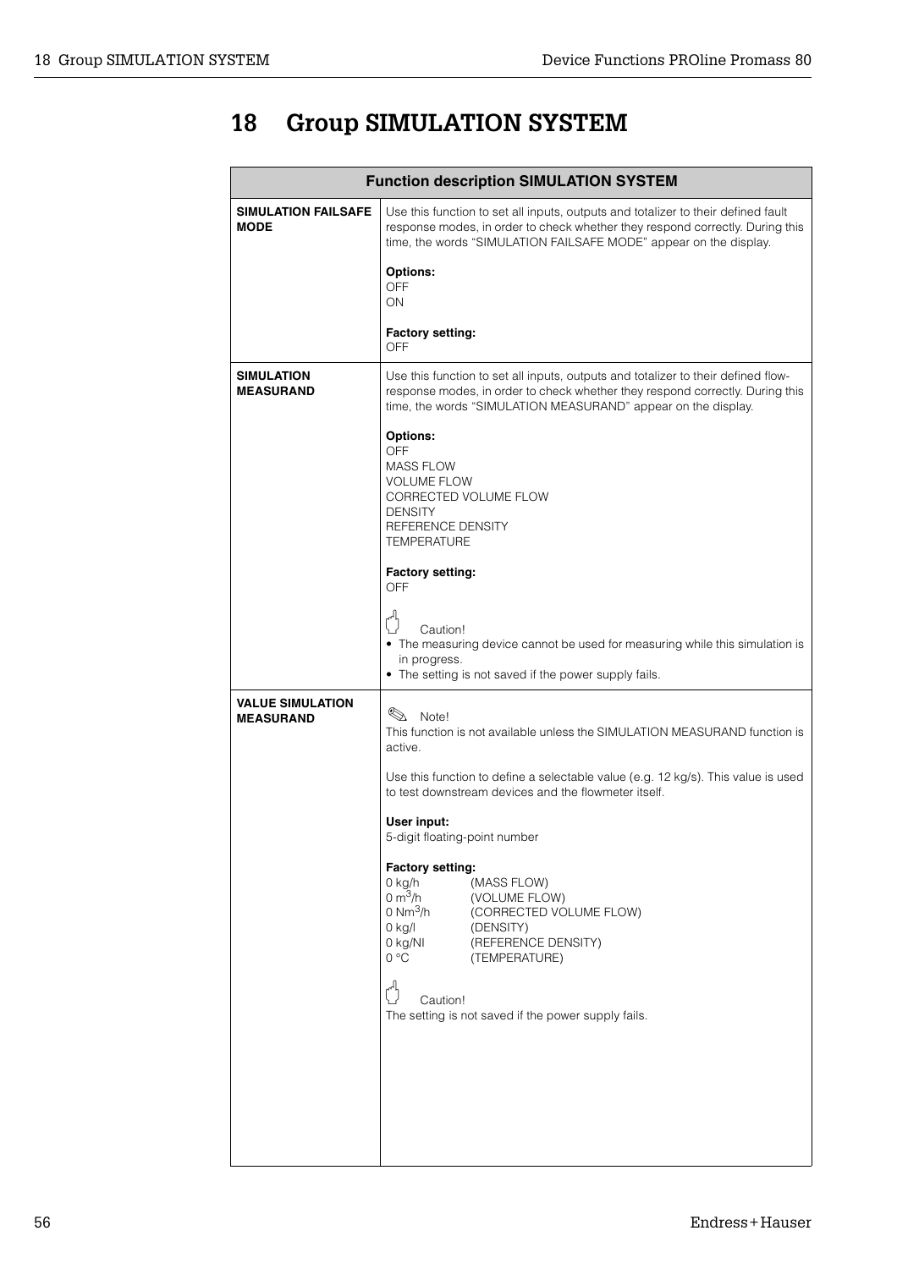# <span id="page-55-5"></span><span id="page-55-0"></span>**18 Group SIMULATION SYSTEM**

<span id="page-55-7"></span><span id="page-55-6"></span><span id="page-55-4"></span><span id="page-55-3"></span><span id="page-55-2"></span><span id="page-55-1"></span>

| <b>Function description SIMULATION SYSTEM</b> |                                                                                                                                                                                                                                         |
|-----------------------------------------------|-----------------------------------------------------------------------------------------------------------------------------------------------------------------------------------------------------------------------------------------|
| <b>SIMULATION FAILSAFE</b><br><b>MODE</b>     | Use this function to set all inputs, outputs and totalizer to their defined fault<br>response modes, in order to check whether they respond correctly. During this<br>time, the words "SIMULATION FAILSAFE MODE" appear on the display. |
|                                               | <b>Options:</b><br>OFF<br>ON                                                                                                                                                                                                            |
|                                               | Factory setting:<br><b>OFF</b>                                                                                                                                                                                                          |
| <b>SIMULATION</b><br><b>MEASURAND</b>         | Use this function to set all inputs, outputs and totalizer to their defined flow-<br>response modes, in order to check whether they respond correctly. During this<br>time, the words "SIMULATION MEASURAND" appear on the display.     |
|                                               | <b>Options:</b><br><b>OFF</b><br><b>MASS FLOW</b><br><b>VOLUME FLOW</b><br>CORRECTED VOLUME FLOW<br><b>DENSITY</b><br>REFERENCE DENSITY<br><b>TEMPERATURE</b>                                                                           |
|                                               | <b>Factory setting:</b><br><b>OFF</b>                                                                                                                                                                                                   |
|                                               | Caution!<br>• The measuring device cannot be used for measuring while this simulation is<br>in progress.<br>• The setting is not saved if the power supply fails.                                                                       |
| <b>VALUE SIMULATION</b><br><b>MEASURAND</b>   | $\otimes$ Note!<br>This function is not available unless the SIMULATION MEASURAND function is<br>active.                                                                                                                                |
|                                               | Use this function to define a selectable value (e.g. 12 kg/s). This value is used<br>to test downstream devices and the flowmeter itself.                                                                                               |
|                                               | User input:<br>5-digit floating-point number                                                                                                                                                                                            |
|                                               | Factory setting:<br>$0$ kg/h<br>(MASS FLOW)<br>0 $m^3/h$<br>(VOLUME FLOW)<br>(CORRECTED VOLUME FLOW)<br>0 Nm $^3$ /h<br>$0$ kg/l<br>0 kg/NI<br>ר באריברים)<br>(REFERENCE DENSITY)<br>(TEMPERATURET)<br>$0^{\circ}$ C                    |
|                                               | Caution!<br>The setting is not saved if the power supply fails.                                                                                                                                                                         |
|                                               |                                                                                                                                                                                                                                         |
|                                               |                                                                                                                                                                                                                                         |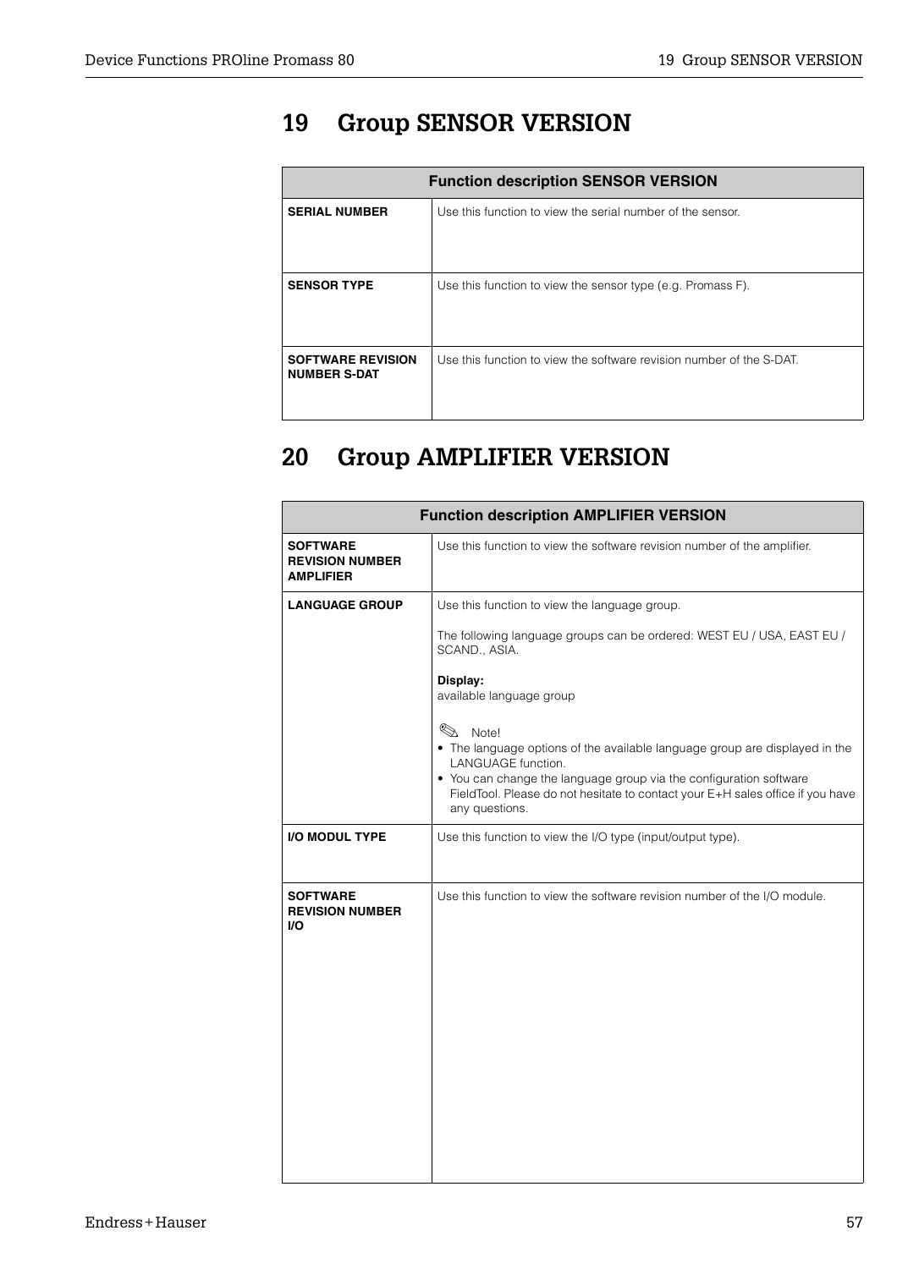### <span id="page-56-10"></span><span id="page-56-0"></span>**19 Group SENSOR VERSION**

<span id="page-56-13"></span><span id="page-56-12"></span><span id="page-56-7"></span><span id="page-56-5"></span>

|                                                 | <b>Function description SENSOR VERSION</b>                           |
|-------------------------------------------------|----------------------------------------------------------------------|
| <b>SERIAL NUMBER</b>                            | Use this function to view the serial number of the sensor.           |
| <b>SENSOR TYPE</b>                              | Use this function to view the sensor type (e.g. Promass F).          |
| <b>SOFTWARE REVISION</b><br><b>NUMBER S-DAT</b> | Use this function to view the software revision number of the S-DAT. |

# <span id="page-56-16"></span><span id="page-56-9"></span><span id="page-56-2"></span><span id="page-56-1"></span>**20 Group AMPLIFIER VERSION**

<span id="page-56-15"></span><span id="page-56-14"></span><span id="page-56-11"></span><span id="page-56-8"></span><span id="page-56-6"></span><span id="page-56-4"></span><span id="page-56-3"></span>

|                                                               | <b>Function description AMPLIFIER VERSION</b>                                                                                                                                                    |
|---------------------------------------------------------------|--------------------------------------------------------------------------------------------------------------------------------------------------------------------------------------------------|
| <b>SOFTWARE</b><br><b>REVISION NUMBER</b><br><b>AMPLIFIER</b> | Use this function to view the software revision number of the amplifier.                                                                                                                         |
| <b>LANGUAGE GROUP</b>                                         | Use this function to view the language group.                                                                                                                                                    |
|                                                               | The following language groups can be ordered: WEST EU / USA, EAST EU /<br>SCAND., ASIA.                                                                                                          |
|                                                               | Display:<br>available language group                                                                                                                                                             |
|                                                               | $\bigotimes$<br>Note!<br>• The language options of the available language group are displayed in the<br>LANGUAGE function.<br>• You can change the language group via the configuration software |
|                                                               | FieldTool. Please do not hesitate to contact your E+H sales office if you have<br>any questions.                                                                                                 |
| I/O MODUL TYPE                                                | Use this function to view the I/O type (input/output type).                                                                                                                                      |
| <b>SOFTWARE</b><br><b>REVISION NUMBER</b><br><b>I/O</b>       | Use this function to view the software revision number of the I/O module.                                                                                                                        |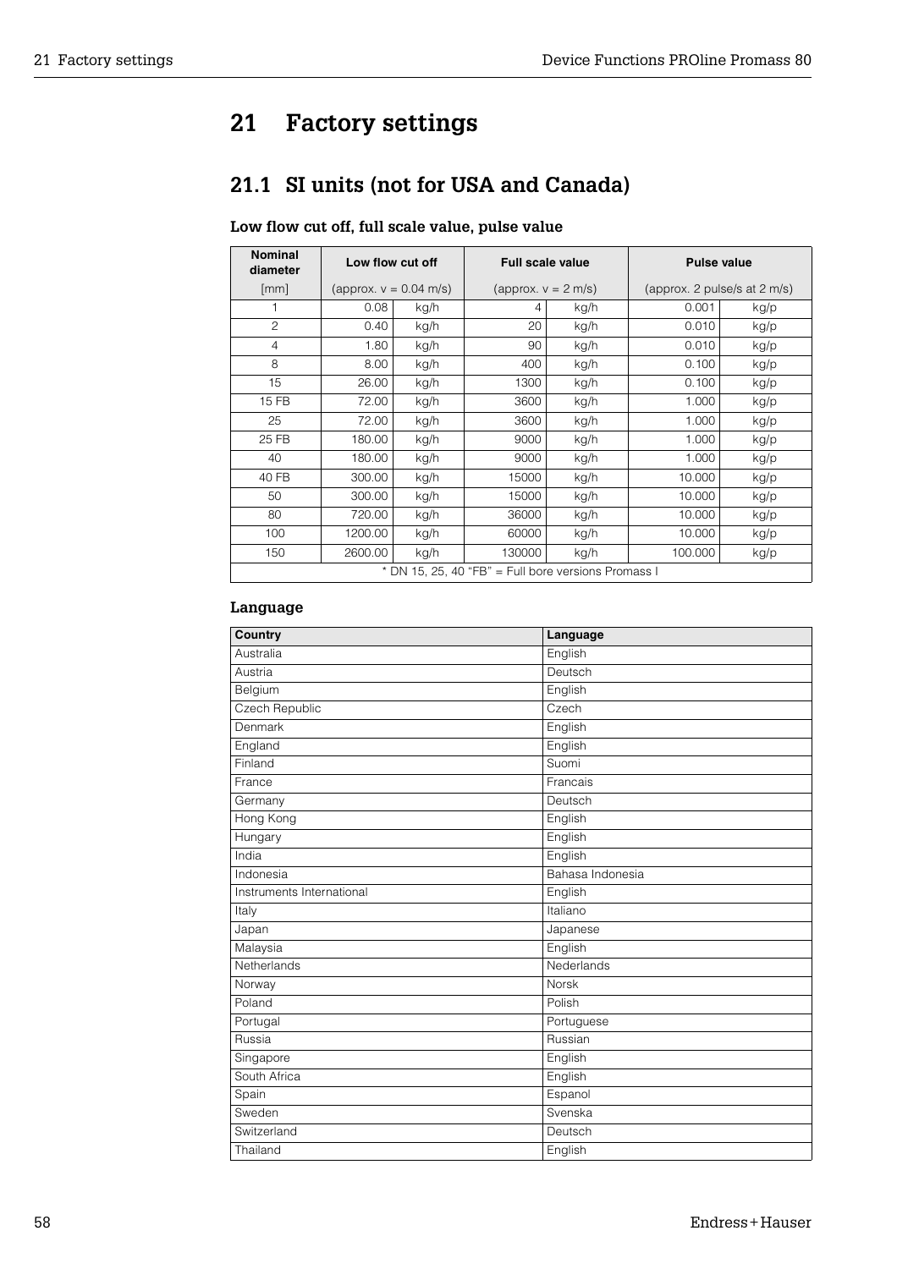## <span id="page-57-3"></span><span id="page-57-0"></span>**21 Factory settings**

### <span id="page-57-1"></span>**21.1 SI units (not for USA and Canada)**

#### **Low flow cut off, full scale value, pulse value**

| <b>Nominal</b><br>diameter                          | Low flow cut off         |      | <b>Full scale value</b> |      | <b>Pulse value</b>           |      |
|-----------------------------------------------------|--------------------------|------|-------------------------|------|------------------------------|------|
| [mm]                                                | (approx. $v = 0.04$ m/s) |      | (approx. $v = 2$ m/s)   |      | (approx. 2 pulse/s at 2 m/s) |      |
|                                                     | 0.08                     | kg/h | 4                       | kg/h | 0.001                        | kg/p |
| $\overline{c}$                                      | 0.40                     | kg/h | 20                      | kg/h | 0.010                        | kg/p |
| 4                                                   | 1.80                     | kg/h | 90                      | kg/h | 0.010                        | kg/p |
| 8                                                   | 8.00                     | kg/h | 400                     | kg/h | 0.100                        | kg/p |
| 15                                                  | 26.00                    | kg/h | 1300                    | kg/h | 0.100                        | kg/p |
| 15 FB                                               | 72.00                    | kg/h | 3600                    | kg/h | 1.000                        | kg/p |
| 25                                                  | 72.00                    | kg/h | 3600                    | kg/h | 1.000                        | kg/p |
| 25 FB                                               | 180.00                   | kg/h | 9000                    | kg/h | 1.000                        | kg/p |
| 40                                                  | 180.00                   | kg/h | 9000                    | kg/h | 1.000                        | kg/p |
| 40 FB                                               | 300.00                   | kg/h | 15000                   | kg/h | 10.000                       | kg/p |
| 50                                                  | 300.00                   | kg/h | 15000                   | kg/h | 10.000                       | kg/p |
| 80                                                  | 720.00                   | kg/h | 36000                   | kg/h | 10.000                       | kg/p |
| 100                                                 | 1200.00                  | kg/h | 60000                   | kg/h | 10.000                       | kg/p |
| 150                                                 | 2600.00                  | kg/h | 130000                  | kg/h | 100.000                      | kg/p |
| * DN 15, 25, 40 "FB" = Full bore versions Promass I |                          |      |                         |      |                              |      |

#### <span id="page-57-2"></span>**Language**

| <b>Country</b>            | Language         |
|---------------------------|------------------|
| Australia                 | English          |
| Austria                   | Deutsch          |
| Belgium                   | English          |
| Czech Republic            | Czech            |
| Denmark                   | English          |
| England                   | English          |
| Finland                   | Suomi            |
| France                    | Francais         |
| Germany                   | Deutsch          |
| Hong Kong                 | English          |
| Hungary                   | English          |
| India                     | English          |
| Indonesia                 | Bahasa Indonesia |
| Instruments International | English          |
| Italy                     | Italiano         |
| Japan                     | Japanese         |
| Malaysia                  | English          |
| Netherlands               | Nederlands       |
| Norway                    | Norsk            |
| Poland                    | Polish           |
| Portugal                  | Portuguese       |
| Russia                    | Russian          |
| Singapore                 | English          |
| South Africa              | English          |
| Spain                     | Espanol          |
| Sweden                    | Svenska          |
| Switzerland               | Deutsch          |
| Thailand                  | English          |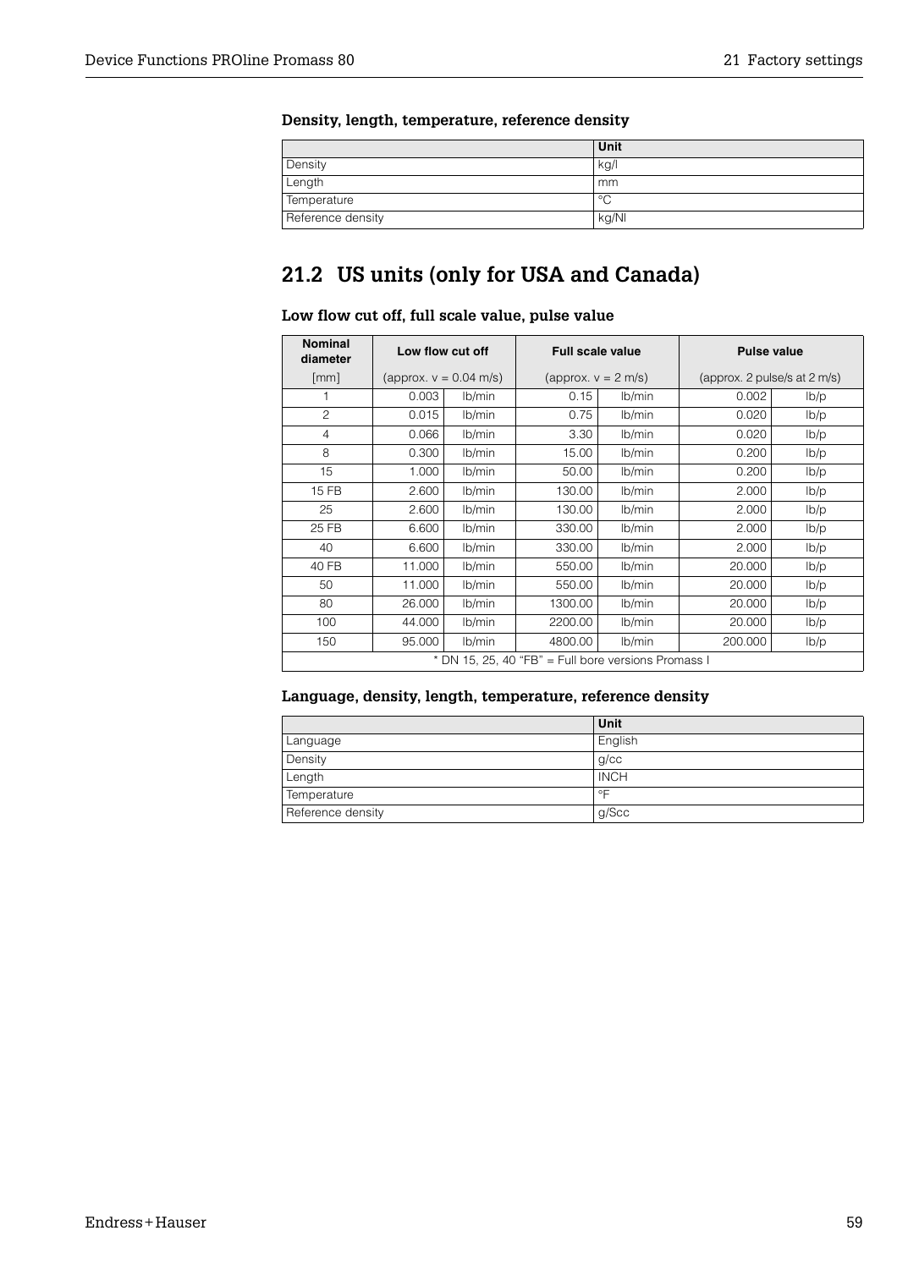#### **Density, length, temperature, reference density**

|                   | <b>Unit</b> |
|-------------------|-------------|
| Density           | kg/l        |
| Length            | mm          |
| Temperature       | °C          |
| Reference density | kg/NI       |

#### <span id="page-58-0"></span>**21.2 US units (only for USA and Canada)**

#### **Low flow cut off, full scale value, pulse value**

| <b>Nominal</b><br>diameter | Low flow cut off         |        | <b>Full scale value</b>                             |        | <b>Pulse value</b>           |                   |
|----------------------------|--------------------------|--------|-----------------------------------------------------|--------|------------------------------|-------------------|
| [mm]                       | (approx. $v = 0.04$ m/s) |        | (approx. $v = 2$ m/s)                               |        | (approx. 2 pulse/s at 2 m/s) |                   |
|                            | 0.003                    | lb/min | 0.15                                                | lb/min | 0.002                        | lb/p              |
| $\overline{c}$             | 0.015                    | lb/min | 0.75                                                | lb/min | 0.020                        | lb/p              |
| 4                          | 0.066                    | lb/min | 3.30                                                | lb/min | 0.020                        | lb/p              |
| 8                          | 0.300                    | lb/min | 15.00                                               | lb/min | 0.200                        | lb/p              |
| 15                         | 1.000                    | lb/min | 50.00                                               | lb/min | 0.200                        | lb/p              |
| 15 FB                      | 2.600                    | lb/min | 130.00                                              | lb/min | 2.000                        | lb/p              |
| 25                         | 2.600                    | lb/min | 130.00                                              | lb/min | 2.000                        | lb/p              |
| 25 FB                      | 6.600                    | lb/min | 330.00                                              | lb/min | 2.000                        | lb/p              |
| 40                         | 6.600                    | lb/min | 330.00                                              | lb/min | 2.000                        | lb/p              |
| 40 FB                      | 11.000                   | lb/min | 550.00                                              | lb/min | 20.000                       | lb/p              |
| 50                         | 11.000                   | lb/min | 550.00                                              | lb/min | 20.000                       | 1 <sub>b</sub> /p |
| 80                         | 26.000                   | lb/min | 1300.00                                             | lb/min | 20.000                       | lb/p              |
| 100                        | 44.000                   | lb/min | 2200.00                                             | lb/min | 20.000                       | lb/p              |
| 150                        | 95.000                   | lb/min | 4800.00                                             | lb/min | 200.000                      | lb/p              |
|                            |                          |        | * DN 15, 25, 40 "FB" = Full bore versions Promass I |        |                              |                   |

#### **Language, density, length, temperature, reference density**

|                   | Unit         |
|-------------------|--------------|
| Language          | English      |
| Density           | g/cc         |
| Length            | <b>INCH</b>  |
| Temperature       | $^{\circ}$ F |
| Reference density | g/Scc        |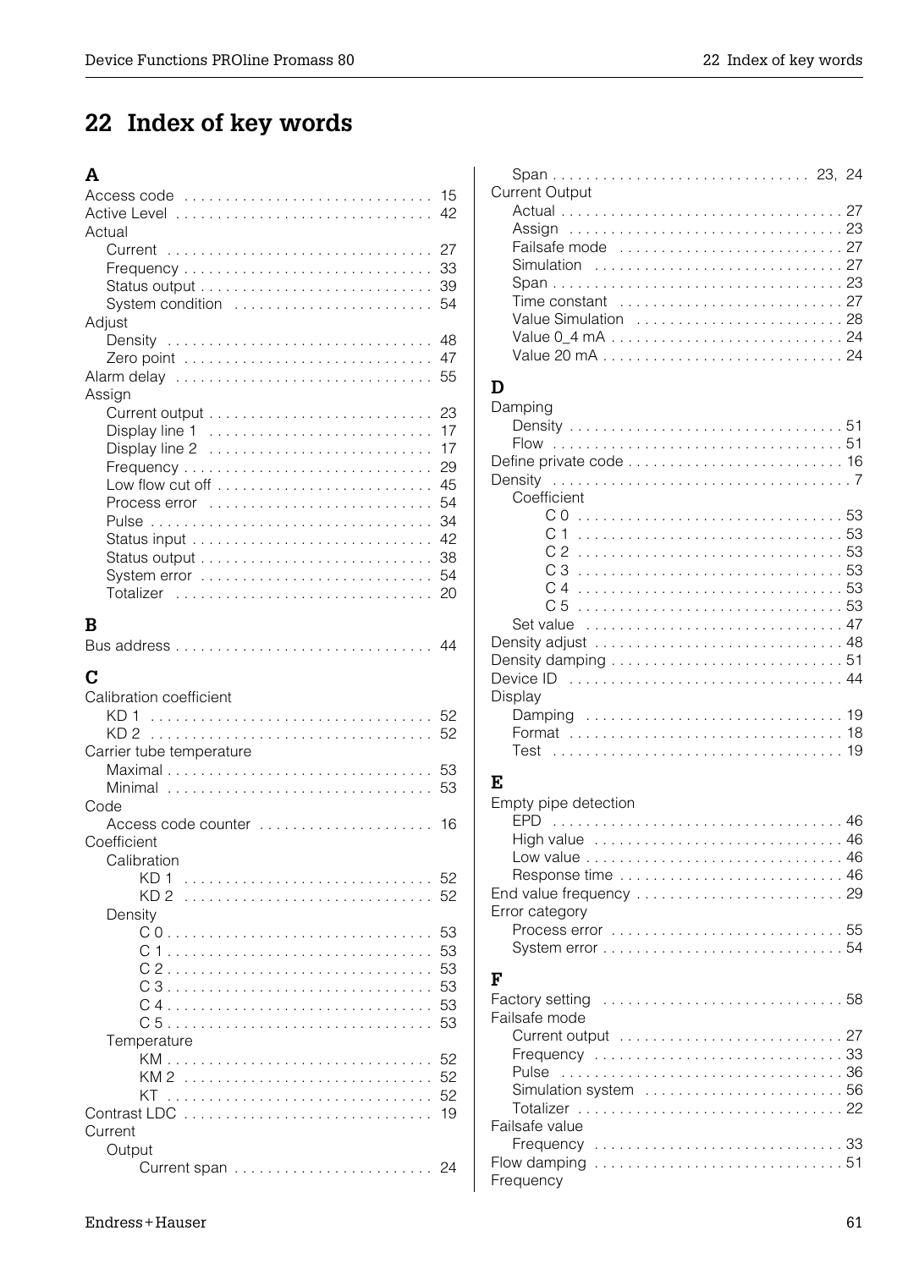# <span id="page-60-0"></span>**22 Index of key words**

#### **A**

| Access code<br>Active Level<br>Actual                                                                       | 15<br>42                         |
|-------------------------------------------------------------------------------------------------------------|----------------------------------|
|                                                                                                             | 27<br>33<br>39                   |
| System condition<br>Adjust                                                                                  | 54                               |
| Density                                                                                                     | 48<br>47<br>55                   |
| Assign<br>Display line 1<br>Display line 2                                                                  | 23<br>17<br>17<br>29<br>45<br>54 |
| Process error<br>Totalizer                                                                                  | 34<br>42<br>38<br>54<br>20       |
| в                                                                                                           |                                  |
| $\overline{C}$<br>Calibration coefficient<br>KD <sub>1</sub><br>KD <sub>2</sub><br>Carrier tube temperature | 52                               |
| Maximal<br>Minimal                                                                                          | 53<br>53                         |
| Code<br>Access code counter<br>Coefficient                                                                  | 16                               |
| Calibration<br>KD <sub>1</sub><br>KD <sub>2</sub><br>Density                                                | 52<br>52                         |
| $C0$<br>and a straight and<br>C 3<br>C4.                                                                    | 53<br>53<br>53<br>53<br>53<br>53 |
| Temperature<br>KM 2<br>ΚT<br>Contrast LDC<br>Current<br>Output                                              | 52<br>52<br>52<br>19             |
|                                                                                                             | 24                               |

| <b>Current Output</b> |  |
|-----------------------|--|
|                       |  |
|                       |  |
|                       |  |
|                       |  |
|                       |  |
|                       |  |
|                       |  |
|                       |  |
|                       |  |
|                       |  |

#### **D**

| Damping     |
|-------------|
|             |
| Flow        |
|             |
| Density     |
| Coefficient |
|             |
|             |
|             |
|             |
|             |
|             |
| Set value   |
|             |
|             |
|             |
|             |
| Display     |
|             |
| Format      |
| Test        |

#### **E**

| Empty pipe detection |
|----------------------|
|                      |
|                      |
|                      |
|                      |
|                      |
| Error category       |
|                      |
|                      |
|                      |
| F                    |
|                      |
| Failsafe mode        |
|                      |
| Frequency 33         |
|                      |
|                      |
|                      |
| Failsafe value       |
| Frequency 33         |
|                      |
| Frequency            |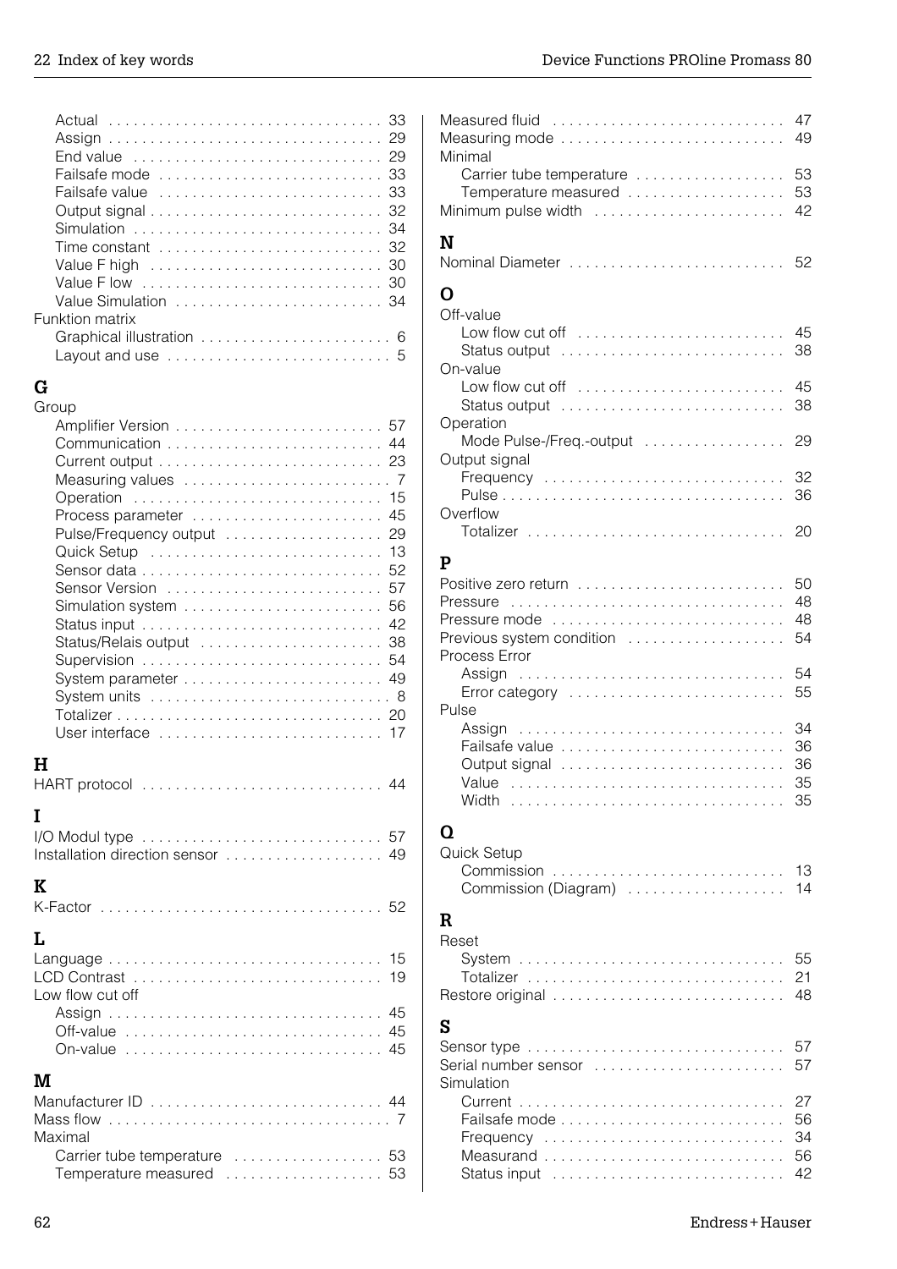| Actual  33           |
|----------------------|
|                      |
| End value  29        |
| Failsafe mode  33    |
|                      |
|                      |
|                      |
|                      |
|                      |
|                      |
| Value Simulation  34 |
| Funktion matrix      |
|                      |
|                      |
|                      |

#### **G** G

| Group                             |    |
|-----------------------------------|----|
|                                   | 57 |
| Communication                     | 44 |
|                                   |    |
|                                   |    |
| Operation                         | 15 |
| Process parameter                 | 45 |
| Pulse/Frequency output            | 29 |
| Quick Setup                       | 13 |
|                                   | 52 |
| Sensor Version                    | 57 |
| Simulation system                 | 56 |
|                                   | 42 |
| Status/Relais output              | 38 |
| Supervision                       | 54 |
|                                   | 49 |
|                                   |    |
|                                   |    |
| User interface  17                |    |
|                                   |    |
| н                                 |    |
| HART protocol  44                 |    |
|                                   |    |
| Т                                 |    |
|                                   |    |
| Installation direction sensor  49 |    |
|                                   |    |
| K                                 |    |
|                                   |    |
|                                   |    |
| L                                 |    |
| Language                          | 15 |
|                                   | 19 |
| Low flow cut off                  |    |
|                                   |    |
| Off-value  45                     |    |
|                                   | 45 |
|                                   |    |
|                                   |    |

#### **M**

| Manufacturer ID  44 |
|---------------------|
|                     |
| Maximal             |
|                     |
|                     |
|                     |

| Measured fluid<br>Measuring mode<br>Minimal      | 47<br>49 |
|--------------------------------------------------|----------|
| Carrier tube temperature<br>Temperature measured | 53<br>53 |
| Minimum pulse width                              | 42       |
| N<br>Nominal Diameter                            | 52       |
| O                                                |          |
| Off-value                                        |          |
| Low flow cut off<br>Status output                | 45<br>38 |
| On-value<br>Low flow cut off                     | 45       |
|                                                  | 38       |
| Operation                                        |          |
| Mode Pulse-/Freq.-output<br>Output signal        | 29       |
| Frequency                                        | 32<br>36 |
| Overflow                                         | 20       |
|                                                  |          |
| Р                                                | 50       |
| Pressure                                         | 48       |
| Pressure mode                                    | 48       |
| Previous system condition                        | 54       |
| Process Error<br>Assign                          | 54       |
| Error category<br>Pulse                          | 55       |
| Assign                                           | 34       |
| Failsafe value                                   | 36       |
| Value                                            | 36<br>35 |
| Width                                            | 35       |
| Q                                                |          |
| <b>Quick Setup</b>                               |          |
|                                                  | 13       |
| Commission (Diagram)                             | 14       |
| R                                                |          |
| Reset                                            |          |
| Totalizer                                        | 55<br>21 |
| Restore original                                 | 48       |
| S                                                |          |
| Sensor type                                      | 57       |
| Serial number sensor                             | 57       |
| Simulation                                       |          |
| Current                                          | 27<br>56 |
| Frequency                                        | 34       |
| Measurand                                        | 56       |

[Status input . . . . . . . . . . . . . . . . . . . . . . . . . . . . 42](#page-41-9)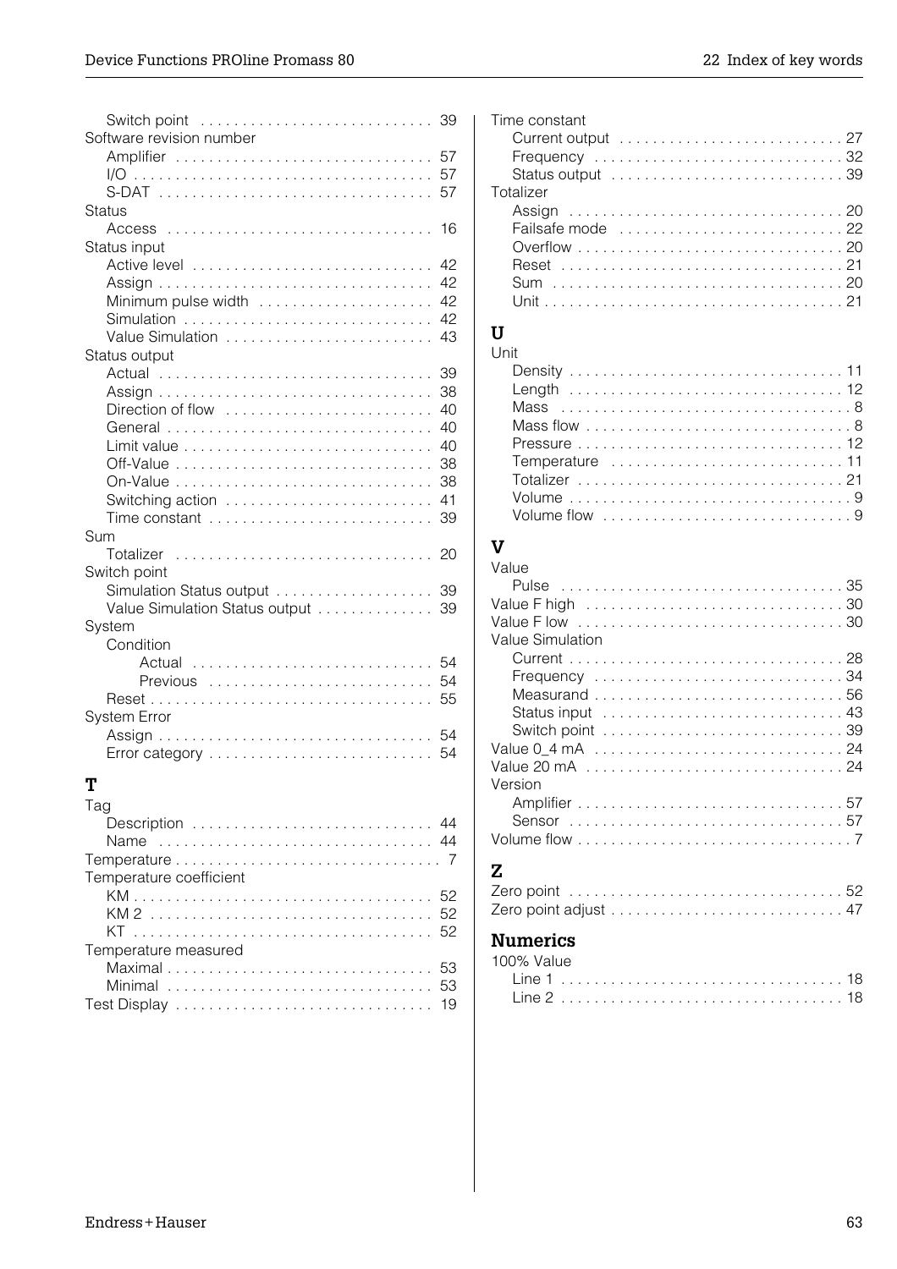|                                           | 39 |
|-------------------------------------------|----|
| Software revision number                  |    |
|                                           | 57 |
|                                           | 57 |
| S-DAT                                     | 57 |
| <b>Status</b>                             |    |
| Access                                    | 16 |
| Status input                              |    |
|                                           | 42 |
|                                           | 42 |
| Minimum pulse width                       | 42 |
| Simulation                                | 42 |
|                                           | 43 |
| Status output                             |    |
|                                           | 39 |
|                                           |    |
|                                           | 38 |
| Direction of flow                         | 40 |
|                                           | 40 |
|                                           | 40 |
|                                           | 38 |
|                                           | 38 |
| Switching action                          | 41 |
| Time constant                             | 39 |
| Sum                                       |    |
| Totalizer                                 | 20 |
| Switch point                              |    |
|                                           | 39 |
| Value Simulation Status output            | 39 |
| System                                    |    |
| Condition                                 |    |
| Actual                                    | 54 |
| Previous                                  | 54 |
|                                           | 55 |
| <b>System Error</b>                       |    |
|                                           | 54 |
|                                           | 54 |
| Error category                            |    |
| T                                         |    |
|                                           |    |
| Tag                                       |    |
| Description  44<br>$\Delta\Delta$<br>Name |    |
|                                           |    |

| Description  44         |  |
|-------------------------|--|
| Name  44                |  |
|                         |  |
| Temperature coefficient |  |
|                         |  |
|                         |  |
|                         |  |
| Temperature measured    |  |
| Maximal 53              |  |
| Minimal  53             |  |
|                         |  |

|  | 22 Index of key words |  |  |  |
|--|-----------------------|--|--|--|
|--|-----------------------|--|--|--|

| Time constant                                                              |
|----------------------------------------------------------------------------|
|                                                                            |
| $Frequency \dots \dots \dots \dots \dots \dots \dots \dots \dots \dots 32$ |
|                                                                            |
| Totalizer                                                                  |
|                                                                            |
| Failsafe mode 22                                                           |
|                                                                            |
|                                                                            |
|                                                                            |
|                                                                            |

#### **U** Unit

| it it is a structure. |
|-----------------------|
|                       |
|                       |
|                       |
|                       |
|                       |
|                       |
|                       |
|                       |
|                       |

#### **V**

| Value                   |
|-------------------------|
|                         |
|                         |
|                         |
| <b>Value Simulation</b> |
|                         |
|                         |
|                         |
|                         |
|                         |
|                         |
|                         |
| Version                 |
|                         |
|                         |
|                         |
| Z                       |

#### **Numerics**

| 100% Value |  |  |  |  |  |  |  |  |  |  |  |  |  |  |
|------------|--|--|--|--|--|--|--|--|--|--|--|--|--|--|
|            |  |  |  |  |  |  |  |  |  |  |  |  |  |  |
|            |  |  |  |  |  |  |  |  |  |  |  |  |  |  |